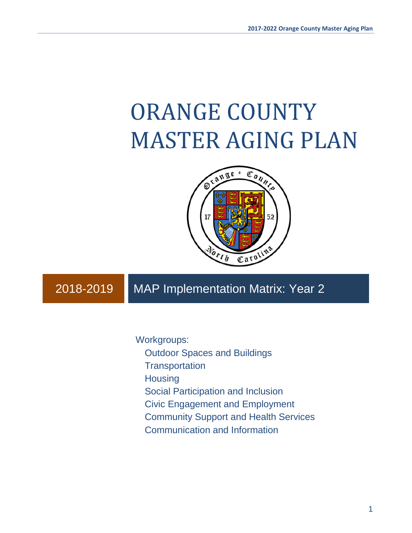# ORANGE COUNTY MASTER AGING PLAN



# 2018-2019 MAP Implementation Matrix: Year 2

Workgroups:

Outdoor Spaces and Buildings

**Transportation** 

**Housing** 

Social Participation and Inclusion

Civic Engagement and Employment

Community Support and Health Services

Communication and Information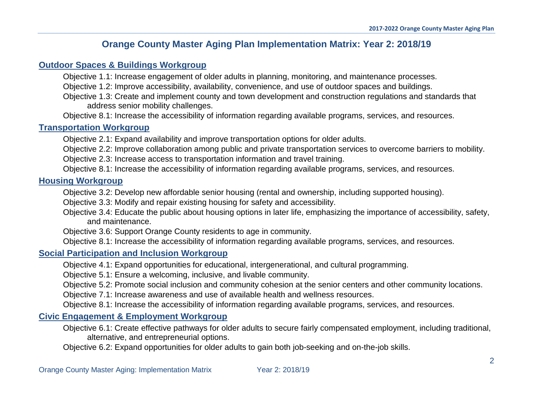## **Orange County Master Aging Plan Implementation Matrix: Year 2: 2018/19**

#### **[Outdoor Spaces & Buildings Workgroup](#page-3-0)**

Objective 1.1: Increase engagement of older adults in planning, monitoring, and maintenance processes.

Objective 1.2: Improve accessibility, availability, convenience, and use of outdoor spaces and buildings.

Objective 1.3: Create and implement county and town development and construction regulations and standards that address senior mobility challenges.

Objective 8.1: Increase the accessibility of information regarding available programs, services, and resources.

### **[Transportation Workgroup](#page-6-0)**

Objective 2.1: Expand availability and improve transportation options for older adults.

Objective 2.2: Improve collaboration among public and private transportation services to overcome barriers to mobility.

Objective 2.3: Increase access to transportation information and travel training.

Objective 8.1: Increase the accessibility of information regarding available programs, services, and resources.

## **Housing [Workgroup](#page-10-0)**

Objective 3.2: Develop new affordable senior housing (rental and ownership, including supported housing).

Objective 3.3: Modify and repair existing housing for safety and accessibility.

Objective 3.4: Educate the public about housing options in later life, emphasizing the importance of accessibility, safety, and maintenance.

Objective 3.6: Support Orange County residents to age in community.

Objective 8.1: Increase the accessibility of information regarding available programs, services, and resources.

## **[Social Participation](#page-16-0) and Inclusion Workgroup**

Objective 4.1: Expand opportunities for educational, intergenerational, and cultural programming.

Objective 5.1: Ensure a welcoming, inclusive, and livable community.

Objective 5.2: Promote social inclusion and community cohesion at the senior centers and other community locations.

Objective 7.1: Increase awareness and use of available health and wellness resources.

Objective 8.1: Increase the accessibility of information regarding available programs, services, and resources.

## **[Civic Engagement & Employment Workgroup](#page-29-0)**

Objective 6.1: Create effective pathways for older adults to secure fairly compensated employment, including traditional, alternative, and entrepreneurial options.

Objective 6.2: Expand opportunities for older adults to gain both job-seeking and on-the-job skills.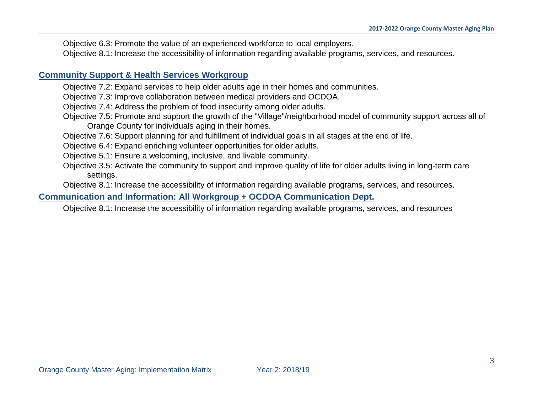Objective 6.3: Promote the value of an experienced workforce to local employers. Objective 8.1: Increase the accessibility of information regarding available programs, services, and resources.

## **[Community Support & Health Services](#page-37-0) Workgroup**

- Objective 7.2: Expand services to help older adults age in their homes and communities.
- Objective 7.3: Improve collaboration between medical providers and OCDOA.
- Objective 7.4: Address the problem of food insecurity among older adults.
- Objective 7.5: Promote and support the growth of the "Village"/neighborhood model of community support across all of Orange County for individuals aging in their homes.
- Objective 7.6: Support planning for and fulfillment of individual goals in all stages at the end of life.
- Objective 6.4: Expand enriching volunteer opportunities for older adults.
- Objective 5.1: Ensure a welcoming, inclusive, and livable community.
- Objective 3.5: Activate the community to support and improve quality of life for older adults living in long-term care settings.

Objective 8.1: Increase the accessibility of information regarding available programs, services, and resources.

## **[Communication and Information: All Workgroup + OCDOA Communication Dept](#page-61-0).**

Objective 8.1: Increase the accessibility of information regarding available programs, services, and resources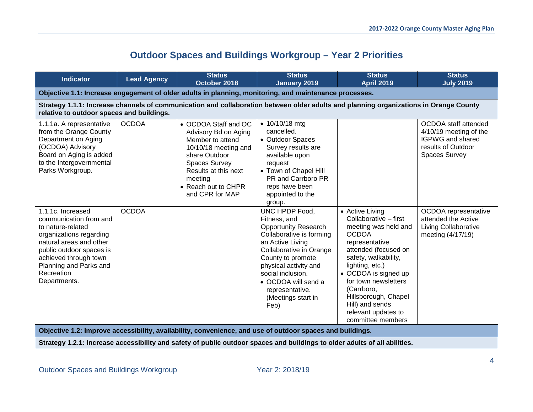# **Outdoor Spaces and Buildings Workgroup – Year 2 Priorities**

<span id="page-3-0"></span>

| <b>Indicator</b>                                                                                                                                                                                                                    | <b>Lead Agency</b> | <b>Status</b><br>October 2018                                                                                                                                                                           | <b>Status</b><br><b>January 2019</b>                                                                                                                                                                                                                                                | <b>Status</b><br><b>April 2019</b>                                                                                                                                                                                                                                                                                         | <b>Status</b><br><b>July 2019</b>                                                                                |
|-------------------------------------------------------------------------------------------------------------------------------------------------------------------------------------------------------------------------------------|--------------------|---------------------------------------------------------------------------------------------------------------------------------------------------------------------------------------------------------|-------------------------------------------------------------------------------------------------------------------------------------------------------------------------------------------------------------------------------------------------------------------------------------|----------------------------------------------------------------------------------------------------------------------------------------------------------------------------------------------------------------------------------------------------------------------------------------------------------------------------|------------------------------------------------------------------------------------------------------------------|
|                                                                                                                                                                                                                                     |                    | Objective 1.1: Increase engagement of older adults in planning, monitoring, and maintenance processes.                                                                                                  |                                                                                                                                                                                                                                                                                     |                                                                                                                                                                                                                                                                                                                            |                                                                                                                  |
| relative to outdoor spaces and buildings.                                                                                                                                                                                           |                    | Strategy 1.1.1: Increase channels of communication and collaboration between older adults and planning organizations in Orange County                                                                   |                                                                                                                                                                                                                                                                                     |                                                                                                                                                                                                                                                                                                                            |                                                                                                                  |
| 1.1.1a. A representative<br>from the Orange County<br>Department on Aging<br>(OCDOA) Advisory<br>Board on Aging is added<br>to the Intergovernmental<br>Parks Workgroup.                                                            | <b>OCDOA</b>       | • OCDOA Staff and OC<br>Advisory Bd on Aging<br>Member to attend<br>10/10/18 meeting and<br>share Outdoor<br>Spaces Survey<br>Results at this next<br>meeting<br>• Reach out to CHPR<br>and CPR for MAP | $\bullet$ 10/10/18 mtg<br>cancelled.<br>• Outdoor Spaces<br>Survey results are<br>available upon<br>request<br>• Town of Chapel Hill<br>PR and Carrboro PR<br>reps have been<br>appointed to the<br>group.                                                                          |                                                                                                                                                                                                                                                                                                                            | OCDOA staff attended<br>4/10/19 meeting of the<br>IGPWG and shared<br>results of Outdoor<br><b>Spaces Survey</b> |
| 1.1.1c. Increased<br>communication from and<br>to nature-related<br>organizations regarding<br>natural areas and other<br>public outdoor spaces is<br>achieved through town<br>Planning and Parks and<br>Recreation<br>Departments. | <b>OCDOA</b>       |                                                                                                                                                                                                         | UNC HPDP Food,<br>Fitness, and<br><b>Opportunity Research</b><br>Collaborative is forming<br>an Active Living<br>Collaborative in Orange<br>County to promote<br>physical activity and<br>social inclusion.<br>• OCDOA will send a<br>representative.<br>(Meetings start in<br>Feb) | • Active Living<br>Collaborative - first<br>meeting was held and<br><b>OCDOA</b><br>representative<br>attended (focused on<br>safety, walkability,<br>lighting, etc.)<br>• OCDOA is signed up<br>for town newsletters<br>(Carrboro,<br>Hillsborough, Chapel<br>Hill) and sends<br>relevant updates to<br>committee members | OCDOA representative<br>attended the Active<br><b>Living Collaborative</b><br>meeting (4/17/19)                  |
|                                                                                                                                                                                                                                     |                    | Objective 1.2: Improve accessibility, availability, convenience, and use of outdoor spaces and buildings.                                                                                               |                                                                                                                                                                                                                                                                                     |                                                                                                                                                                                                                                                                                                                            |                                                                                                                  |
|                                                                                                                                                                                                                                     |                    | Strategy 1.2.1: Increase accessibility and safety of public outdoor spaces and buildings to older adults of all abilities.                                                                              |                                                                                                                                                                                                                                                                                     |                                                                                                                                                                                                                                                                                                                            |                                                                                                                  |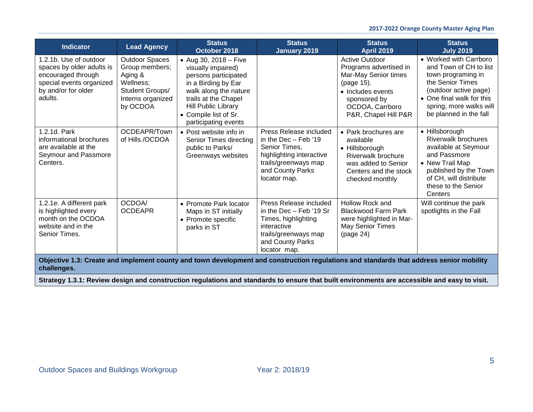| <b>Indicator</b>                                                                                                                        | <b>Lead Agency</b>                                                                                                  | <b>Status</b><br>October 2018                                                                                                                                                                                       | <b>Status</b><br><b>January 2019</b>                                                                                                                        | <b>Status</b><br><b>April 2019</b>                                                                                                                                    | <b>Status</b><br><b>July 2019</b>                                                                                                                                                                     |
|-----------------------------------------------------------------------------------------------------------------------------------------|---------------------------------------------------------------------------------------------------------------------|---------------------------------------------------------------------------------------------------------------------------------------------------------------------------------------------------------------------|-------------------------------------------------------------------------------------------------------------------------------------------------------------|-----------------------------------------------------------------------------------------------------------------------------------------------------------------------|-------------------------------------------------------------------------------------------------------------------------------------------------------------------------------------------------------|
| 1.2.1b. Use of outdoor<br>spaces by older adults is<br>encouraged through<br>special events organized<br>by and/or for older<br>adults. | <b>Outdoor Spaces</b><br>Group members;<br>Aging &<br>Wellness;<br>Student Groups/<br>Interns organized<br>by OCDOA | • Aug 30, 2018 – Five<br>visually impaired)<br>persons participated<br>in a Birding by Ear<br>walk along the nature<br>trails at the Chapel<br>Hill Public Library<br>• Compile list of Sr.<br>participating events |                                                                                                                                                             | <b>Active Outdoor</b><br>Programs advertised in<br>Mar-May Senior times<br>(page 15).<br>• Includes events<br>sponsored by<br>OCDOA, Carrboro<br>P&R, Chapel Hill P&R | • Worked with Carrboro<br>and Town of CH to list<br>town programing in<br>the Senior Times<br>(outdoor active page)<br>• One final walk for this<br>spring, more walks will<br>be planned in the fall |
| 1.2.1d. Park<br>informational brochures<br>are available at the<br>Seymour and Passmore<br>Centers.                                     | OCDEAPR/Town<br>of Hills./OCDOA                                                                                     | • Post website info in<br>Senior Times directing<br>public to Parks/<br>Greenways websites                                                                                                                          | Press Release included<br>in the Dec $-$ Feb $'19$<br>Senior Times.<br>highlighting interactive<br>trails/greenways map<br>and County Parks<br>locator map. | • Park brochures are<br>available<br>• Hillsborough<br>Riverwalk brochure<br>was added to Senior<br>Centers and the stock<br>checked monthly                          | • Hillsborough<br>Riverwalk brochures<br>available at Seymour<br>and Passmore<br>• New Trail Map<br>published by the Town<br>of CH, will distribute<br>these to the Senior<br>Centers                 |
| 1.2.1e. A different park<br>is highlighted every<br>month on the OCDOA<br>website and in the<br>Senior Times.                           | OCDOA/<br><b>OCDEAPR</b>                                                                                            | • Promote Park locator<br>Maps in ST initially<br>• Promote specific<br>parks in ST                                                                                                                                 | Press Release included<br>in the Dec - Feb '19 Sr<br>Times, highlighting<br>interactive<br>trails/greenways map<br>and County Parks<br>locator map.         | Hollow Rock and<br><b>Blackwood Farm Park</b><br>were highlighted in Mar-<br>May Senior Times<br>(page 24)                                                            | Will continue the park<br>spotlights in the Fall                                                                                                                                                      |
| challenges.                                                                                                                             |                                                                                                                     |                                                                                                                                                                                                                     |                                                                                                                                                             | Objective 1.3: Create and implement county and town development and construction regulations and standards that address senior mobility                               |                                                                                                                                                                                                       |

**Strategy 1.3.1: Review design and construction regulations and standards to ensure that built environments are accessible and easy to visit.**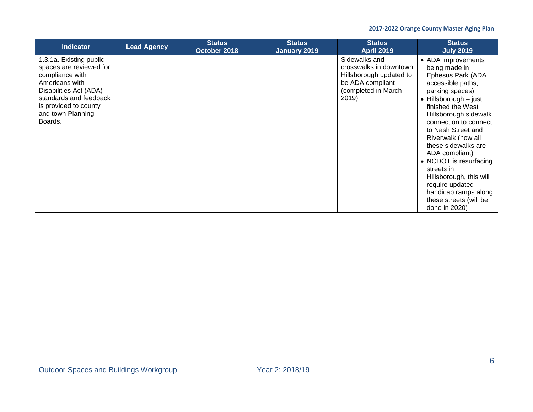| <b>Indicator</b>                                                                                                                                                                                     | <b>Lead Agency</b> | <b>Status</b><br>October 2018 | <b>Status</b><br>January 2019 | <b>Status</b><br><b>April 2019</b>                                                                                     | <b>Status</b><br><b>July 2019</b>                                                                                                                                                                                                                                                                                                                                                                                                                        |
|------------------------------------------------------------------------------------------------------------------------------------------------------------------------------------------------------|--------------------|-------------------------------|-------------------------------|------------------------------------------------------------------------------------------------------------------------|----------------------------------------------------------------------------------------------------------------------------------------------------------------------------------------------------------------------------------------------------------------------------------------------------------------------------------------------------------------------------------------------------------------------------------------------------------|
| 1.3.1a. Existing public<br>spaces are reviewed for<br>compliance with<br>Americans with<br>Disabilities Act (ADA)<br>standards and feedback<br>is provided to county<br>and town Planning<br>Boards. |                    |                               |                               | Sidewalks and<br>crosswalks in downtown<br>Hillsborough updated to<br>be ADA compliant<br>(completed in March<br>2019) | • ADA improvements<br>being made in<br>Ephesus Park (ADA<br>accessible paths,<br>parking spaces)<br>$\bullet$ Hillsborough $-$ just<br>finished the West<br>Hillsborough sidewalk<br>connection to connect<br>to Nash Street and<br>Riverwalk (now all<br>these sidewalks are<br>ADA compliant)<br>• NCDOT is resurfacing<br>streets in<br>Hillsborough, this will<br>require updated<br>handicap ramps along<br>these streets (will be<br>done in 2020) |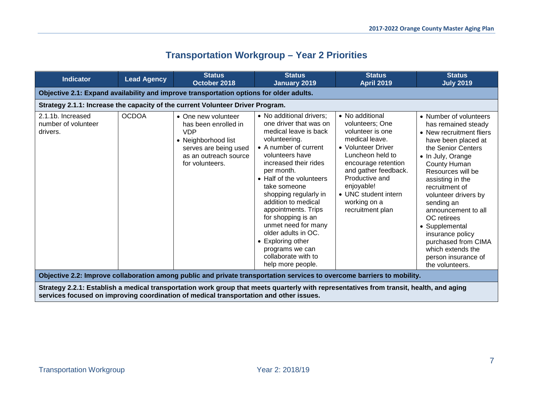# **Transportation Workgroup – Year 2 Priorities**

<span id="page-6-0"></span>

| <b>Indicator</b>                                     | <b>Lead Agency</b> | <b>Status</b><br>October 2018                                                                                                                         | <b>Status</b><br><b>January 2019</b>                                                                                                                                                                                                                                                                                                                                                                                                                       | <b>Status</b><br>April 2019                                                                                                                                                                                                                                   | <b>Status</b><br><b>July 2019</b>                                                                                                                                                                                                                                                                                                                                                                                              |
|------------------------------------------------------|--------------------|-------------------------------------------------------------------------------------------------------------------------------------------------------|------------------------------------------------------------------------------------------------------------------------------------------------------------------------------------------------------------------------------------------------------------------------------------------------------------------------------------------------------------------------------------------------------------------------------------------------------------|---------------------------------------------------------------------------------------------------------------------------------------------------------------------------------------------------------------------------------------------------------------|--------------------------------------------------------------------------------------------------------------------------------------------------------------------------------------------------------------------------------------------------------------------------------------------------------------------------------------------------------------------------------------------------------------------------------|
|                                                      |                    | Objective 2.1: Expand availability and improve transportation options for older adults.                                                               |                                                                                                                                                                                                                                                                                                                                                                                                                                                            |                                                                                                                                                                                                                                                               |                                                                                                                                                                                                                                                                                                                                                                                                                                |
|                                                      |                    | Strategy 2.1.1: Increase the capacity of the current Volunteer Driver Program.                                                                        |                                                                                                                                                                                                                                                                                                                                                                                                                                                            |                                                                                                                                                                                                                                                               |                                                                                                                                                                                                                                                                                                                                                                                                                                |
| 2.1.1b. Increased<br>number of volunteer<br>drivers. | <b>OCDOA</b>       | • One new volunteer<br>has been enrolled in<br><b>VDP</b><br>• Neighborhood list<br>serves are being used<br>as an outreach source<br>for volunteers. | • No additional drivers;<br>one driver that was on<br>medical leave is back<br>volunteering.<br>• A number of current<br>volunteers have<br>increased their rides<br>per month.<br>• Half of the volunteers<br>take someone<br>shopping regularly in<br>addition to medical<br>appointments. Trips<br>for shopping is an<br>unmet need for many<br>older adults in OC.<br>• Exploring other<br>programs we can<br>collaborate with to<br>help more people. | • No additional<br>volunteers; One<br>volunteer is one<br>medical leave.<br>• Volunteer Driver<br>Luncheon held to<br>encourage retention<br>and gather feedback.<br>Productive and<br>enjoyable!<br>• UNC student intern<br>working on a<br>recruitment plan | • Number of volunteers<br>has remained steady<br>• New recruitment fliers<br>have been placed at<br>the Senior Centers<br>• In July, Orange<br>County Human<br>Resources will be<br>assisting in the<br>recruitment of<br>volunteer drivers by<br>sending an<br>announcement to all<br>OC retirees<br>• Supplemental<br>insurance policy<br>purchased from CIMA<br>which extends the<br>person insurance of<br>the volunteers. |
|                                                      |                    |                                                                                                                                                       | Objective 2.2: Improve collaboration among public and private transportation services to overcome barriers to mobility.                                                                                                                                                                                                                                                                                                                                    |                                                                                                                                                                                                                                                               |                                                                                                                                                                                                                                                                                                                                                                                                                                |

**Strategy 2.2.1: Establish a medical transportation work group that meets quarterly with representatives from transit, health, and aging services focused on improving coordination of medical transportation and other issues.**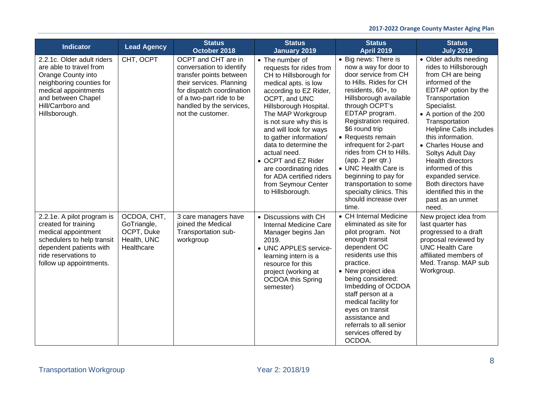| <b>Indicator</b>                                                                                                                                                                            | <b>Lead Agency</b>                                                    | <b>Status</b><br>October 2018                                                                                                                                                                                    | <b>Status</b><br><b>January 2019</b>                                                                                                                                                                                                                                                                                                                                                                                                   | <b>Status</b><br><b>April 2019</b>                                                                                                                                                                                                                                                                                                                                                                                                                                  | <b>Status</b><br><b>July 2019</b>                                                                                                                                                                                                                                                                                                                                                                                                               |
|---------------------------------------------------------------------------------------------------------------------------------------------------------------------------------------------|-----------------------------------------------------------------------|------------------------------------------------------------------------------------------------------------------------------------------------------------------------------------------------------------------|----------------------------------------------------------------------------------------------------------------------------------------------------------------------------------------------------------------------------------------------------------------------------------------------------------------------------------------------------------------------------------------------------------------------------------------|---------------------------------------------------------------------------------------------------------------------------------------------------------------------------------------------------------------------------------------------------------------------------------------------------------------------------------------------------------------------------------------------------------------------------------------------------------------------|-------------------------------------------------------------------------------------------------------------------------------------------------------------------------------------------------------------------------------------------------------------------------------------------------------------------------------------------------------------------------------------------------------------------------------------------------|
| 2.2.1c. Older adult riders<br>are able to travel from<br>Orange County into<br>neighboring counties for<br>medical appointments<br>and between Chapel<br>Hill/Carrboro and<br>Hillsborough. | CHT, OCPT                                                             | OCPT and CHT are in<br>conversation to identify<br>transfer points between<br>their services. Planning<br>for dispatch coordination<br>of a two-part ride to be<br>handled by the services,<br>not the customer. | • The number of<br>requests for rides from<br>CH to Hillsborough for<br>medical apts. is low<br>according to EZ Rider,<br>OCPT, and UNC<br>Hillsborough Hospital.<br>The MAP Workgroup<br>is not sure why this is<br>and will look for ways<br>to gather information/<br>data to determine the<br>actual need.<br>• OCPT and EZ Rider<br>are coordinating rides<br>for ADA certified riders<br>from Seymour Center<br>to Hillsborough. | • Big news: There is<br>now a way for door to<br>door service from CH<br>to Hills. Rides for CH<br>residents, 60+, to<br>Hillsborough available<br>through OCPT's<br>EDTAP program.<br>Registration required.<br>\$6 round trip<br>• Requests remain<br>infrequent for 2-part<br>rides from CH to Hills.<br>(app. 2 per qtr.)<br>• UNC Health Care is<br>beginning to pay for<br>transportation to some<br>specialty clinics. This<br>should increase over<br>time. | • Older adults needing<br>rides to Hillsborough<br>from CH are being<br>informed of the<br>EDTAP option by the<br>Transportation<br>Specialist.<br>• A portion of the 200<br>Transportation<br><b>Helpline Calls includes</b><br>this information.<br>• Charles House and<br>Soltys Adult Day<br><b>Health directors</b><br>informed of this<br>expanded service.<br>Both directors have<br>identified this in the<br>past as an unmet<br>need. |
| 2.2.1e. A pilot program is<br>created for training<br>medical appointment<br>schedulers to help transit<br>dependent patients with<br>ride reservations to<br>follow up appointments.       | OCDOA, CHT,<br>GoTriangle,<br>OCPT, Duke<br>Health, UNC<br>Healthcare | 3 care managers have<br>joined the Medical<br>Transportation sub-<br>workgroup                                                                                                                                   | • Discussions with CH<br>Internal Medicine Care<br>Manager begins Jan<br>2019.<br>• UNC APPLES service-<br>learning intern is a<br>resource for this<br>project (working at<br><b>OCDOA this Spring</b><br>semester)                                                                                                                                                                                                                   | • CH Internal Medicine<br>eliminated as site for<br>pilot program. Not<br>enough transit<br>dependent OC<br>residents use this<br>practice.<br>• New project idea<br>being considered:<br>Imbedding of OCDOA<br>staff person at a<br>medical facility for<br>eyes on transit<br>assistance and<br>referrals to all senior<br>services offered by<br>OCDOA.                                                                                                          | New project idea from<br>last quarter has<br>progressed to a draft<br>proposal reviewed by<br><b>UNC Health Care</b><br>affiliated members of<br>Med. Transp. MAP sub<br>Workgroup.                                                                                                                                                                                                                                                             |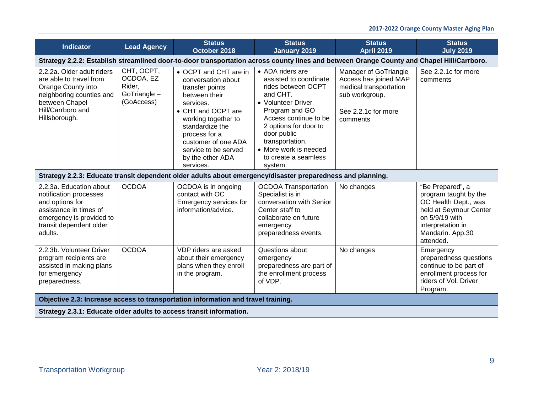| <b>Indicator</b>                                                                                                                                                 | <b>Lead Agency</b>                                              | <b>Status</b><br>October 2018                                                                                                                                                                                                                                 | <b>Status</b><br><b>January 2019</b>                                                                                                                                                                                                                                 | <b>Status</b><br><b>April 2019</b>                                                                                            | <b>Status</b><br><b>July 2019</b>                                                                                                                                   |  |  |  |
|------------------------------------------------------------------------------------------------------------------------------------------------------------------|-----------------------------------------------------------------|---------------------------------------------------------------------------------------------------------------------------------------------------------------------------------------------------------------------------------------------------------------|----------------------------------------------------------------------------------------------------------------------------------------------------------------------------------------------------------------------------------------------------------------------|-------------------------------------------------------------------------------------------------------------------------------|---------------------------------------------------------------------------------------------------------------------------------------------------------------------|--|--|--|
| Strategy 2.2.2: Establish streamlined door-to-door transportation across county lines and between Orange County and Chapel Hill/Carrboro.                        |                                                                 |                                                                                                                                                                                                                                                               |                                                                                                                                                                                                                                                                      |                                                                                                                               |                                                                                                                                                                     |  |  |  |
| 2.2.2a. Older adult riders<br>are able to travel from<br>Orange County into<br>neighboring counties and<br>between Chapel<br>Hill/Carrboro and<br>Hillsborough.  | CHT, OCPT,<br>OCDOA, EZ<br>Rider,<br>GoTriangle -<br>(GoAccess) | • OCPT and CHT are in<br>conversation about<br>transfer points<br>between their<br>services.<br>• CHT and OCPT are<br>working together to<br>standardize the<br>process for a<br>customer of one ADA<br>service to be served<br>by the other ADA<br>services. | • ADA riders are<br>assisted to coordinate<br>rides between OCPT<br>and CHT.<br>• Volunteer Driver<br>Program and GO<br>Access continue to be<br>2 options for door to<br>door public<br>transportation.<br>• More work is needed<br>to create a seamless<br>system. | Manager of GoTriangle<br>Access has joined MAP<br>medical transportation<br>sub workgroup.<br>See 2.2.1c for more<br>comments | See 2.2.1c for more<br>comments                                                                                                                                     |  |  |  |
|                                                                                                                                                                  |                                                                 | Strategy 2.2.3: Educate transit dependent older adults about emergency/disaster preparedness and planning.                                                                                                                                                    |                                                                                                                                                                                                                                                                      |                                                                                                                               |                                                                                                                                                                     |  |  |  |
| 2.2.3a. Education about<br>notification processes<br>and options for<br>assistance in times of<br>emergency is provided to<br>transit dependent older<br>adults. | <b>OCDOA</b>                                                    | OCDOA is in ongoing<br>contact with OC<br>Emergency services for<br>information/advice.                                                                                                                                                                       | <b>OCDOA Transportation</b><br>Specialist is in<br>conversation with Senior<br>Center staff to<br>collaborate on future<br>emergency<br>preparedness events.                                                                                                         | No changes                                                                                                                    | "Be Prepared", a<br>program taught by the<br>OC Health Dept., was<br>held at Seymour Center<br>on 5/9/19 with<br>interpretation in<br>Mandarin. App.30<br>attended. |  |  |  |
| 2.2.3b. Volunteer Driver<br>program recipients are<br>assisted in making plans<br>for emergency<br>preparedness.                                                 | <b>OCDOA</b>                                                    | VDP riders are asked<br>about their emergency<br>plans when they enroll<br>in the program.                                                                                                                                                                    | Questions about<br>emergency<br>preparedness are part of<br>the enrollment process<br>of VDP.                                                                                                                                                                        | No changes                                                                                                                    | Emergency<br>preparedness questions<br>continue to be part of<br>enrollment process for<br>riders of Vol. Driver<br>Program.                                        |  |  |  |
|                                                                                                                                                                  |                                                                 | Objective 2.3: Increase access to transportation information and travel training.                                                                                                                                                                             |                                                                                                                                                                                                                                                                      |                                                                                                                               |                                                                                                                                                                     |  |  |  |
| Strategy 2.3.1: Educate older adults to access transit information.                                                                                              |                                                                 |                                                                                                                                                                                                                                                               |                                                                                                                                                                                                                                                                      |                                                                                                                               |                                                                                                                                                                     |  |  |  |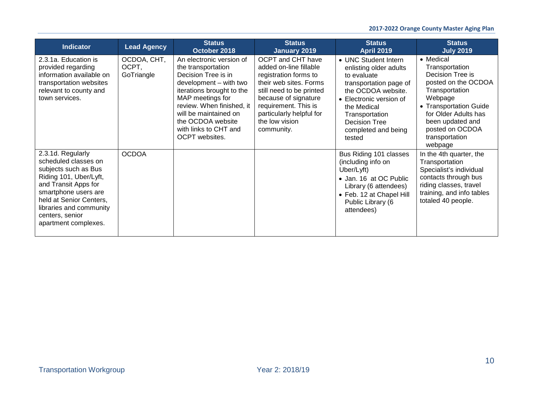| <b>Indicator</b>                                                                                                                                                                                                                             | <b>Lead Agency</b>                 | <b>Status</b><br>October 2018                                                                                                                                                                                                                                          | <b>Status</b><br>January 2019                                                                                                                                                                                                                 | <b>Status</b><br><b>April 2019</b>                                                                                                                                                                                                 | <b>Status</b><br><b>July 2019</b>                                                                                                                                                                                         |
|----------------------------------------------------------------------------------------------------------------------------------------------------------------------------------------------------------------------------------------------|------------------------------------|------------------------------------------------------------------------------------------------------------------------------------------------------------------------------------------------------------------------------------------------------------------------|-----------------------------------------------------------------------------------------------------------------------------------------------------------------------------------------------------------------------------------------------|------------------------------------------------------------------------------------------------------------------------------------------------------------------------------------------------------------------------------------|---------------------------------------------------------------------------------------------------------------------------------------------------------------------------------------------------------------------------|
| 2.3.1a. Education is<br>provided regarding<br>information available on<br>transportation websites<br>relevant to county and<br>town services.                                                                                                | OCDOA, CHT,<br>OCPT,<br>GoTriangle | An electronic version of<br>the transportation<br>Decision Tree is in<br>development – with two<br>iterations brought to the<br>MAP meetings for<br>review. When finished, it<br>will be maintained on<br>the OCDOA website<br>with links to CHT and<br>OCPT websites. | <b>OCPT and CHT have</b><br>added on-line fillable<br>registration forms to<br>their web sites. Forms<br>still need to be printed<br>because of signature<br>requirement. This is<br>particularly helpful for<br>the low vision<br>community. | • UNC Student Intern<br>enlisting older adults<br>to evaluate<br>transportation page of<br>the OCDOA website.<br>• Electronic version of<br>the Medical<br>Transportation<br><b>Decision Tree</b><br>completed and being<br>tested | • Medical<br>Transportation<br>Decision Tree is<br>posted on the OCDOA<br>Transportation<br>Webpage<br>• Transportation Guide<br>for Older Adults has<br>been updated and<br>posted on OCDOA<br>transportation<br>webpage |
| 2.3.1d. Regularly<br>scheduled classes on<br>subjects such as Bus<br>Riding 101, Uber/Lyft,<br>and Transit Apps for<br>smartphone users are<br>held at Senior Centers,<br>libraries and community<br>centers, senior<br>apartment complexes. | <b>OCDOA</b>                       |                                                                                                                                                                                                                                                                        |                                                                                                                                                                                                                                               | Bus Riding 101 classes<br>(including info on<br>Uber/Lyft)<br>• Jan. 16 at OC Public<br>Library (6 attendees)<br>• Feb. 12 at Chapel Hill<br>Public Library (6<br>attendees)                                                       | In the 4th quarter, the<br>Transportation<br>Specialist's individual<br>contacts through bus<br>riding classes, travel<br>training, and info tables<br>totaled 40 people.                                                 |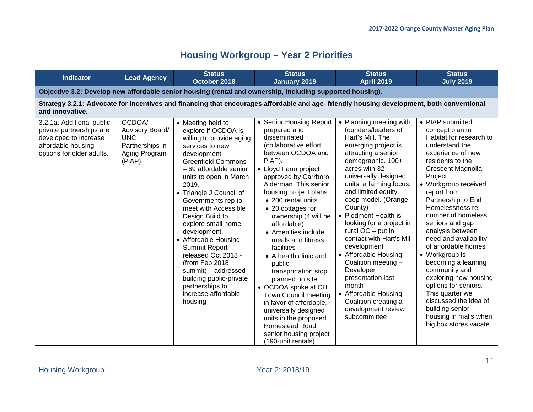# **Housing Workgroup – Year 2 Priorities**

<span id="page-10-0"></span>

| <b>Indicator</b>                                                                                                                   | <b>Lead Agency</b>                                                                    | <b>Status</b><br>October 2018                                                                                                                                                                                                                                                                                                                                                                                                                                                                                                | <b>Status</b><br><b>January 2019</b>                                                                                                                                                                                                                                                                                                                                                                                                                                                                                                                                                                                                      | <b>Status</b><br><b>April 2019</b>                                                                                                                                                                                                                                                                                                                                                                                                                                                                                                                                      | <b>Status</b><br><b>July 2019</b>                                                                                                                                                                                                                                                                                                                                                                                                                                                                                                                                                    |  |  |  |  |
|------------------------------------------------------------------------------------------------------------------------------------|---------------------------------------------------------------------------------------|------------------------------------------------------------------------------------------------------------------------------------------------------------------------------------------------------------------------------------------------------------------------------------------------------------------------------------------------------------------------------------------------------------------------------------------------------------------------------------------------------------------------------|-------------------------------------------------------------------------------------------------------------------------------------------------------------------------------------------------------------------------------------------------------------------------------------------------------------------------------------------------------------------------------------------------------------------------------------------------------------------------------------------------------------------------------------------------------------------------------------------------------------------------------------------|-------------------------------------------------------------------------------------------------------------------------------------------------------------------------------------------------------------------------------------------------------------------------------------------------------------------------------------------------------------------------------------------------------------------------------------------------------------------------------------------------------------------------------------------------------------------------|--------------------------------------------------------------------------------------------------------------------------------------------------------------------------------------------------------------------------------------------------------------------------------------------------------------------------------------------------------------------------------------------------------------------------------------------------------------------------------------------------------------------------------------------------------------------------------------|--|--|--|--|
| Objective 3.2: Develop new affordable senior housing (rental and ownership, including supported housing).                          |                                                                                       |                                                                                                                                                                                                                                                                                                                                                                                                                                                                                                                              |                                                                                                                                                                                                                                                                                                                                                                                                                                                                                                                                                                                                                                           |                                                                                                                                                                                                                                                                                                                                                                                                                                                                                                                                                                         |                                                                                                                                                                                                                                                                                                                                                                                                                                                                                                                                                                                      |  |  |  |  |
| and innovative.                                                                                                                    |                                                                                       | Strategy 3.2.1: Advocate for incentives and financing that encourages affordable and age- friendly housing development, both conventional                                                                                                                                                                                                                                                                                                                                                                                    |                                                                                                                                                                                                                                                                                                                                                                                                                                                                                                                                                                                                                                           |                                                                                                                                                                                                                                                                                                                                                                                                                                                                                                                                                                         |                                                                                                                                                                                                                                                                                                                                                                                                                                                                                                                                                                                      |  |  |  |  |
| 3.2.1a. Additional public-<br>private partnerships are<br>developed to increase<br>affordable housing<br>options for older adults. | OCDOA/<br>Advisory Board/<br><b>UNC</b><br>Partnerships in<br>Aging Program<br>(PiAP) | • Meeting held to<br>explore if OCDOA is<br>willing to provide aging<br>services to new<br>development-<br><b>Greenfield Commons</b><br>- 69 affordable senior<br>units to open in March<br>2019.<br>• Triangle J Council of<br>Governments rep to<br>meet with Accessible<br>Design Build to<br>explore small home<br>development.<br>• Affordable Housing<br>Summit Report<br>released Oct 2018 -<br>(from Feb 2018<br>summit) - addressed<br>building public-private<br>partnerships to<br>increase affordable<br>housing | • Senior Housing Report<br>prepared and<br>disseminated<br>(collaborative effort<br>between OCDOA and<br>PiAP).<br>• Lloyd Farm project<br>approved by Carrboro<br>Alderman. This senior<br>housing project plans:<br>• 200 rental units<br>• 20 cottages for<br>ownership (4 will be<br>affordable)<br>• Amenities include<br>meals and fitness<br>facilities<br>• A health clinic and<br>public<br>transportation stop<br>planned on site.<br>• OCDOA spoke at CH<br>Town Council meeting<br>in favor of affordable.<br>universally designed<br>units in the proposed<br>Homestead Road<br>senior housing project<br>(190-unit rentals) | • Planning meeting with<br>founders/leaders of<br>Hart's Mill. The<br>emerging project is<br>attracting a senior<br>demographic. 100+<br>acres with 32<br>universally designed<br>units, a farming focus,<br>and limited equity<br>coop model. (Orange<br>County)<br>• Piedmont Health is<br>looking for a project in<br>rural $OC$ – put in<br>contact with Hart's Mill<br>development<br>• Affordable Housing<br>Coalition meeting -<br>Developer<br>presentation last<br>month<br>• Affordable Housing<br>Coalition creating a<br>development review<br>subcommittee | • PIAP submitted<br>concept plan to<br>Habitat for research to<br>understand the<br>experience of new<br>residents to the<br>Crescent Magnolia<br>Project.<br>• Workgroup received<br>report from<br>Partnership to End<br>Homelessness re:<br>number of homeless<br>seniors and gap<br>analysis between<br>need and availability<br>of affordable homes<br>• Workgroup is<br>becoming a learning<br>community and<br>exploring new housing<br>options for seniors.<br>This quarter we<br>discussed the idea of<br>building senior<br>housing in malls when<br>big box stores vacate |  |  |  |  |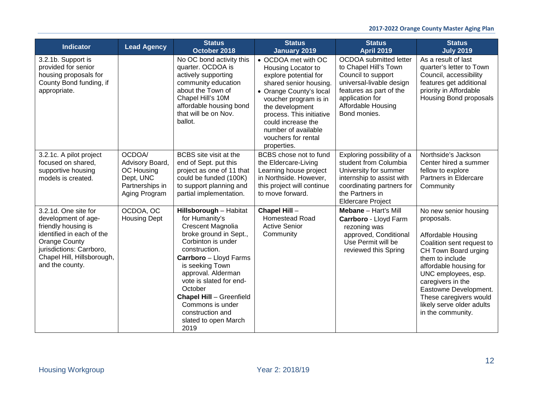| <b>Indicator</b>                                                                                                                                                                                     | <b>Lead Agency</b>                                                                       | <b>Status</b><br>October 2018                                                                                                                                                                                                                                                                                                                             | <b>Status</b><br><b>January 2019</b>                                                                                                                                                                                                                                               | <b>Status</b><br><b>April 2019</b>                                                                                                                                                           | <b>Status</b><br><b>July 2019</b>                                                                                                                                                                                                                                                                            |
|------------------------------------------------------------------------------------------------------------------------------------------------------------------------------------------------------|------------------------------------------------------------------------------------------|-----------------------------------------------------------------------------------------------------------------------------------------------------------------------------------------------------------------------------------------------------------------------------------------------------------------------------------------------------------|------------------------------------------------------------------------------------------------------------------------------------------------------------------------------------------------------------------------------------------------------------------------------------|----------------------------------------------------------------------------------------------------------------------------------------------------------------------------------------------|--------------------------------------------------------------------------------------------------------------------------------------------------------------------------------------------------------------------------------------------------------------------------------------------------------------|
| 3.2.1b. Support is<br>provided for senior<br>housing proposals for<br>County Bond funding, if<br>appropriate.                                                                                        |                                                                                          | No OC bond activity this<br>quarter. OCDOA is<br>actively supporting<br>community education<br>about the Town of<br>Chapel Hill's 10M<br>affordable housing bond<br>that will be on Nov.<br>ballot.                                                                                                                                                       | • OCDOA met with OC<br>Housing Locator to<br>explore potential for<br>shared senior housing.<br>• Orange County's local<br>voucher program is in<br>the development<br>process. This initiative<br>could increase the<br>number of available<br>vouchers for rental<br>properties. | <b>OCDOA</b> submitted letter<br>to Chapel Hill's Town<br>Council to support<br>universal-livable design<br>features as part of the<br>application for<br>Affordable Housing<br>Bond monies. | As a result of last<br>quarter's letter to Town<br>Council, accessibility<br>features get additional<br>priority in Affordable<br><b>Housing Bond proposals</b>                                                                                                                                              |
| 3.2.1c. A pilot project<br>focused on shared,<br>supportive housing<br>models is created.                                                                                                            | OCDOA/<br>Advisory Board,<br>OC Housing<br>Dept, UNC<br>Partnerships in<br>Aging Program | BCBS site visit at the<br>end of Sept. put this<br>project as one of 11 that<br>could be funded (100K)<br>to support planning and<br>partial implementation.                                                                                                                                                                                              | BCBS chose not to fund<br>the Eldercare-Living<br>Learning house project<br>in Northside. However,<br>this project will continue<br>to move forward.                                                                                                                               | Exploring possibility of a<br>student from Columbia<br>University for summer<br>internship to assist with<br>coordinating partners for<br>the Partners in<br><b>Eldercare Project</b>        | Northside's Jackson<br>Center hired a summer<br>fellow to explore<br>Partners in Eldercare<br>Community                                                                                                                                                                                                      |
| 3.2.1d. One site for<br>development of age-<br>friendly housing is<br>identified in each of the<br><b>Orange County</b><br>jurisdictions: Carrboro,<br>Chapel Hill, Hillsborough,<br>and the county. | OCDOA, OC<br><b>Housing Dept</b>                                                         | Hillsborough - Habitat<br>for Humanity's<br><b>Crescent Magnolia</b><br>broke ground in Sept.,<br>Corbinton is under<br>construction.<br>Carrboro - Lloyd Farms<br>is seeking Town<br>approval. Alderman<br>vote is slated for end-<br>October<br><b>Chapel Hill - Greenfield</b><br>Commons is under<br>construction and<br>slated to open March<br>2019 | Chapel Hill-<br>Homestead Road<br><b>Active Senior</b><br>Community                                                                                                                                                                                                                | Mebane - Hart's Mill<br>Carrboro - Lloyd Farm<br>rezoning was<br>approved, Conditional<br>Use Permit will be<br>reviewed this Spring                                                         | No new senior housing<br>proposals.<br>Affordable Housing<br>Coalition sent request to<br>CH Town Board urging<br>them to include<br>affordable housing for<br>UNC employees, esp.<br>caregivers in the<br>Eastowne Development.<br>These caregivers would<br>likely serve older adults<br>in the community. |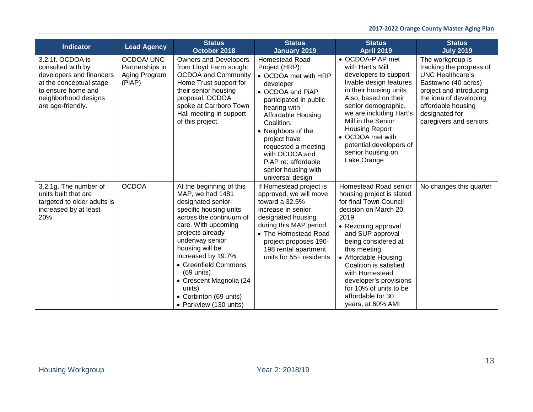| <b>Indicator</b>                                                                                                                                                | <b>Lead Agency</b>                                              | <b>Status</b><br>October 2018                                                                                                                                                                                                                                                                                                                                            | <b>Status</b><br><b>January 2019</b>                                                                                                                                                                                                                                                                                            | <b>Status</b><br><b>April 2019</b>                                                                                                                                                                                                                                                                                                                                | <b>Status</b><br><b>July 2019</b>                                                                                                                                                                               |
|-----------------------------------------------------------------------------------------------------------------------------------------------------------------|-----------------------------------------------------------------|--------------------------------------------------------------------------------------------------------------------------------------------------------------------------------------------------------------------------------------------------------------------------------------------------------------------------------------------------------------------------|---------------------------------------------------------------------------------------------------------------------------------------------------------------------------------------------------------------------------------------------------------------------------------------------------------------------------------|-------------------------------------------------------------------------------------------------------------------------------------------------------------------------------------------------------------------------------------------------------------------------------------------------------------------------------------------------------------------|-----------------------------------------------------------------------------------------------------------------------------------------------------------------------------------------------------------------|
| 3.2.1f. OCDOA is<br>consulted with by<br>developers and financers<br>at the conceptual stage<br>to ensure home and<br>neighborhood designs<br>are age-friendly. | <b>OCDOA/ UNC</b><br>Partnerships in<br>Aging Program<br>(PiAP) | <b>Owners and Developers</b><br>from Lloyd Farm sought<br><b>OCDOA and Community</b><br>Home Trust support for<br>their senior housing<br>proposal. OCDOA<br>spoke at Carrboro Town<br>Hall meeting in support<br>of this project.                                                                                                                                       | <b>Homestead Road</b><br>Project (HRP):<br>• OCDOA met with HRP<br>developer<br>• OCDOA and PiAP<br>participated in public<br>hearing with<br>Affordable Housing<br>Coalition.<br>• Neighbors of the<br>project have<br>requested a meeting<br>with OCDOA and<br>PiAP re: affordable<br>senior housing with<br>universal design | • OCDOA-PIAP met<br>with Hart's Mill<br>developers to support<br>livable design features<br>in their housing units.<br>Also, based on their<br>senior demographic,<br>we are including Hart's<br>Mill in the Senior<br><b>Housing Report</b><br>• OCDOA met with<br>potential developers of<br>senior housing on<br>Lake Orange                                   | The workgroup is<br>tracking the progress of<br>UNC Healthcare's<br>Eastowne (40 acres)<br>project and introducing<br>the idea of developing<br>affordable housing<br>designated for<br>caregivers and seniors. |
| 3.2.1g. The number of<br>units built that are<br>targeted to older adults is<br>increased by at least<br>20%.                                                   | <b>OCDOA</b>                                                    | At the beginning of this<br>MAP, we had 1481<br>designated senior-<br>specific housing units<br>across the continuum of<br>care. With upcoming<br>projects already<br>underway senior<br>housing will be<br>increased by 19.7%.<br>• Greenfield Commons<br>$(69 \text{ units})$<br>• Crescent Magnolia (24<br>units)<br>• Corbinton (69 units)<br>• Parkview (130 units) | If Homestead project is<br>approved, we will move<br>toward a $32.5%$<br>increase in senior<br>designated housing<br>during this MAP period.<br>• The Homestead Road<br>project proposes 190-<br>198 rental apartment<br>units for 55+ residents                                                                                | Homestead Road senior<br>housing project is slated<br>for final Town Council<br>decision on March 20,<br>2019<br>• Rezoning approval<br>and SUP approval<br>being considered at<br>this meeting<br>• Affordable Housing<br>Coalition is satisfied<br>with Homestead<br>developer's provisions<br>for 10% of units to be<br>affordable for 30<br>years, at 60% AMI | No changes this quarter                                                                                                                                                                                         |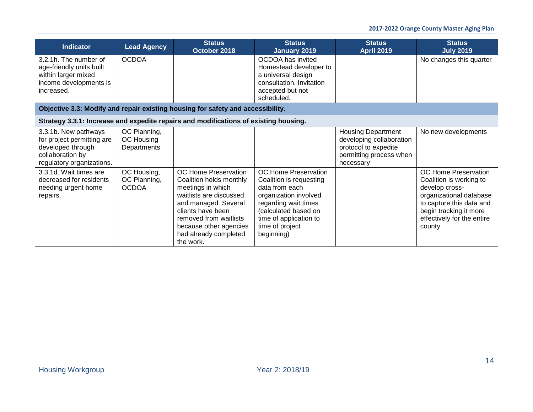| <b>Indicator</b>                                                                                                         | <b>Lead Agency</b>                          | <b>Status</b><br>October 2018                                                                                                                                                                                                          | <b>Status</b><br>January 2019                                                                                                                                                                         | <b>Status</b><br><b>April 2019</b>                                                                                    | <b>Status</b><br><b>July 2019</b>                                                                                                                                                           |  |  |  |
|--------------------------------------------------------------------------------------------------------------------------|---------------------------------------------|----------------------------------------------------------------------------------------------------------------------------------------------------------------------------------------------------------------------------------------|-------------------------------------------------------------------------------------------------------------------------------------------------------------------------------------------------------|-----------------------------------------------------------------------------------------------------------------------|---------------------------------------------------------------------------------------------------------------------------------------------------------------------------------------------|--|--|--|
| 3.2.1h. The number of<br>age-friendly units built<br>within larger mixed<br>income developments is<br>increased.         | <b>OCDOA</b>                                |                                                                                                                                                                                                                                        | OCDOA has invited<br>Homestead developer to<br>a universal design<br>consultation. Invitation<br>accepted but not<br>scheduled.                                                                       |                                                                                                                       | No changes this quarter                                                                                                                                                                     |  |  |  |
| Objective 3.3: Modify and repair existing housing for safety and accessibility.                                          |                                             |                                                                                                                                                                                                                                        |                                                                                                                                                                                                       |                                                                                                                       |                                                                                                                                                                                             |  |  |  |
|                                                                                                                          |                                             | Strategy 3.3.1: Increase and expedite repairs and modifications of existing housing.                                                                                                                                                   |                                                                                                                                                                                                       |                                                                                                                       |                                                                                                                                                                                             |  |  |  |
| 3.3.1b. New pathways<br>for project permitting are<br>developed through<br>collaboration by<br>regulatory organizations. | OC Planning,<br>OC Housing<br>Departments   |                                                                                                                                                                                                                                        |                                                                                                                                                                                                       | <b>Housing Department</b><br>developing collaboration<br>protocol to expedite<br>permitting process when<br>necessary | No new developments                                                                                                                                                                         |  |  |  |
| 3.3.1d. Wait times are<br>decreased for residents<br>needing urgent home<br>repairs.                                     | OC Housing,<br>OC Planning,<br><b>OCDOA</b> | OC Home Preservation<br>Coalition holds monthly<br>meetings in which<br>waitlists are discussed<br>and managed. Several<br>clients have been<br>removed from waitlists<br>because other agencies<br>had already completed<br>the work. | OC Home Preservation<br>Coalition is requesting<br>data from each<br>organization involved<br>regarding wait times<br>(calculated based on<br>time of application to<br>time of project<br>beginning) |                                                                                                                       | OC Home Preservation<br>Coalition is working to<br>develop cross-<br>organizational database<br>to capture this data and<br>begin tracking it more<br>effectively for the entire<br>county. |  |  |  |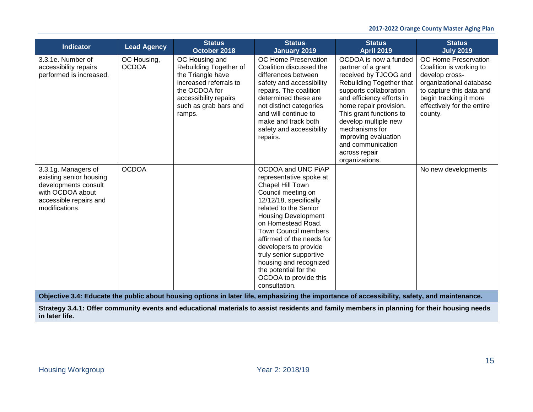| <b>Indicator</b>                                                                                                                             | <b>Lead Agency</b>          | <b>Status</b><br>October 2018                                                                                                                                        | <b>Status</b><br><b>January 2019</b>                                                                                                                                                                                                                                                                                                                                                                        | <b>Status</b><br><b>April 2019</b>                                                                                                                                                                                                                                                                                                     | <b>Status</b><br><b>July 2019</b>                                                                                                                                                           |  |  |
|----------------------------------------------------------------------------------------------------------------------------------------------|-----------------------------|----------------------------------------------------------------------------------------------------------------------------------------------------------------------|-------------------------------------------------------------------------------------------------------------------------------------------------------------------------------------------------------------------------------------------------------------------------------------------------------------------------------------------------------------------------------------------------------------|----------------------------------------------------------------------------------------------------------------------------------------------------------------------------------------------------------------------------------------------------------------------------------------------------------------------------------------|---------------------------------------------------------------------------------------------------------------------------------------------------------------------------------------------|--|--|
| 3.3.1e. Number of<br>accessibility repairs<br>performed is increased.                                                                        | OC Housing,<br><b>OCDOA</b> | OC Housing and<br>Rebuilding Together of<br>the Triangle have<br>increased referrals to<br>the OCDOA for<br>accessibility repairs<br>such as grab bars and<br>ramps. | <b>OC Home Preservation</b><br>Coalition discussed the<br>differences between<br>safety and accessibility<br>repairs. The coalition<br>determined these are<br>not distinct categories<br>and will continue to<br>make and track both<br>safety and accessibility<br>repairs.                                                                                                                               | OCDOA is now a funded<br>partner of a grant<br>received by TJCOG and<br>Rebuilding Together that<br>supports collaboration<br>and efficiency efforts in<br>home repair provision.<br>This grant functions to<br>develop multiple new<br>mechanisms for<br>improving evaluation<br>and communication<br>across repair<br>organizations. | OC Home Preservation<br>Coalition is working to<br>develop cross-<br>organizational database<br>to capture this data and<br>begin tracking it more<br>effectively for the entire<br>county. |  |  |
| 3.3.1g. Managers of<br>existing senior housing<br>developments consult<br>with OCDOA about<br>accessible repairs and<br>modifications.       | <b>OCDOA</b>                |                                                                                                                                                                      | OCDOA and UNC PIAP<br>representative spoke at<br>Chapel Hill Town<br>Council meeting on<br>12/12/18, specifically<br>related to the Senior<br><b>Housing Development</b><br>on Homestead Road.<br><b>Town Council members</b><br>affirmed of the needs for<br>developers to provide<br>truly senior supportive<br>housing and recognized<br>the potential for the<br>OCDOA to provide this<br>consultation. |                                                                                                                                                                                                                                                                                                                                        | No new developments                                                                                                                                                                         |  |  |
| Objective 3.4: Educate the public about housing options in later life, emphasizing the importance of accessibility, safety, and maintenance. |                             |                                                                                                                                                                      |                                                                                                                                                                                                                                                                                                                                                                                                             |                                                                                                                                                                                                                                                                                                                                        |                                                                                                                                                                                             |  |  |
| in later life.                                                                                                                               |                             |                                                                                                                                                                      |                                                                                                                                                                                                                                                                                                                                                                                                             | Strategy 3.4.1: Offer community events and educational materials to assist residents and family members in planning for their housing needs                                                                                                                                                                                            |                                                                                                                                                                                             |  |  |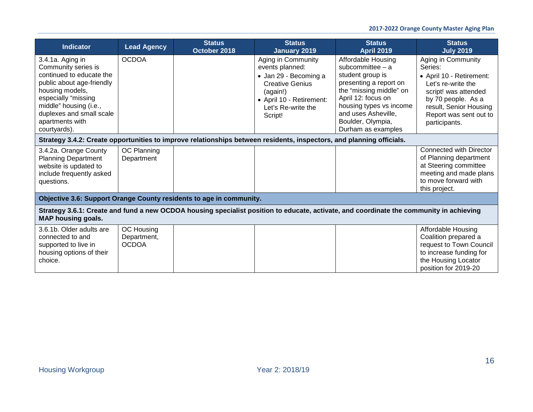| <b>Indicator</b>                                                                                                                                                                                                                    | <b>Lead Agency</b>                        | <b>Status</b><br>October 2018                                                                                        | <b>Status</b><br><b>January 2019</b>                                                                                                                              | <b>Status</b><br><b>April 2019</b>                                                                                                                                                                                                   | <b>Status</b><br><b>July 2019</b>                                                                                                                                                                  |
|-------------------------------------------------------------------------------------------------------------------------------------------------------------------------------------------------------------------------------------|-------------------------------------------|----------------------------------------------------------------------------------------------------------------------|-------------------------------------------------------------------------------------------------------------------------------------------------------------------|--------------------------------------------------------------------------------------------------------------------------------------------------------------------------------------------------------------------------------------|----------------------------------------------------------------------------------------------------------------------------------------------------------------------------------------------------|
| 3.4.1a. Aging in<br>Community series is<br>continued to educate the<br>public about age-friendly<br>housing models,<br>especially "missing<br>middle" housing (i.e.,<br>duplexes and small scale<br>apartments with<br>courtyards). | <b>OCDOA</b>                              |                                                                                                                      | Aging in Community<br>events planned:<br>· Jan 29 - Becoming a<br><b>Creative Genius</b><br>(again!)<br>• April 10 - Retirement:<br>Let's Re-write the<br>Script! | Affordable Housing<br>subcommittee $-$ a<br>student group is<br>presenting a report on<br>the "missing middle" on<br>April 12: focus on<br>housing types vs income<br>and uses Asheville,<br>Boulder, Olympia,<br>Durham as examples | Aging in Community<br>Series:<br>• April 10 - Retirement:<br>Let's re-write the<br>script! was attended<br>by 70 people. As a<br>result, Senior Housing<br>Report was sent out to<br>participants. |
|                                                                                                                                                                                                                                     |                                           | Strategy 3.4.2: Create opportunities to improve relationships between residents, inspectors, and planning officials. |                                                                                                                                                                   |                                                                                                                                                                                                                                      |                                                                                                                                                                                                    |
| 3.4.2a. Orange County<br><b>Planning Department</b><br>website is updated to<br>include frequently asked<br>questions.                                                                                                              | OC Planning<br>Department                 |                                                                                                                      |                                                                                                                                                                   |                                                                                                                                                                                                                                      | <b>Connected with Director</b><br>of Planning department<br>at Steering committee<br>meeting and made plans<br>to move forward with<br>this project.                                               |
|                                                                                                                                                                                                                                     |                                           | Objective 3.6: Support Orange County residents to age in community.                                                  |                                                                                                                                                                   |                                                                                                                                                                                                                                      |                                                                                                                                                                                                    |
| <b>MAP housing goals.</b>                                                                                                                                                                                                           |                                           |                                                                                                                      |                                                                                                                                                                   | Strategy 3.6.1: Create and fund a new OCDOA housing specialist position to educate, activate, and coordinate the community in achieving                                                                                              |                                                                                                                                                                                                    |
| 3.6.1b. Older adults are<br>connected to and<br>supported to live in<br>housing options of their<br>choice.                                                                                                                         | OC Housing<br>Department,<br><b>OCDOA</b> |                                                                                                                      |                                                                                                                                                                   |                                                                                                                                                                                                                                      | Affordable Housing<br>Coalition prepared a<br>request to Town Council<br>to increase funding for<br>the Housing Locator<br>position for 2019-20                                                    |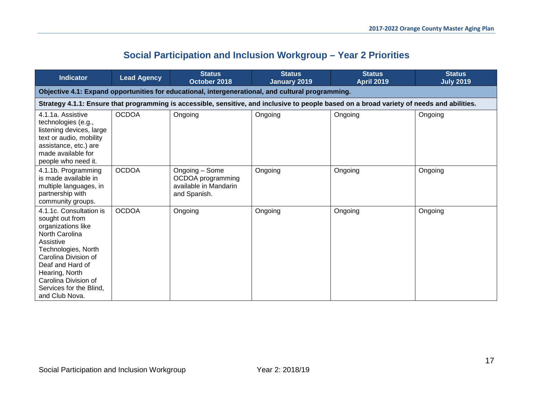<span id="page-16-0"></span>

| <b>Indicator</b>                                                                                                                                                                                                                                          | <b>Lead Agency</b>                                                                                | <b>Status</b><br>October 2018                                                | <b>Status</b><br>January 2019 | <b>Status</b><br><b>April 2019</b>                                                                                                         | <b>Status</b><br><b>July 2019</b> |  |  |  |
|-----------------------------------------------------------------------------------------------------------------------------------------------------------------------------------------------------------------------------------------------------------|---------------------------------------------------------------------------------------------------|------------------------------------------------------------------------------|-------------------------------|--------------------------------------------------------------------------------------------------------------------------------------------|-----------------------------------|--|--|--|
|                                                                                                                                                                                                                                                           | Objective 4.1: Expand opportunities for educational, intergenerational, and cultural programming. |                                                                              |                               |                                                                                                                                            |                                   |  |  |  |
|                                                                                                                                                                                                                                                           |                                                                                                   |                                                                              |                               | Strategy 4.1.1: Ensure that programming is accessible, sensitive, and inclusive to people based on a broad variety of needs and abilities. |                                   |  |  |  |
| 4.1.1a. Assistive<br>technologies (e.g.,<br>listening devices, large<br>text or audio, mobility<br>assistance, etc.) are<br>made available for<br>people who need it.                                                                                     | <b>OCDOA</b>                                                                                      | Ongoing                                                                      | Ongoing                       | Ongoing                                                                                                                                    | Ongoing                           |  |  |  |
| 4.1.1b. Programming<br>is made available in<br>multiple languages, in<br>partnership with<br>community groups.                                                                                                                                            | <b>OCDOA</b>                                                                                      | Ongoing - Some<br>OCDOA programming<br>available in Mandarin<br>and Spanish. | Ongoing                       | Ongoing                                                                                                                                    | Ongoing                           |  |  |  |
| 4.1.1c. Consultation is<br>sought out from<br>organizations like<br>North Carolina<br>Assistive<br>Technologies, North<br>Carolina Division of<br>Deaf and Hard of<br>Hearing, North<br>Carolina Division of<br>Services for the Blind,<br>and Club Nova. | <b>OCDOA</b>                                                                                      | Ongoing                                                                      | Ongoing                       | Ongoing                                                                                                                                    | Ongoing                           |  |  |  |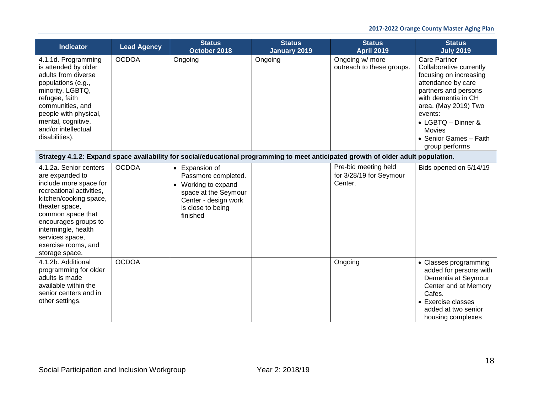| <b>Indicator</b>                                                                                                                                                                                                                                                            | <b>Lead Agency</b> | <b>Status</b><br>October 2018                                                                                                                 | <b>Status</b><br><b>January 2019</b> | <b>Status</b><br><b>April 2019</b>                         | <b>Status</b><br><b>July 2019</b>                                                                                                                                                                                                                                   |  |  |
|-----------------------------------------------------------------------------------------------------------------------------------------------------------------------------------------------------------------------------------------------------------------------------|--------------------|-----------------------------------------------------------------------------------------------------------------------------------------------|--------------------------------------|------------------------------------------------------------|---------------------------------------------------------------------------------------------------------------------------------------------------------------------------------------------------------------------------------------------------------------------|--|--|
| 4.1.1d. Programming<br>is attended by older<br>adults from diverse<br>populations (e.g.,<br>minority, LGBTQ,<br>refugee, faith<br>communities, and<br>people with physical,<br>mental, cognitive,<br>and/or intellectual<br>disabilities).                                  | <b>OCDOA</b>       | Ongoing                                                                                                                                       | Ongoing                              | Ongoing w/ more<br>outreach to these groups.               | <b>Care Partner</b><br>Collaborative currently<br>focusing on increasing<br>attendance by care<br>partners and persons<br>with dementia in CH<br>area. (May 2019) Two<br>events:<br>• LGBTQ - Dinner &<br><b>Movies</b><br>• Senior Games - Faith<br>group performs |  |  |
| Strategy 4.1.2: Expand space availability for social/educational programming to meet anticipated growth of older adult population.                                                                                                                                          |                    |                                                                                                                                               |                                      |                                                            |                                                                                                                                                                                                                                                                     |  |  |
| 4.1.2a. Senior centers<br>are expanded to<br>include more space for<br>recreational activities,<br>kitchen/cooking space,<br>theater space,<br>common space that<br>encourages groups to<br>intermingle, health<br>services space,<br>exercise rooms, and<br>storage space. | <b>OCDOA</b>       | • Expansion of<br>Passmore completed.<br>• Working to expand<br>space at the Seymour<br>Center - design work<br>is close to being<br>finished |                                      | Pre-bid meeting held<br>for 3/28/19 for Seymour<br>Center. | Bids opened on 5/14/19                                                                                                                                                                                                                                              |  |  |
| 4.1.2b. Additional<br>programming for older<br>adults is made<br>available within the<br>senior centers and in<br>other settings.                                                                                                                                           | <b>OCDOA</b>       |                                                                                                                                               |                                      | Ongoing                                                    | • Classes programming<br>added for persons with<br>Dementia at Seymour<br>Center and at Memory<br>Cafes.<br>• Exercise classes<br>added at two senior<br>housing complexes                                                                                          |  |  |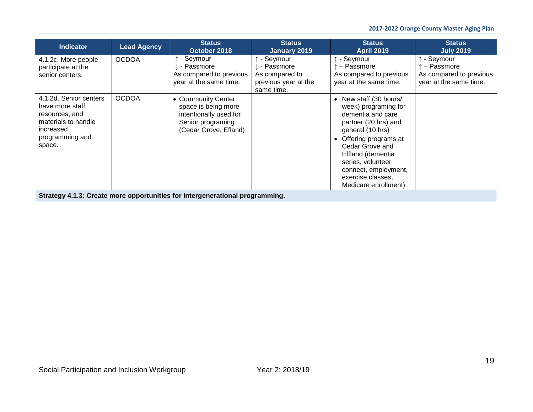| <b>Indicator</b>                                                                                                              | <b>Lead Agency</b> | <b>Status</b><br>October 2018                                                                                     | <b>Status</b><br>January 2019                                                     | <b>Status</b><br><b>April 2019</b>                                                                                                                                                                                                                                                   | <b>Status</b><br><b>July 2019</b>                                            |
|-------------------------------------------------------------------------------------------------------------------------------|--------------------|-------------------------------------------------------------------------------------------------------------------|-----------------------------------------------------------------------------------|--------------------------------------------------------------------------------------------------------------------------------------------------------------------------------------------------------------------------------------------------------------------------------------|------------------------------------------------------------------------------|
| 4.1.2c. More people<br>participate at the<br>senior centers.                                                                  | <b>OCDOA</b>       | - Seymour<br>. - Passmore<br>As compared to previous<br>year at the same time.                                    | - Seymour<br>↓ - Passmore<br>As compared to<br>previous year at the<br>same time. | ↑ - Seymour<br>- Passmore<br>As compared to previous<br>year at the same time.                                                                                                                                                                                                       | - Seymour<br>- Passmore<br>As compared to previous<br>year at the same time. |
| 4.1.2d. Senior centers<br>have more staff,<br>resources, and<br>materials to handle<br>increased<br>programming and<br>space. | <b>OCDOA</b>       | • Community Center<br>space is being more<br>intentionally used for<br>Senior programing<br>(Cedar Grove, Efland) |                                                                                   | New staff (30 hours/<br>$\bullet$<br>week) programing for<br>dementia and care<br>partner (20 hrs) and<br>general (10 hrs)<br>Offering programs at<br>Cedar Grove and<br>Effland (dementia<br>series, volunteer<br>connect, employment,<br>exercise classes,<br>Medicare enrollment) |                                                                              |
|                                                                                                                               |                    | Strategy 4.1.3: Create more opportunities for intergenerational programming.                                      |                                                                                   |                                                                                                                                                                                                                                                                                      |                                                                              |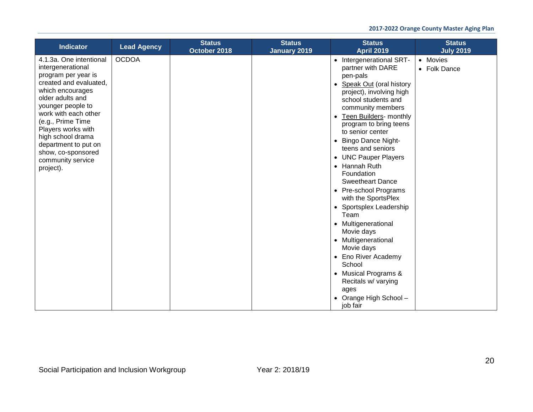| <b>Indicator</b>                                                                                                                                                                                                                                                                                                                   | <b>Lead Agency</b> | <b>Status</b><br>October 2018 | <b>Status</b><br><b>January 2019</b> | <b>Status</b><br><b>April 2019</b>                                                                                                                                                                                                                                                                                                                                                                                                                                                                                                                                                                                                                                                                                       | <b>Status</b><br><b>July 2019</b> |
|------------------------------------------------------------------------------------------------------------------------------------------------------------------------------------------------------------------------------------------------------------------------------------------------------------------------------------|--------------------|-------------------------------|--------------------------------------|--------------------------------------------------------------------------------------------------------------------------------------------------------------------------------------------------------------------------------------------------------------------------------------------------------------------------------------------------------------------------------------------------------------------------------------------------------------------------------------------------------------------------------------------------------------------------------------------------------------------------------------------------------------------------------------------------------------------------|-----------------------------------|
| 4.1.3a. One intentional<br>intergenerational<br>program per year is<br>created and evaluated,<br>which encourages<br>older adults and<br>younger people to<br>work with each other<br>(e.g., Prime Time<br>Players works with<br>high school drama<br>department to put on<br>show, co-sponsored<br>community service<br>project). | <b>OCDOA</b>       |                               |                                      | • Intergenerational SRT-<br>partner with DARE<br>pen-pals<br><b>Speak Out (oral history</b><br>$\bullet$<br>project), involving high<br>school students and<br>community members<br><b>Teen Builders- monthly</b><br>$\bullet$<br>program to bring teens<br>to senior center<br><b>Bingo Dance Night-</b><br>$\bullet$<br>teens and seniors<br>• UNC Pauper Players<br>• Hannah Ruth<br>Foundation<br><b>Sweetheart Dance</b><br>• Pre-school Programs<br>with the SportsPlex<br>• Sportsplex Leadership<br>Team<br>• Multigenerational<br>Movie days<br>• Multigenerational<br>Movie days<br>• Eno River Academy<br>School<br>• Musical Programs &<br>Recitals w/ varying<br>ages<br>• Orange High School -<br>job fair | • Movies<br>• Folk Dance          |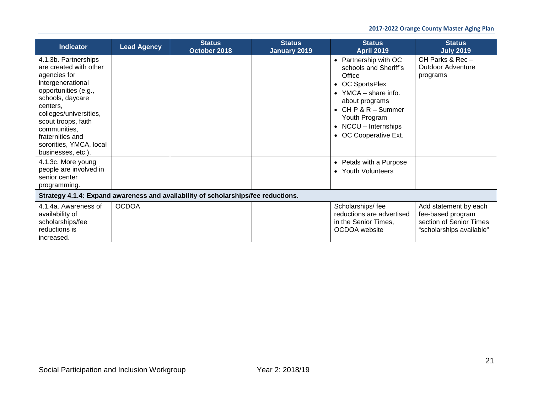| <b>Indicator</b>                                                                                                                                                                                                                                                                  | <b>Lead Agency</b> | <b>Status</b><br>October 2018 | <b>Status</b><br><b>January 2019</b> | <b>Status</b><br><b>April 2019</b>                                                                                                                                                                                             | <b>Status</b><br><b>July 2019</b>                                                                 |  |
|-----------------------------------------------------------------------------------------------------------------------------------------------------------------------------------------------------------------------------------------------------------------------------------|--------------------|-------------------------------|--------------------------------------|--------------------------------------------------------------------------------------------------------------------------------------------------------------------------------------------------------------------------------|---------------------------------------------------------------------------------------------------|--|
| 4.1.3b. Partnerships<br>are created with other<br>agencies for<br>intergenerational<br>opportunities (e.g.,<br>schools, daycare<br>centers.<br>colleges/universities,<br>scout troops, faith<br>communities,<br>fraternities and<br>sororities, YMCA, local<br>businesses, etc.). |                    |                               |                                      | • Partnership with OC<br>schools and Sheriff's<br>Office<br>• OC SportsPlex<br>• YMCA – share info.<br>about programs<br>$\bullet$ CH P & R - Summer<br>Youth Program<br>$\bullet$ NCCU - Internships<br>• OC Cooperative Ext. | CH Parks & Rec $-$<br><b>Outdoor Adventure</b><br>programs                                        |  |
| 4.1.3c. More young<br>people are involved in<br>senior center<br>programming.                                                                                                                                                                                                     |                    |                               |                                      | • Petals with a Purpose<br>• Youth Volunteers                                                                                                                                                                                  |                                                                                                   |  |
| Strategy 4.1.4: Expand awareness and availability of scholarships/fee reductions.                                                                                                                                                                                                 |                    |                               |                                      |                                                                                                                                                                                                                                |                                                                                                   |  |
| 4.1.4a. Awareness of<br>availability of<br>scholarships/fee<br>reductions is<br>increased.                                                                                                                                                                                        | <b>OCDOA</b>       |                               |                                      | Scholarships/fee<br>reductions are advertised<br>in the Senior Times,<br>OCDOA website                                                                                                                                         | Add statement by each<br>fee-based program<br>section of Senior Times<br>"scholarships available" |  |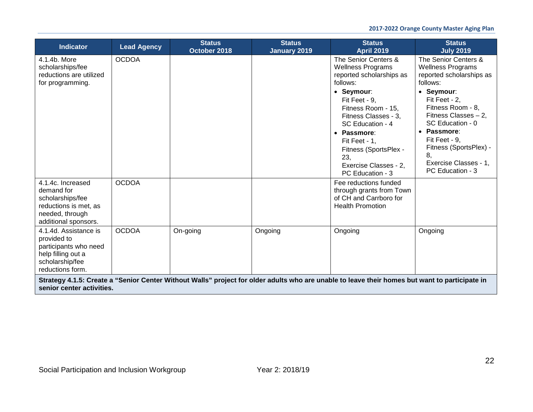| <b>Indicator</b>                                                                                                           | <b>Lead Agency</b> | <b>Status</b><br>October 2018 | <b>Status</b><br><b>January 2019</b> | <b>Status</b><br><b>April 2019</b>                                                                                                                                                                                                                                                                     | <b>Status</b><br><b>July 2019</b>                                                                                                                                                                                                                                                                       |
|----------------------------------------------------------------------------------------------------------------------------|--------------------|-------------------------------|--------------------------------------|--------------------------------------------------------------------------------------------------------------------------------------------------------------------------------------------------------------------------------------------------------------------------------------------------------|---------------------------------------------------------------------------------------------------------------------------------------------------------------------------------------------------------------------------------------------------------------------------------------------------------|
| 4.1.4b. More<br>scholarships/fee<br>reductions are utilized<br>for programming.                                            | <b>OCDOA</b>       |                               |                                      | The Senior Centers &<br><b>Wellness Programs</b><br>reported scholarships as<br>follows:<br>• Seymour:<br>Fit Feet - 9.<br>Fitness Room - 15,<br>Fitness Classes - 3,<br>SC Education - 4<br>• Passmore:<br>Fit Feet - 1.<br>Fitness (SportsPlex -<br>23,<br>Exercise Classes - 2.<br>PC Education - 3 | The Senior Centers &<br><b>Wellness Programs</b><br>reported scholarships as<br>follows:<br>• Seymour:<br>Fit Feet - 2,<br>Fitness Room - 8.<br>Fitness Classes $-2$ ,<br>SC Education - 0<br>• Passmore:<br>Fit Feet - 9.<br>Fitness (SportsPlex) -<br>8.<br>Exercise Classes - 1,<br>PC Education - 3 |
| 4.1.4c. Increased<br>demand for<br>scholarships/fee<br>reductions is met, as<br>needed, through<br>additional sponsors.    | <b>OCDOA</b>       |                               |                                      | Fee reductions funded<br>through grants from Town<br>of CH and Carrboro for<br><b>Health Promotion</b>                                                                                                                                                                                                 |                                                                                                                                                                                                                                                                                                         |
| 4.1.4d. Assistance is<br>provided to<br>participants who need<br>help filling out a<br>scholarship/fee<br>reductions form. | <b>OCDOA</b>       | On-going                      | Ongoing                              | Ongoing                                                                                                                                                                                                                                                                                                | Ongoing                                                                                                                                                                                                                                                                                                 |
| senior center activities.                                                                                                  |                    |                               |                                      | Strategy 4.1.5: Create a "Senior Center Without Walls" project for older adults who are unable to leave their homes but want to participate in                                                                                                                                                         |                                                                                                                                                                                                                                                                                                         |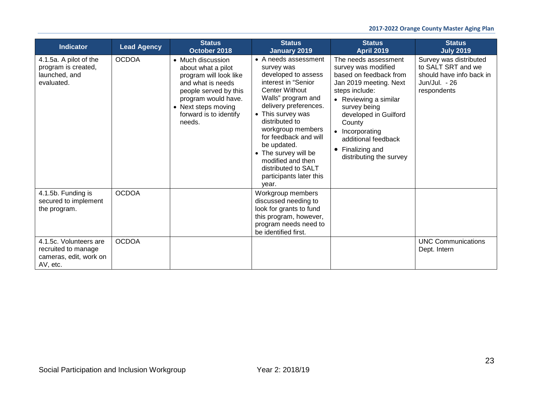| <b>Indicator</b>                                                                    | <b>Lead Agency</b> | <b>Status</b><br>October 2018                                                                                                                                                                     | <b>Status</b><br><b>January 2019</b>                                                                                                                                                                                                                                                                                                                                 | <b>Status</b><br><b>April 2019</b>                                                                                                                                                                                                                                                 | <b>Status</b><br><b>July 2019</b>                                                                        |
|-------------------------------------------------------------------------------------|--------------------|---------------------------------------------------------------------------------------------------------------------------------------------------------------------------------------------------|----------------------------------------------------------------------------------------------------------------------------------------------------------------------------------------------------------------------------------------------------------------------------------------------------------------------------------------------------------------------|------------------------------------------------------------------------------------------------------------------------------------------------------------------------------------------------------------------------------------------------------------------------------------|----------------------------------------------------------------------------------------------------------|
| 4.1.5a. A pilot of the<br>program is created,<br>launched, and<br>evaluated.        | <b>OCDOA</b>       | • Much discussion<br>about what a pilot<br>program will look like<br>and what is needs<br>people served by this<br>program would have.<br>• Next steps moving<br>forward is to identify<br>needs. | • A needs assessment<br>survey was<br>developed to assess<br>interest in "Senior<br><b>Center Without</b><br>Walls" program and<br>delivery preferences.<br>• This survey was<br>distributed to<br>workgroup members<br>for feedback and will<br>be updated.<br>• The survey will be<br>modified and then<br>distributed to SALT<br>participants later this<br>year. | The needs assessment<br>survey was modified<br>based on feedback from<br>Jan 2019 meeting. Next<br>steps include:<br>• Reviewing a similar<br>survey being<br>developed in Guilford<br>County<br>Incorporating<br>additional feedback<br>Finalizing and<br>distributing the survey | Survey was distributed<br>to SALT SRT and we<br>should have info back in<br>Jun/Jul. - 26<br>respondents |
| 4.1.5b. Funding is<br>secured to implement<br>the program.                          | <b>OCDOA</b>       |                                                                                                                                                                                                   | Workgroup members<br>discussed needing to<br>look for grants to fund<br>this program, however,<br>program needs need to<br>be identified first.                                                                                                                                                                                                                      |                                                                                                                                                                                                                                                                                    |                                                                                                          |
| 4.1.5c. Volunteers are<br>recruited to manage<br>cameras, edit, work on<br>AV, etc. | <b>OCDOA</b>       |                                                                                                                                                                                                   |                                                                                                                                                                                                                                                                                                                                                                      |                                                                                                                                                                                                                                                                                    | <b>UNC Communications</b><br>Dept. Intern                                                                |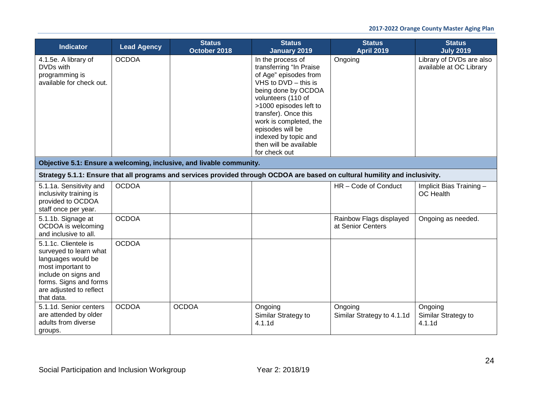| <b>Indicator</b>                                                                                                                                                                     | <b>Lead Agency</b> | <b>Status</b><br>October 2018 | <b>Status</b><br><b>January 2019</b>                                                                                                                                                                                                                                                                              | <b>Status</b><br><b>April 2019</b>                                                                                           | <b>Status</b><br><b>July 2019</b>                   |  |  |
|--------------------------------------------------------------------------------------------------------------------------------------------------------------------------------------|--------------------|-------------------------------|-------------------------------------------------------------------------------------------------------------------------------------------------------------------------------------------------------------------------------------------------------------------------------------------------------------------|------------------------------------------------------------------------------------------------------------------------------|-----------------------------------------------------|--|--|
| 4.1.5e. A library of<br>DVDs with<br>programming is<br>available for check out.                                                                                                      | <b>OCDOA</b>       |                               | In the process of<br>transferring "In Praise<br>of Age" episodes from<br>$VHS$ to $DVD -$ this is<br>being done by OCDOA<br>volunteers (110 of<br>>1000 episodes left to<br>transfer). Once this<br>work is completed, the<br>episodes will be<br>indexed by topic and<br>then will be available<br>for check out | Ongoing                                                                                                                      | Library of DVDs are also<br>available at OC Library |  |  |
| Objective 5.1: Ensure a welcoming, inclusive, and livable community.                                                                                                                 |                    |                               |                                                                                                                                                                                                                                                                                                                   |                                                                                                                              |                                                     |  |  |
|                                                                                                                                                                                      |                    |                               |                                                                                                                                                                                                                                                                                                                   | Strategy 5.1.1: Ensure that all programs and services provided through OCDOA are based on cultural humility and inclusivity. |                                                     |  |  |
| 5.1.1a. Sensitivity and<br>inclusivity training is<br>provided to OCDOA<br>staff once per year.                                                                                      | <b>OCDOA</b>       |                               |                                                                                                                                                                                                                                                                                                                   | HR-Code of Conduct                                                                                                           | Implicit Bias Training -<br>OC Health               |  |  |
| 5.1.1b. Signage at<br>OCDOA is welcoming<br>and inclusive to all.                                                                                                                    | <b>OCDOA</b>       |                               |                                                                                                                                                                                                                                                                                                                   | Rainbow Flags displayed<br>at Senior Centers                                                                                 | Ongoing as needed.                                  |  |  |
| 5.1.1c. Clientele is<br>surveyed to learn what<br>languages would be<br>most important to<br>include on signs and<br>forms. Signs and forms<br>are adjusted to reflect<br>that data. | <b>OCDOA</b>       |                               |                                                                                                                                                                                                                                                                                                                   |                                                                                                                              |                                                     |  |  |
| 5.1.1d. Senior centers<br>are attended by older<br>adults from diverse<br>groups.                                                                                                    | <b>OCDOA</b>       | <b>OCDOA</b>                  | Ongoing<br>Similar Strategy to<br>4.1.1d                                                                                                                                                                                                                                                                          | Ongoing<br>Similar Strategy to 4.1.1d                                                                                        | Ongoing<br>Similar Strategy to<br>4.1.1d            |  |  |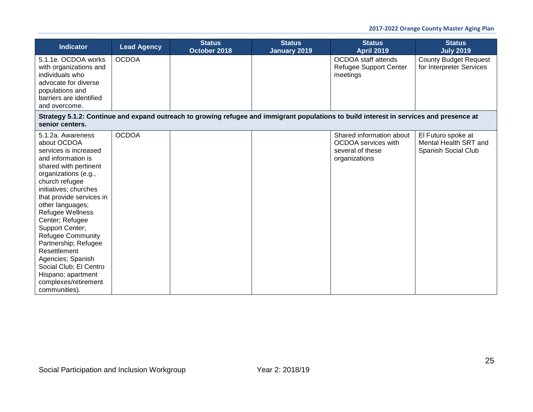| <b>Indicator</b>                                                                                                                                                                                                                                                                                                                                                                                                                                                 | <b>Lead Agency</b> | <b>Status</b><br>October 2018 | <b>Status</b><br><b>January 2019</b> | <b>Status</b><br><b>April 2019</b>                                                                                                      | <b>Status</b><br><b>July 2019</b>                                  |
|------------------------------------------------------------------------------------------------------------------------------------------------------------------------------------------------------------------------------------------------------------------------------------------------------------------------------------------------------------------------------------------------------------------------------------------------------------------|--------------------|-------------------------------|--------------------------------------|-----------------------------------------------------------------------------------------------------------------------------------------|--------------------------------------------------------------------|
| 5.1.1e. OCDOA works<br>with organizations and<br>individuals who<br>advocate for diverse<br>populations and<br>barriers are identified<br>and overcome.                                                                                                                                                                                                                                                                                                          | <b>OCDOA</b>       |                               |                                      | OCDOA staff attends<br>Refugee Support Center<br>meetings                                                                               | <b>County Budget Request</b><br>for Interpreter Services           |
| senior centers.                                                                                                                                                                                                                                                                                                                                                                                                                                                  |                    |                               |                                      | Strategy 5.1.2: Continue and expand outreach to growing refugee and immigrant populations to build interest in services and presence at |                                                                    |
| 5.1.2a. Awareness<br>about OCDOA<br>services is increased<br>and information is<br>shared with pertinent<br>organizations (e.g.,<br>church refugee<br>initiatives; churches<br>that provide services in<br>other languages;<br>Refugee Wellness<br>Center; Refugee<br>Support Center;<br>Refugee Community<br>Partnership; Refugee<br>Resettlement<br>Agencies; Spanish<br>Social Club; El Centro<br>Hispano; apartment<br>complexes/retirement<br>communities). | <b>OCDOA</b>       |                               |                                      | Shared information about<br>OCDOA services with<br>several of these<br>organizations                                                    | El Futuro spoke at<br>Mental Health SRT and<br>Spanish Social Club |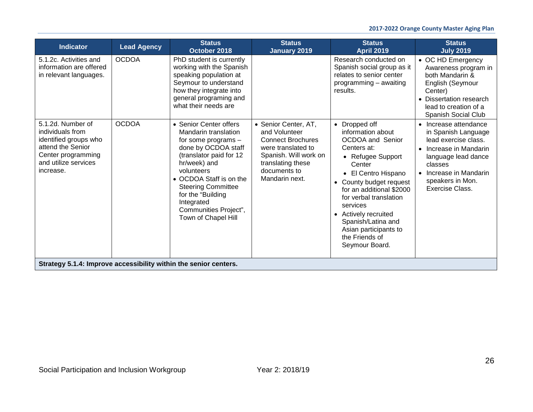| <b>Indicator</b>                                                                                                                               | <b>Lead Agency</b> | <b>Status</b><br>October 2018                                                                                                                                                                                                                                                                    | <b>Status</b><br><b>January 2019</b>                                                                                                                                    | <b>Status</b><br><b>April 2019</b>                                                                                                                                                                                                                                                                                                       | <b>Status</b><br><b>July 2019</b>                                                                                                                                                                            |
|------------------------------------------------------------------------------------------------------------------------------------------------|--------------------|--------------------------------------------------------------------------------------------------------------------------------------------------------------------------------------------------------------------------------------------------------------------------------------------------|-------------------------------------------------------------------------------------------------------------------------------------------------------------------------|------------------------------------------------------------------------------------------------------------------------------------------------------------------------------------------------------------------------------------------------------------------------------------------------------------------------------------------|--------------------------------------------------------------------------------------------------------------------------------------------------------------------------------------------------------------|
| 5.1.2c. Activities and<br>information are offered<br>in relevant languages.                                                                    | <b>OCDOA</b>       | PhD student is currently<br>working with the Spanish<br>speaking population at<br>Seymour to understand<br>how they integrate into<br>general programing and<br>what their needs are                                                                                                             |                                                                                                                                                                         | Research conducted on<br>Spanish social group as it<br>relates to senior center<br>programming - awaiting<br>results.                                                                                                                                                                                                                    | • OC HD Emergency<br>Awareness program in<br>both Mandarin &<br>English (Seymour<br>Center)<br>• Dissertation research<br>lead to creation of a<br>Spanish Social Club                                       |
| 5.1.2d. Number of<br>individuals from<br>identified groups who<br>attend the Senior<br>Center programming<br>and utilize services<br>increase. | <b>OCDOA</b>       | • Senior Center offers<br>Mandarin translation<br>for some programs -<br>done by OCDOA staff<br>(translator paid for 12<br>hr/week) and<br>volunteers<br>• OCDOA Staff is on the<br><b>Steering Committee</b><br>for the "Building<br>Integrated<br>Communities Project",<br>Town of Chapel Hill | • Senior Center, AT,<br>and Volunteer<br><b>Connect Brochures</b><br>were translated to<br>Spanish. Will work on<br>translating these<br>documents to<br>Mandarin next. | • Dropped off<br>information about<br><b>OCDOA</b> and Senior<br>Centers at:<br>• Refugee Support<br>Center<br>• El Centro Hispano<br>• County budget request<br>for an additional \$2000<br>for verbal translation<br>services<br>Actively recruited<br>Spanish/Latina and<br>Asian participants to<br>the Friends of<br>Seymour Board. | • Increase attendance<br>in Spanish Language<br>lead exercise class.<br>Increase in Mandarin<br>$\bullet$<br>language lead dance<br>classes<br>• Increase in Mandarin<br>speakers in Mon.<br>Exercise Class. |
| Strategy 5.1.4: Improve accessibility within the senior centers.                                                                               |                    |                                                                                                                                                                                                                                                                                                  |                                                                                                                                                                         |                                                                                                                                                                                                                                                                                                                                          |                                                                                                                                                                                                              |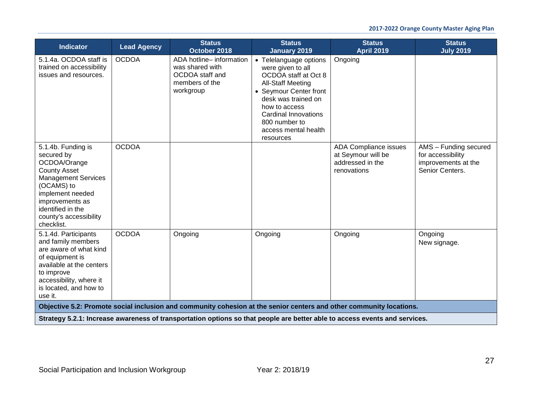| <b>Indicator</b>                                                                                                                                                                                                        | <b>Lead Agency</b> | <b>Status</b><br>October 2018                                                                 | <b>Status</b><br><b>January 2019</b>                                                                                                                                                                                                                   | <b>Status</b><br><b>April 2019</b>                                                                                         | <b>Status</b><br><b>July 2019</b>                                                    |
|-------------------------------------------------------------------------------------------------------------------------------------------------------------------------------------------------------------------------|--------------------|-----------------------------------------------------------------------------------------------|--------------------------------------------------------------------------------------------------------------------------------------------------------------------------------------------------------------------------------------------------------|----------------------------------------------------------------------------------------------------------------------------|--------------------------------------------------------------------------------------|
| 5.1.4a. OCDOA staff is<br>trained on accessibility<br>issues and resources.                                                                                                                                             | <b>OCDOA</b>       | ADA hotline- information<br>was shared with<br>OCDOA staff and<br>members of the<br>workgroup | • Telelanguage options<br>were given to all<br>OCDOA staff at Oct 8<br><b>All-Staff Meeting</b><br>• Seymour Center front<br>desk was trained on<br>how to access<br><b>Cardinal Innovations</b><br>800 number to<br>access mental health<br>resources | Ongoing                                                                                                                    |                                                                                      |
| 5.1.4b. Funding is<br>secured by<br>OCDOA/Orange<br><b>County Asset</b><br><b>Management Services</b><br>(OCAMS) to<br>implement needed<br>improvements as<br>identified in the<br>county's accessibility<br>checklist. | <b>OCDOA</b>       |                                                                                               |                                                                                                                                                                                                                                                        | ADA Compliance issues<br>at Seymour will be<br>addressed in the<br>renovations                                             | AMS - Funding secured<br>for accessibility<br>improvements at the<br>Senior Centers. |
| 5.1.4d. Participants<br>and family members<br>are aware of what kind<br>of equipment is<br>available at the centers<br>to improve<br>accessibility, where it<br>is located, and how to<br>use it.                       | <b>OCDOA</b>       | Ongoing                                                                                       | Ongoing                                                                                                                                                                                                                                                | Ongoing                                                                                                                    | Ongoing<br>New signage.                                                              |
|                                                                                                                                                                                                                         |                    |                                                                                               |                                                                                                                                                                                                                                                        | Objective 5.2: Promote social inclusion and community cohesion at the senior centers and other community locations.        |                                                                                      |
|                                                                                                                                                                                                                         |                    |                                                                                               |                                                                                                                                                                                                                                                        | Strategy 5.2.1: Increase awareness of transportation options so that people are better able to access events and services. |                                                                                      |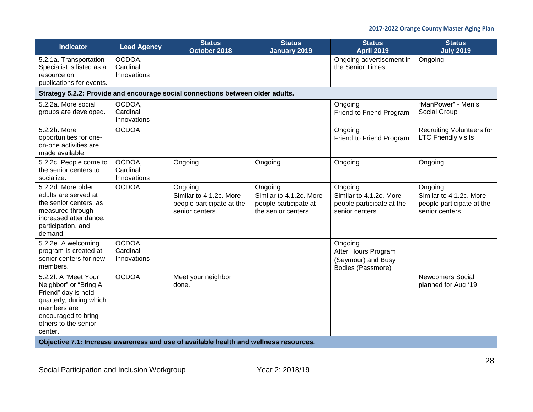| <b>Indicator</b>                                                                                                                                                         | <b>Lead Agency</b>                                                                    | <b>Status</b><br>October 2018                                                      | <b>Status</b><br>January 2019                                                     | <b>Status</b><br><b>April 2019</b>                                                | <b>Status</b><br><b>July 2019</b>                                                 |  |  |  |
|--------------------------------------------------------------------------------------------------------------------------------------------------------------------------|---------------------------------------------------------------------------------------|------------------------------------------------------------------------------------|-----------------------------------------------------------------------------------|-----------------------------------------------------------------------------------|-----------------------------------------------------------------------------------|--|--|--|
| 5.2.1a. Transportation<br>Specialist is listed as a<br>resource on<br>publications for events.                                                                           | OCDOA,<br>Cardinal<br>Innovations                                                     |                                                                                    |                                                                                   | Ongoing advertisement in<br>the Senior Times                                      | Ongoing                                                                           |  |  |  |
| Strategy 5.2.2: Provide and encourage social connections between older adults.                                                                                           |                                                                                       |                                                                                    |                                                                                   |                                                                                   |                                                                                   |  |  |  |
| 5.2.2a. More social<br>groups are developed.                                                                                                                             | OCDOA,<br>Cardinal<br>Innovations                                                     |                                                                                    |                                                                                   | Ongoing<br>Friend to Friend Program                                               | "ManPower" - Men's<br>Social Group                                                |  |  |  |
| 5.2.2b. More<br>opportunities for one-<br>on-one activities are<br>made available.                                                                                       | <b>OCDOA</b>                                                                          |                                                                                    |                                                                                   | Ongoing<br>Friend to Friend Program                                               | <b>Recruiting Volunteers for</b><br><b>LTC Friendly visits</b>                    |  |  |  |
| 5.2.2c. People come to<br>the senior centers to<br>socialize.                                                                                                            | OCDOA,<br>Cardinal<br>Innovations                                                     | Ongoing                                                                            | Ongoing                                                                           | Ongoing                                                                           | Ongoing                                                                           |  |  |  |
| 5.2.2d. More older<br>adults are served at<br>the senior centers, as<br>measured through<br>increased attendance,<br>participation, and<br>demand.                       | <b>OCDOA</b>                                                                          | Ongoing<br>Similar to 4.1.2c. More<br>people participate at the<br>senior centers. | Ongoing<br>Similar to 4.1.2c. More<br>people participate at<br>the senior centers | Ongoing<br>Similar to 4.1.2c. More<br>people participate at the<br>senior centers | Ongoing<br>Similar to 4.1.2c. More<br>people participate at the<br>senior centers |  |  |  |
| 5.2.2e. A welcoming<br>program is created at<br>senior centers for new<br>members.                                                                                       | OCDOA,<br>Cardinal<br>Innovations                                                     |                                                                                    |                                                                                   | Ongoing<br>After Hours Program<br>(Seymour) and Busy<br>Bodies (Passmore)         |                                                                                   |  |  |  |
| 5.2.2f. A "Meet Your<br>Neighbor" or "Bring A<br>Friend" day is held<br>quarterly, during which<br>members are<br>encouraged to bring<br>others to the senior<br>center. | <b>OCDOA</b>                                                                          | Meet your neighbor<br>done.                                                        |                                                                                   |                                                                                   | <b>Newcomers Social</b><br>planned for Aug '19                                    |  |  |  |
|                                                                                                                                                                          | Objective 7.1: Increase awareness and use of available health and wellness resources. |                                                                                    |                                                                                   |                                                                                   |                                                                                   |  |  |  |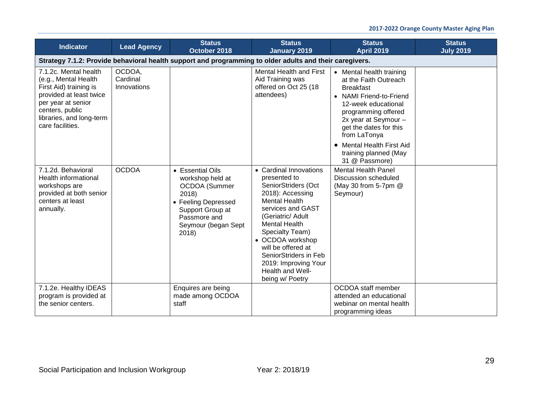| <b>Indicator</b>                                                                                                                                                                            | <b>Lead Agency</b>                | <b>Status</b><br>October 2018                                                                                                                             | <b>Status</b><br><b>January 2019</b>                                                                                                                                                                                                                                                                                             | <b>Status</b><br><b>April 2019</b>                                                                                                                                                                                                                                                       | <b>Status</b><br><b>July 2019</b> |
|---------------------------------------------------------------------------------------------------------------------------------------------------------------------------------------------|-----------------------------------|-----------------------------------------------------------------------------------------------------------------------------------------------------------|----------------------------------------------------------------------------------------------------------------------------------------------------------------------------------------------------------------------------------------------------------------------------------------------------------------------------------|------------------------------------------------------------------------------------------------------------------------------------------------------------------------------------------------------------------------------------------------------------------------------------------|-----------------------------------|
|                                                                                                                                                                                             |                                   | Strategy 7.1.2: Provide behavioral health support and programming to older adults and their caregivers.                                                   |                                                                                                                                                                                                                                                                                                                                  |                                                                                                                                                                                                                                                                                          |                                   |
| 7.1.2c. Mental health<br>(e.g., Mental Health<br>First Aid) training is<br>provided at least twice<br>per year at senior<br>centers, public<br>libraries, and long-term<br>care facilities. | OCDOA,<br>Cardinal<br>Innovations |                                                                                                                                                           | <b>Mental Health and First</b><br>Aid Training was<br>offered on Oct 25 (18<br>attendees)                                                                                                                                                                                                                                        | • Mental health training<br>at the Faith Outreach<br><b>Breakfast</b><br>• NAMI Friend-to-Friend<br>12-week educational<br>programming offered<br>2x year at Seymour -<br>get the dates for this<br>from LaTonya<br>• Mental Health First Aid<br>training planned (May<br>31 @ Passmore) |                                   |
| 7.1.2d. Behavioral<br>Health informational<br>workshops are<br>provided at both senior<br>centers at least<br>annually.                                                                     | <b>OCDOA</b>                      | • Essential Oils<br>workshop held at<br>OCDOA (Summer<br>2018)<br>• Feeling Depressed<br>Support Group at<br>Passmore and<br>Seymour (began Sept<br>2018) | • Cardinal Innovations<br>presented to<br>SeniorStriders (Oct<br>2018): Accessing<br><b>Mental Health</b><br>services and GAST<br>(Geriatric/ Adult<br><b>Mental Health</b><br>Specialty Team)<br>• OCDOA workshop<br>will be offered at<br>SeniorStriders in Feb<br>2019: Improving Your<br>Health and Well-<br>being w/ Poetry | <b>Mental Health Panel</b><br><b>Discussion scheduled</b><br>(May 30 from 5-7pm @<br>Seymour)                                                                                                                                                                                            |                                   |
| 7.1.2e. Healthy IDEAS<br>program is provided at<br>the senior centers.                                                                                                                      |                                   | Enquires are being<br>made among OCDOA<br>staff                                                                                                           |                                                                                                                                                                                                                                                                                                                                  | OCDOA staff member<br>attended an educational<br>webinar on mental health<br>programming ideas                                                                                                                                                                                           |                                   |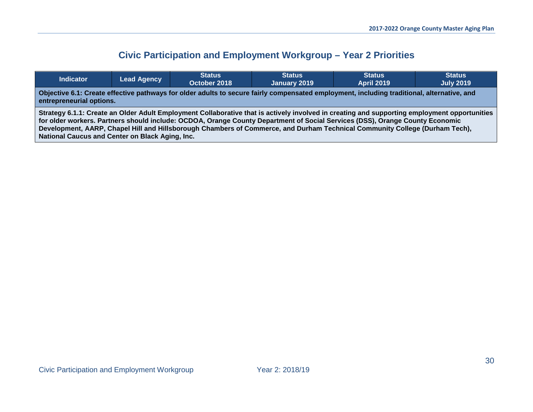# <span id="page-29-0"></span>**Civic Participation and Employment Workgroup – Year 2 Priorities**

| Indicator                                                                                                                                                                                                                                                                                                                                                                                                                                                      | <b>Lead Agency</b> | <b>Status</b><br>October 2018 | <b>Status</b><br>January 2019 | <b>Status</b><br><b>April 2019</b> | <b>Status</b><br><b>July 2019</b> |  |
|----------------------------------------------------------------------------------------------------------------------------------------------------------------------------------------------------------------------------------------------------------------------------------------------------------------------------------------------------------------------------------------------------------------------------------------------------------------|--------------------|-------------------------------|-------------------------------|------------------------------------|-----------------------------------|--|
| Objective 6.1: Create effective pathways for older adults to secure fairly compensated employment, including traditional, alternative, and<br>entrepreneurial options.                                                                                                                                                                                                                                                                                         |                    |                               |                               |                                    |                                   |  |
| Strategy 6.1.1: Create an Older Adult Employment Collaborative that is actively involved in creating and supporting employment opportunities<br>for older workers. Partners should include: OCDOA, Orange County Department of Social Services (DSS), Orange County Economic<br>Development, AARP, Chapel Hill and Hillsborough Chambers of Commerce, and Durham Technical Community College (Durham Tech),<br>National Caucus and Center on Black Aging, Inc. |                    |                               |                               |                                    |                                   |  |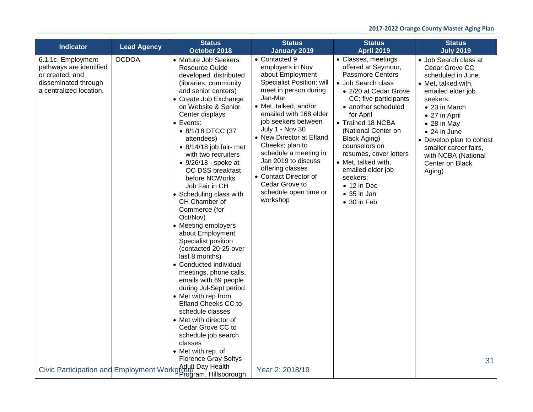| <b>Indicator</b>                                                                                                    | <b>Lead Agency</b> | <b>Status</b><br>October 2018                                                                                                                                                                                                                                                                                                                                                                                                                                                                                                                                                                                                                                                                                                                                                                                                                 | <b>Status</b>                                                                                                                                                                                                                                                                                                                                                                                                                                        | <b>Status</b>                                                                                                                                                                                                                                                                                                                                                                                                                             | <b>Status</b>                                                                                                                                                                                                                                                                                                                       |
|---------------------------------------------------------------------------------------------------------------------|--------------------|-----------------------------------------------------------------------------------------------------------------------------------------------------------------------------------------------------------------------------------------------------------------------------------------------------------------------------------------------------------------------------------------------------------------------------------------------------------------------------------------------------------------------------------------------------------------------------------------------------------------------------------------------------------------------------------------------------------------------------------------------------------------------------------------------------------------------------------------------|------------------------------------------------------------------------------------------------------------------------------------------------------------------------------------------------------------------------------------------------------------------------------------------------------------------------------------------------------------------------------------------------------------------------------------------------------|-------------------------------------------------------------------------------------------------------------------------------------------------------------------------------------------------------------------------------------------------------------------------------------------------------------------------------------------------------------------------------------------------------------------------------------------|-------------------------------------------------------------------------------------------------------------------------------------------------------------------------------------------------------------------------------------------------------------------------------------------------------------------------------------|
| 6.1.1c. Employment<br>pathways are identified<br>or created, and<br>disseminated through<br>a centralized location. | <b>OCDOA</b>       | • Mature Job Seekers<br>Resource Guide<br>developed, distributed<br>(libraries, community<br>and senior centers)<br>• Create Job Exchange<br>on Website & Senior<br>Center displays<br>$\bullet$ Events:<br>• 8/1/18 DTCC (37<br>attendees)<br>$\bullet$ 8/14/18 job fair- met<br>with two recruiters<br>$\bullet$ 9/26/18 - spoke at<br>OC DSS breakfast<br>before NCWorks<br>Job Fair in CH<br>• Scheduling class with<br>CH Chamber of<br>Commerce (for<br>Oct/Nov)<br>• Meeting employers<br>about Employment<br>Specialist position<br>(contacted 20-25 over<br>last 8 months)<br>• Conducted individual<br>meetings, phone calls,<br>emails with 69 people<br>during Jul-Sept period<br>• Met with rep from<br>Efland Cheeks CC to<br>schedule classes<br>• Met with director of<br>Cedar Grove CC to<br>schedule job search<br>classes | <b>January 2019</b><br>• Contacted 9<br>employers in Nov<br>about Employment<br>Specialist Position; will<br>meet in person during<br>Jan-Mar<br>• Met, talked, and/or<br>emailed with 168 elder<br>job seekers between<br><b>July 1 - Nov 30</b><br>• New Director at Efland<br>Cheeks; plan to<br>schedule a meeting in<br>Jan 2019 to discuss<br>offering classes<br>• Contact Director of<br>Cedar Grove to<br>schedule open time or<br>workshop | <b>April 2019</b><br>• Classes, meetings<br>offered at Seymour,<br><b>Passmore Centers</b><br>· Job Search class<br>• 2/20 at Cedar Grove<br>CC; five participants<br>• another scheduled<br>for April<br>• Trained 18 NCBA<br>(National Center on<br><b>Black Aging)</b><br>counselors on<br>resumes, cover letters<br>• Met, talked with,<br>emailed elder job<br>seekers:<br>$\bullet$ 12 in Dec<br>$\bullet$ 35 in Jan<br>• 30 in Feb | <b>July 2019</b><br>• Job Search class at<br>Cedar Grove CC<br>scheduled in June.<br>• Met, talked with,<br>emailed elder job<br>seekers:<br>• 23 in March<br>• 27 in April<br>$\bullet$ 28 in May<br>$\bullet$ 24 in June<br>• Develop plan to cohost<br>smaller career fairs,<br>with NCBA (National<br>Center on Black<br>Aging) |
|                                                                                                                     |                    | • Met with rep. of<br><b>Florence Gray Soltys</b><br>Civic Participation and Employment Workg Adult Day Health                                                                                                                                                                                                                                                                                                                                                                                                                                                                                                                                                                                                                                                                                                                                | Year 2: 2018/19                                                                                                                                                                                                                                                                                                                                                                                                                                      |                                                                                                                                                                                                                                                                                                                                                                                                                                           | 31                                                                                                                                                                                                                                                                                                                                  |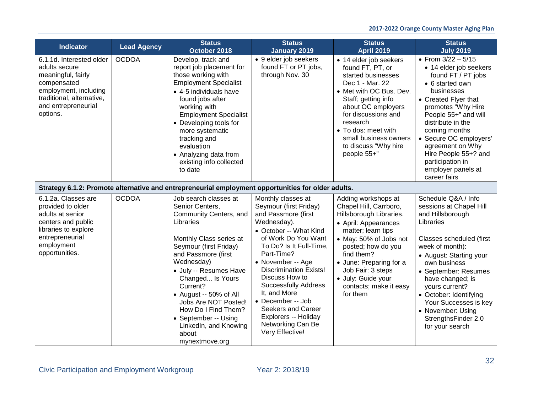| <b>Indicator</b>                                                                                                                                                        | <b>Lead Agency</b> | <b>Status</b><br>October 2018                                                                                                                                                                                                                                                                                                                                                            | <b>Status</b><br><b>January 2019</b>                                                                                                                                                                                                                                                                                                                                                                           | <b>Status</b><br><b>April 2019</b>                                                                                                                                                                                                                                                               | <b>Status</b><br><b>July 2019</b>                                                                                                                                                                                                                                                                                                                         |
|-------------------------------------------------------------------------------------------------------------------------------------------------------------------------|--------------------|------------------------------------------------------------------------------------------------------------------------------------------------------------------------------------------------------------------------------------------------------------------------------------------------------------------------------------------------------------------------------------------|----------------------------------------------------------------------------------------------------------------------------------------------------------------------------------------------------------------------------------------------------------------------------------------------------------------------------------------------------------------------------------------------------------------|--------------------------------------------------------------------------------------------------------------------------------------------------------------------------------------------------------------------------------------------------------------------------------------------------|-----------------------------------------------------------------------------------------------------------------------------------------------------------------------------------------------------------------------------------------------------------------------------------------------------------------------------------------------------------|
| 6.1.1d. Interested older<br>adults secure<br>meaningful, fairly<br>compensated<br>employment, including<br>traditional, alternative,<br>and entrepreneurial<br>options. | <b>OCDOA</b>       | Develop, track and<br>report job placement for<br>those working with<br><b>Employment Specialist</b><br>• 4-5 individuals have<br>found jobs after<br>working with<br><b>Employment Specialist</b><br>• Developing tools for<br>more systematic<br>tracking and<br>evaluation<br>• Analyzing data from<br>existing info collected<br>to date                                             | • 9 elder job seekers<br>found FT or PT jobs,<br>through Nov. 30                                                                                                                                                                                                                                                                                                                                               | • 14 elder job seekers<br>found FT, PT, or<br>started businesses<br>Dec 1 - Mar. 22<br>• Met with OC Bus. Dev.<br>Staff; getting info<br>about OC employers<br>for discussions and<br>research<br>• To dos: meet with<br>small business owners<br>to discuss "Why hire<br>people 55+"            | • From $3/22 - 5/15$<br>• 14 elder job seekers<br>found FT / PT jobs<br>• 6 started own<br>businesses<br>• Created Flyer that<br>promotes "Why Hire<br>People 55+" and will<br>distribute in the<br>coming months<br>• Secure OC employers'<br>agreement on Why<br>Hire People 55+? and<br>participation in<br>employer panels at<br>career fairs         |
|                                                                                                                                                                         |                    | Strategy 6.1.2: Promote alternative and entrepreneurial employment opportunities for older adults.                                                                                                                                                                                                                                                                                       |                                                                                                                                                                                                                                                                                                                                                                                                                |                                                                                                                                                                                                                                                                                                  |                                                                                                                                                                                                                                                                                                                                                           |
| 6.1.2a. Classes are<br>provided to older<br>adults at senior<br>centers and public<br>libraries to explore<br>entrepreneurial<br>employment<br>opportunities.           | <b>OCDOA</b>       | Job search classes at<br>Senior Centers,<br>Community Centers, and<br>Libraries<br>Monthly Class series at<br>Seymour (first Friday)<br>and Passmore (first<br>Wednesday)<br>· July -- Resumes Have<br>Changed Is Yours<br>Current?<br>• August -- 50% of All<br>Jobs Are NOT Posted!<br>How Do I Find Them?<br>• September -- Using<br>LinkedIn, and Knowing<br>about<br>mynextmove.org | Monthly classes at<br>Seymour (first Friday)<br>and Passmore (first<br>Wednesday).<br>• October -- What Kind<br>of Work Do You Want<br>To Do? Is It Full-Time,<br>Part-Time?<br>• November -- Age<br><b>Discrimination Exists!</b><br>Discuss How to<br><b>Successfully Address</b><br>It, and More<br>• December -- Job<br>Seekers and Career<br>Explorers -- Holiday<br>Networking Can Be<br>Very Effective! | Adding workshops at<br>Chapel Hill, Carrboro,<br>Hillsborough Libraries.<br>• April: Appearances<br>matter; learn tips<br>• May: 50% of Jobs not<br>posted; how do you<br>find them?<br>• June: Preparing for a<br>Job Fair: 3 steps<br>· July: Guide your<br>contacts; make it easy<br>for them | Schedule Q&A / Info<br>sessions at Chapel Hill<br>and Hillsborough<br>Libraries<br>Classes scheduled (first<br>week of month):<br>• August: Starting your<br>own business<br>• September: Resumes<br>have changed; is<br>yours current?<br>• October: Identifying<br>Your Successes is key<br>• November: Using<br>StrengthsFinder 2.0<br>for your search |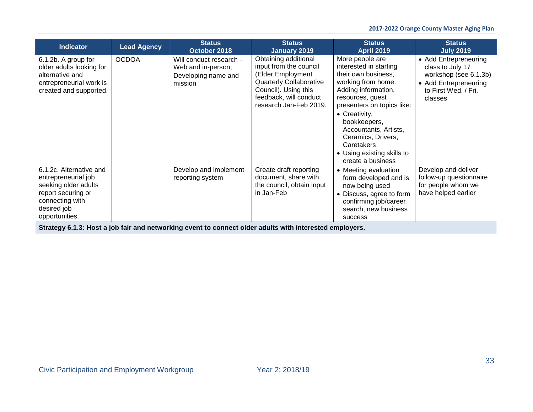| <b>Indicator</b>                                                                                                                                 | <b>Lead Agency</b> | <b>Status</b><br>October 2018                                                   | <b>Status</b><br>January 2019                                                                                                                                                     | <b>Status</b><br><b>April 2019</b>                                                                                                                                                                                                                                                                               | <b>Status</b><br><b>July 2019</b>                                                                                              |
|--------------------------------------------------------------------------------------------------------------------------------------------------|--------------------|---------------------------------------------------------------------------------|-----------------------------------------------------------------------------------------------------------------------------------------------------------------------------------|------------------------------------------------------------------------------------------------------------------------------------------------------------------------------------------------------------------------------------------------------------------------------------------------------------------|--------------------------------------------------------------------------------------------------------------------------------|
| 6.1.2b. A group for<br>older adults looking for<br>alternative and<br>entrepreneurial work is<br>created and supported.                          | <b>OCDOA</b>       | Will conduct research -<br>Web and in-person;<br>Developing name and<br>mission | Obtaining additional<br>input from the council<br>(Elder Employment<br><b>Quarterly Collaborative</b><br>Council). Using this<br>feedback, will conduct<br>research Jan-Feb 2019. | More people are<br>interested in starting<br>their own business,<br>working from home.<br>Adding information,<br>resources, guest<br>presenters on topics like:<br>• Creativity,<br>bookkeepers,<br>Accountants, Artists,<br>Ceramics, Drivers,<br>Caretakers<br>• Using existing skills to<br>create a business | • Add Entrepreneuring<br>class to July 17<br>workshop (see 6.1.3b)<br>• Add Entrepreneuring<br>to First Wed. / Fri.<br>classes |
| 6.1.2c. Alternative and<br>entrepreneurial job<br>seeking older adults<br>report securing or<br>connecting with<br>desired job<br>opportunities. |                    | Develop and implement<br>reporting system                                       | Create draft reporting<br>document, share with<br>the council, obtain input<br>in Jan-Feb                                                                                         | • Meeting evaluation<br>form developed and is<br>now being used<br>• Discuss, agree to form<br>confirming job/career<br>search, new business<br><b>SUCCESS</b>                                                                                                                                                   | Develop and deliver<br>follow-up questionnaire<br>for people whom we<br>have helped earlier                                    |
|                                                                                                                                                  |                    |                                                                                 | Strategy 6.1.3: Host a job fair and networking event to connect older adults with interested employers.                                                                           |                                                                                                                                                                                                                                                                                                                  |                                                                                                                                |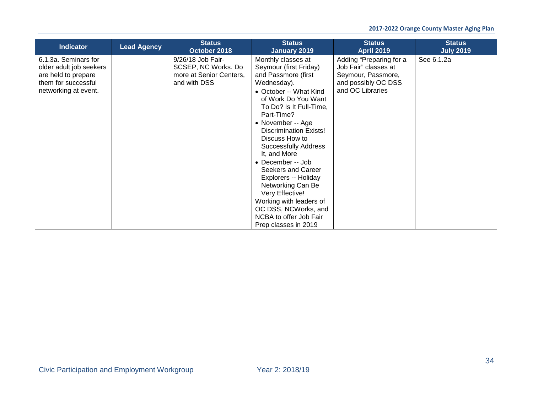| <b>Indicator</b>                                                                                                      | <b>Lead Agency</b> | <b>Status</b><br>October 2018                                                       | <b>Status</b><br><b>January 2019</b>                                                                                                                                                                                                                                                                                                                                                                                                                                                                                | <b>Status</b><br><b>April 2019</b>                                                                               | <b>Status</b><br><b>July 2019</b> |
|-----------------------------------------------------------------------------------------------------------------------|--------------------|-------------------------------------------------------------------------------------|---------------------------------------------------------------------------------------------------------------------------------------------------------------------------------------------------------------------------------------------------------------------------------------------------------------------------------------------------------------------------------------------------------------------------------------------------------------------------------------------------------------------|------------------------------------------------------------------------------------------------------------------|-----------------------------------|
| 6.1.3a. Seminars for<br>older adult job seekers<br>are held to prepare<br>them for successful<br>networking at event. |                    | 9/26/18 Job Fair-<br>SCSEP, NC Works. Do<br>more at Senior Centers,<br>and with DSS | Monthly classes at<br>Seymour (first Friday)<br>and Passmore (first<br>Wednesday).<br>• October -- What Kind<br>of Work Do You Want<br>To Do? Is It Full-Time,<br>Part-Time?<br>• November -- Age<br><b>Discrimination Exists!</b><br>Discuss How to<br><b>Successfully Address</b><br>It, and More<br>• December -- Job<br>Seekers and Career<br>Explorers -- Holiday<br>Networking Can Be<br>Very Effective!<br>Working with leaders of<br>OC DSS, NCWorks, and<br>NCBA to offer Job Fair<br>Prep classes in 2019 | Adding "Preparing for a<br>Job Fair" classes at<br>Seymour, Passmore,<br>and possibly OC DSS<br>and OC Libraries | See 6.1.2a                        |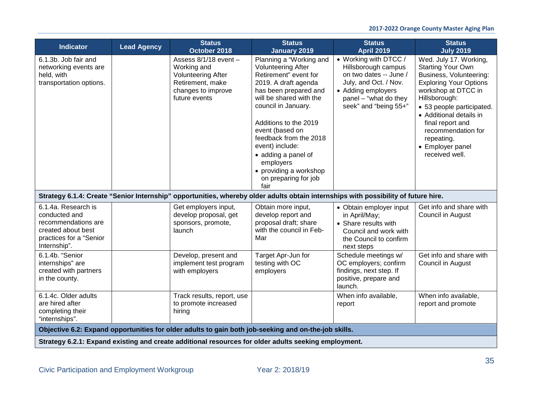| <b>Indicator</b>                                                                                                             | <b>Lead Agency</b> | <b>Status</b><br>October 2018                                                                                                      | <b>Status</b><br><b>January 2019</b>                                                                                                                                                                                                                                                                                                                                    | <b>Status</b><br><b>April 2019</b>                                                                                                                                      | <b>Status</b><br><b>July 2019</b>                                                                                                                                                                                                                                                                            |
|------------------------------------------------------------------------------------------------------------------------------|--------------------|------------------------------------------------------------------------------------------------------------------------------------|-------------------------------------------------------------------------------------------------------------------------------------------------------------------------------------------------------------------------------------------------------------------------------------------------------------------------------------------------------------------------|-------------------------------------------------------------------------------------------------------------------------------------------------------------------------|--------------------------------------------------------------------------------------------------------------------------------------------------------------------------------------------------------------------------------------------------------------------------------------------------------------|
| 6.1.3b. Job fair and<br>networking events are<br>held, with<br>transportation options.                                       |                    | Assess 8/1/18 event -<br>Working and<br><b>Volunteering After</b><br>Retirement, make<br>changes to improve<br>future events       | Planning a "Working and<br><b>Volunteering After</b><br>Retirement" event for<br>2019. A draft agenda<br>has been prepared and<br>will be shared with the<br>council in January.<br>Additions to the 2019<br>event (based on<br>feedback from the 2018<br>event) include:<br>• adding a panel of<br>employers<br>• providing a workshop<br>on preparing for job<br>fair | • Working with DTCC /<br>Hillsborough campus<br>on two dates -- June /<br>July, and Oct. / Nov.<br>• Adding employers<br>panel - "what do they<br>seek" and "being 55+" | Wed. July 17. Working,<br><b>Starting Your Own</b><br>Business, Volunteering:<br><b>Exploring Your Options</b><br>workshop at DTCC in<br>Hillsborough:<br>• 53 people participated.<br>• Additional details in<br>final report and<br>recommendation for<br>repeating.<br>• Employer panel<br>received well. |
|                                                                                                                              |                    | Strategy 6.1.4: Create "Senior Internship" opportunities, whereby older adults obtain internships with possibility of future hire. |                                                                                                                                                                                                                                                                                                                                                                         |                                                                                                                                                                         |                                                                                                                                                                                                                                                                                                              |
| 6.1.4a. Research is<br>conducted and<br>recommendations are<br>created about best<br>practices for a "Senior<br>Internship". |                    | Get employers input,<br>develop proposal, get<br>sponsors, promote,<br>launch                                                      | Obtain more input,<br>develop report and<br>proposal draft; share<br>with the council in Feb-<br>Mar                                                                                                                                                                                                                                                                    | • Obtain employer input<br>in April/May;<br>• Share results with<br>Council and work with<br>the Council to confirm<br>next steps                                       | Get info and share with<br>Council in August                                                                                                                                                                                                                                                                 |
| 6.1.4b. "Senior<br>internships" are<br>created with partners<br>in the county.                                               |                    | Develop, present and<br>implement test program<br>with employers                                                                   | Target Apr-Jun for<br>testing with OC<br>employers                                                                                                                                                                                                                                                                                                                      | Schedule meetings w/<br>OC employers; confirm<br>findings, next step. If<br>positive, prepare and<br>launch.                                                            | Get info and share with<br>Council in August                                                                                                                                                                                                                                                                 |
| 6.1.4c. Older adults<br>are hired after<br>completing their<br>"internships".                                                |                    | Track results, report, use<br>to promote increased<br>hiring                                                                       |                                                                                                                                                                                                                                                                                                                                                                         | When info available,<br>report                                                                                                                                          | When info available,<br>report and promote                                                                                                                                                                                                                                                                   |
|                                                                                                                              |                    | Objective 6.2: Expand opportunities for older adults to gain both job-seeking and on-the-job skills.                               |                                                                                                                                                                                                                                                                                                                                                                         |                                                                                                                                                                         |                                                                                                                                                                                                                                                                                                              |
|                                                                                                                              |                    | Strategy 6.2.1: Expand existing and create additional resources for older adults seeking employment.                               |                                                                                                                                                                                                                                                                                                                                                                         |                                                                                                                                                                         |                                                                                                                                                                                                                                                                                                              |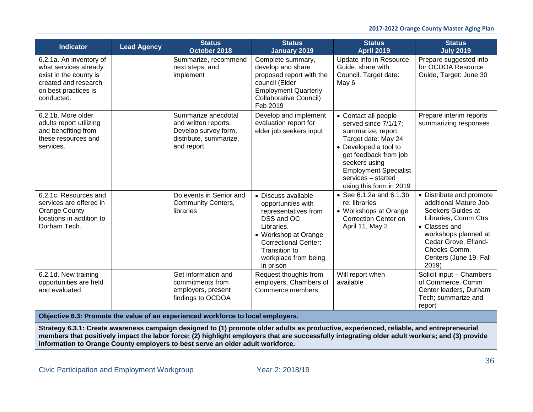| <b>Indicator</b>                                                                                                                         | <b>Lead Agency</b> | <b>Status</b><br>October 2018                                                                               | <b>Status</b><br><b>January 2019</b>                                                                                                                                                                       | <b>Status</b><br><b>April 2019</b>                                                                                                                                                                                                            | <b>Status</b><br><b>July 2019</b>                                                                                                                                                                                  |
|------------------------------------------------------------------------------------------------------------------------------------------|--------------------|-------------------------------------------------------------------------------------------------------------|------------------------------------------------------------------------------------------------------------------------------------------------------------------------------------------------------------|-----------------------------------------------------------------------------------------------------------------------------------------------------------------------------------------------------------------------------------------------|--------------------------------------------------------------------------------------------------------------------------------------------------------------------------------------------------------------------|
| 6.2.1a. An inventory of<br>what services already<br>exist in the county is<br>created and research<br>on best practices is<br>conducted. |                    | Summarize, recommend<br>next steps, and<br>implement                                                        | Complete summary,<br>develop and share<br>proposed report with the<br>council (Elder<br><b>Employment Quarterly</b><br>Collaborative Council)<br>Feb 2019                                                  | Update info in Resource<br>Guide, share with<br>Council. Target date:<br>May 6                                                                                                                                                                | Prepare suggested info<br>for OCDOA Resource<br>Guide, Target: June 30                                                                                                                                             |
| 6.2.1b. More older<br>adults report utilizing<br>and benefiting from<br>these resources and<br>services.                                 |                    | Summarize anecdotal<br>and written reports.<br>Develop survey form,<br>distribute, summarize,<br>and report | Develop and implement<br>evaluation report for<br>elder job seekers input                                                                                                                                  | • Contact all people<br>served since 7/1/17;<br>summarize, report.<br>Target date: May 24<br>• Developed a tool to<br>get feedback from job<br>seekers using<br><b>Employment Specialist</b><br>services - started<br>using this form in 2019 | Prepare interim reports<br>summarizing responses                                                                                                                                                                   |
| 6.2.1c. Resources and<br>services are offered in<br>Orange County<br>locations in addition to<br>Durham Tech.                            |                    | Do events in Senior and<br><b>Community Centers,</b><br>libraries                                           | • Discuss available<br>opportunities with<br>representatives from<br>DSS and OC<br>Libraries.<br>• Workshop at Orange<br><b>Correctional Center:</b><br>Transition to<br>workplace from being<br>in prison | • See 6.1.2a and 6.1.3b<br>re: libraries<br>• Workshops at Orange<br><b>Correction Center on</b><br>April 11, May 2                                                                                                                           | • Distribute and promote<br>additional Mature Job<br>Seekers Guides at<br>Libraries, Comm Ctrs<br>• Classes and<br>workshops planned at<br>Cedar Grove, Efland-<br>Cheeks Comm.<br>Centers (June 19, Fall<br>2019) |
| 6.2.1d. New training<br>opportunities are held<br>and evaluated.                                                                         |                    | Get information and<br>commitments from<br>employers, present<br>findings to OCDOA                          | Request thoughts from<br>employers, Chambers of<br>Commerce members.                                                                                                                                       | Will report when<br>available                                                                                                                                                                                                                 | Solicit input - Chambers<br>of Commerce, Comm<br>Center leaders, Durham<br>Tech; summarize and<br>report                                                                                                           |
|                                                                                                                                          |                    | Objective 6.3: Promote the value of an experienced workforce to local employers.                            |                                                                                                                                                                                                            |                                                                                                                                                                                                                                               |                                                                                                                                                                                                                    |

**Strategy 6.3.1: Create awareness campaign designed to (1) promote older adults as productive, experienced, reliable, and entrepreneurial members that positively impact the labor force; (2) highlight employers that are successfully integrating older adult workers; and (3) provide information to Orange County employers to best serve an older adult workforce.**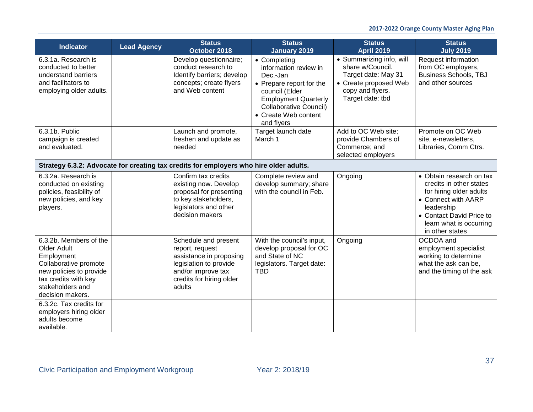| <b>Indicator</b>                                                                                                                                                        | <b>Lead Agency</b> | <b>Status</b><br>October 2018                                                                                                                            | <b>Status</b><br><b>January 2019</b>                                                                                                                                                           | <b>Status</b><br><b>April 2019</b>                                                                                                   | <b>Status</b><br><b>July 2019</b>                                                                                                                                                             |
|-------------------------------------------------------------------------------------------------------------------------------------------------------------------------|--------------------|----------------------------------------------------------------------------------------------------------------------------------------------------------|------------------------------------------------------------------------------------------------------------------------------------------------------------------------------------------------|--------------------------------------------------------------------------------------------------------------------------------------|-----------------------------------------------------------------------------------------------------------------------------------------------------------------------------------------------|
| 6.3.1a. Research is<br>conducted to better<br>understand barriers<br>and facilitators to<br>employing older adults.                                                     |                    | Develop questionnaire;<br>conduct research to<br>Identify barriers; develop<br>concepts; create flyers<br>and Web content                                | • Completing<br>information review in<br>Dec.-Jan<br>• Prepare report for the<br>council (Elder<br><b>Employment Quarterly</b><br>Collaborative Council)<br>• Create Web content<br>and flyers | • Summarizing info, will<br>share w/Council.<br>Target date: May 31<br>• Create proposed Web<br>copy and flyers.<br>Target date: tbd | Request information<br>from OC employers,<br><b>Business Schools, TBJ</b><br>and other sources                                                                                                |
| 6.3.1b. Public<br>campaign is created<br>and evaluated.                                                                                                                 |                    | Launch and promote,<br>freshen and update as<br>needed                                                                                                   | Target launch date<br>March 1                                                                                                                                                                  | Add to OC Web site;<br>provide Chambers of<br>Commerce; and<br>selected employers                                                    | Promote on OC Web<br>site, e-newsletters,<br>Libraries, Comm Ctrs.                                                                                                                            |
|                                                                                                                                                                         |                    | Strategy 6.3.2: Advocate for creating tax credits for employers who hire older adults.                                                                   |                                                                                                                                                                                                |                                                                                                                                      |                                                                                                                                                                                               |
| 6.3.2a. Research is<br>conducted on existing<br>policies, feasibility of<br>new policies, and key<br>players.                                                           |                    | Confirm tax credits<br>existing now. Develop<br>proposal for presenting<br>to key stakeholders,<br>legislators and other<br>decision makers              | Complete review and<br>develop summary; share<br>with the council in Feb.                                                                                                                      | Ongoing                                                                                                                              | • Obtain research on tax<br>credits in other states<br>for hiring older adults<br>• Connect with AARP<br>leadership<br>• Contact David Price to<br>learn what is occurring<br>in other states |
| 6.3.2b. Members of the<br>Older Adult<br>Employment<br>Collaborative promote<br>new policies to provide<br>tax credits with key<br>stakeholders and<br>decision makers. |                    | Schedule and present<br>report, request<br>assistance in proposing<br>legislation to provide<br>and/or improve tax<br>credits for hiring older<br>adults | With the council's input,<br>develop proposal for OC<br>and State of NC<br>legislators. Target date:<br><b>TBD</b>                                                                             | Ongoing                                                                                                                              | OCDOA and<br>employment specialist<br>working to determine<br>what the ask can be,<br>and the timing of the ask                                                                               |
| 6.3.2c. Tax credits for<br>employers hiring older<br>adults become<br>available.                                                                                        |                    |                                                                                                                                                          |                                                                                                                                                                                                |                                                                                                                                      |                                                                                                                                                                                               |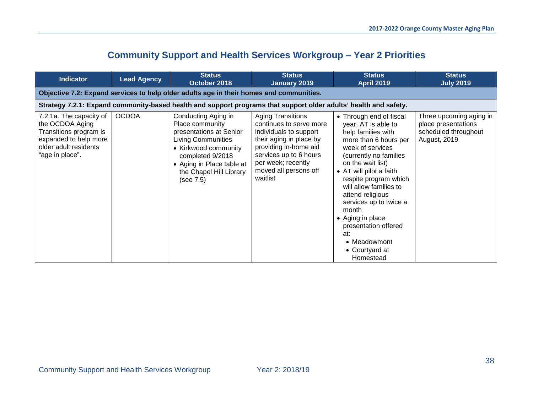# **Community Support and Health Services Workgroup – Year 2 Priorities**

| <b>Indicator</b>                                                                                                                          | <b>Lead Agency</b>                                                                      | <b>Status</b><br>October 2018                                                                                                                                                                                   | <b>Status</b><br><b>January 2019</b>                                                                                                                                                                                   | <b>Status</b><br><b>April 2019</b>                                                                                                                                                                                                                                                                                                                                                                      | <b>Status</b><br><b>July 2019</b>                                                      |  |  |  |  |  |
|-------------------------------------------------------------------------------------------------------------------------------------------|-----------------------------------------------------------------------------------------|-----------------------------------------------------------------------------------------------------------------------------------------------------------------------------------------------------------------|------------------------------------------------------------------------------------------------------------------------------------------------------------------------------------------------------------------------|---------------------------------------------------------------------------------------------------------------------------------------------------------------------------------------------------------------------------------------------------------------------------------------------------------------------------------------------------------------------------------------------------------|----------------------------------------------------------------------------------------|--|--|--|--|--|
|                                                                                                                                           | Objective 7.2: Expand services to help older adults age in their homes and communities. |                                                                                                                                                                                                                 |                                                                                                                                                                                                                        |                                                                                                                                                                                                                                                                                                                                                                                                         |                                                                                        |  |  |  |  |  |
|                                                                                                                                           |                                                                                         | Strategy 7.2.1: Expand community-based health and support programs that support older adults' health and safety.                                                                                                |                                                                                                                                                                                                                        |                                                                                                                                                                                                                                                                                                                                                                                                         |                                                                                        |  |  |  |  |  |
| 7.2.1a. The capacity of<br>the OCDOA Aging<br>Transitions program is<br>expanded to help more<br>older adult residents<br>"age in place". | <b>OCDOA</b>                                                                            | Conducting Aging in<br>Place community<br>presentations at Senior<br><b>Living Communities</b><br>• Kirkwood community<br>completed 9/2018<br>• Aging in Place table at<br>the Chapel Hill Library<br>(see 7.5) | <b>Aging Transitions</b><br>continues to serve more<br>individuals to support<br>their aging in place by<br>providing in-home aid<br>services up to 6 hours<br>per week; recently<br>moved all persons off<br>waitlist | • Through end of fiscal<br>year, AT is able to<br>help families with<br>more than 6 hours per<br>week of services<br>(currently no families<br>on the wait list)<br>• AT will pilot a faith<br>respite program which<br>will allow families to<br>attend religious<br>services up to twice a<br>month<br>• Aging in place<br>presentation offered<br>at:<br>• Meadowmont<br>• Courtyard at<br>Homestead | Three upcoming aging in<br>place presentations<br>scheduled throughout<br>August, 2019 |  |  |  |  |  |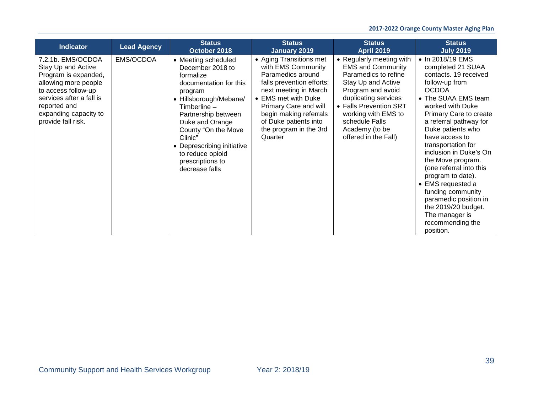## **2017-2022 Orange County Master Aging Plan**

| <b>Indicator</b>                                                                                                                                                                                          | <b>Lead Agency</b> | <b>Status</b><br>October 2018                                                                                                                                                                                                                                                                           | <b>Status</b><br><b>January 2019</b>                                                                                                                                                                                                                             | <b>Status</b><br><b>April 2019</b>                                                                                                                                                                                                                           | <b>Status</b><br><b>July 2019</b>                                                                                                                                                                                                                                                                                                                                                                                                                                                                        |
|-----------------------------------------------------------------------------------------------------------------------------------------------------------------------------------------------------------|--------------------|---------------------------------------------------------------------------------------------------------------------------------------------------------------------------------------------------------------------------------------------------------------------------------------------------------|------------------------------------------------------------------------------------------------------------------------------------------------------------------------------------------------------------------------------------------------------------------|--------------------------------------------------------------------------------------------------------------------------------------------------------------------------------------------------------------------------------------------------------------|----------------------------------------------------------------------------------------------------------------------------------------------------------------------------------------------------------------------------------------------------------------------------------------------------------------------------------------------------------------------------------------------------------------------------------------------------------------------------------------------------------|
| 7.2.1b. EMS/OCDOA<br>Stay Up and Active<br>Program is expanded,<br>allowing more people<br>to access follow-up<br>services after a fall is<br>reported and<br>expanding capacity to<br>provide fall risk. | EMS/OCDOA          | • Meeting scheduled<br>December 2018 to<br>formalize<br>documentation for this<br>program<br>• Hillsborough/Mebane/<br>Timberline –<br>Partnership between<br>Duke and Orange<br>County "On the Move<br>Clinic"<br>• Deprescribing initiative<br>to reduce opioid<br>prescriptions to<br>decrease falls | • Aging Transitions met<br>with EMS Community<br>Paramedics around<br>falls prevention efforts;<br>next meeting in March<br>• EMS met with Duke<br>Primary Care and will<br>begin making referrals<br>of Duke patients into<br>the program in the 3rd<br>Quarter | • Regularly meeting with<br><b>EMS and Community</b><br>Paramedics to refine<br>Stay Up and Active<br>Program and avoid<br>duplicating services<br>• Falls Prevention SRT<br>working with EMS to<br>schedule Falls<br>Academy (to be<br>offered in the Fall) | • In 2018/19 EMS<br>completed 21 SUAA<br>contacts. 19 received<br>follow-up from<br><b>OCDOA</b><br>• The SUAA EMS team<br>worked with Duke<br>Primary Care to create<br>a referral pathway for<br>Duke patients who<br>have access to<br>transportation for<br>inclusion in Duke's On<br>the Move program.<br>(one referral into this<br>program to date).<br>• EMS requested a<br>funding community<br>paramedic position in<br>the 2019/20 budget.<br>The manager is<br>recommending the<br>position. |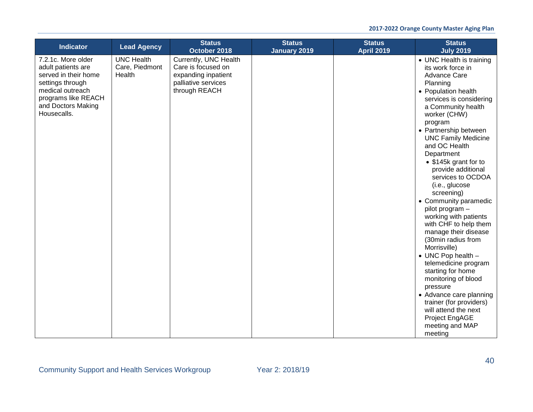| <b>Indicator</b>                                                                                                                                                     | <b>Lead Agency</b>                            | <b>Status</b><br>October 2018                                                                              | <b>Status</b><br><b>January 2019</b> | <b>Status</b><br><b>April 2019</b> | <b>Status</b><br><b>July 2019</b>                                                                                                                                                                                                                                                                                                                                                                                                                                                                                                                                                                                                                                                                                                                                             |
|----------------------------------------------------------------------------------------------------------------------------------------------------------------------|-----------------------------------------------|------------------------------------------------------------------------------------------------------------|--------------------------------------|------------------------------------|-------------------------------------------------------------------------------------------------------------------------------------------------------------------------------------------------------------------------------------------------------------------------------------------------------------------------------------------------------------------------------------------------------------------------------------------------------------------------------------------------------------------------------------------------------------------------------------------------------------------------------------------------------------------------------------------------------------------------------------------------------------------------------|
| 7.2.1c. More older<br>adult patients are<br>served in their home<br>settings through<br>medical outreach<br>programs like REACH<br>and Doctors Making<br>Housecalls. | <b>UNC Health</b><br>Care, Piedmont<br>Health | Currently, UNC Health<br>Care is focused on<br>expanding inpatient<br>palliative services<br>through REACH |                                      |                                    | • UNC Health is training<br>its work force in<br><b>Advance Care</b><br>Planning<br>• Population health<br>services is considering<br>a Community health<br>worker (CHW)<br>program<br>• Partnership between<br><b>UNC Family Medicine</b><br>and OC Health<br>Department<br>• \$145k grant for to<br>provide additional<br>services to OCDOA<br>(i.e., glucose<br>screening)<br>• Community paramedic<br>pilot program -<br>working with patients<br>with CHF to help them<br>manage their disease<br>(30min radius from<br>Morrisville)<br>• UNC Pop health -<br>telemedicine program<br>starting for home<br>monitoring of blood<br>pressure<br>• Advance care planning<br>trainer (for providers)<br>will attend the next<br>Project EngAGE<br>meeting and MAP<br>meeting |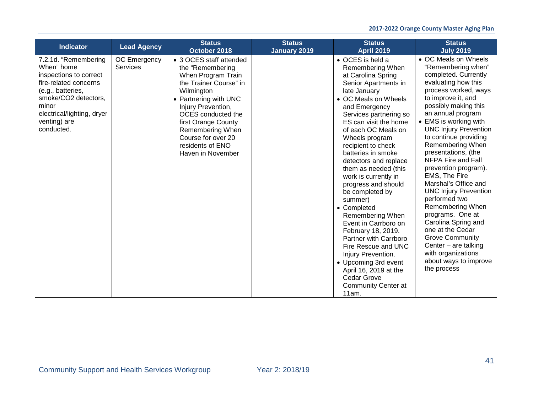| <b>Indicator</b>                                                                                                                                                                                        | <b>Lead Agency</b>       | <b>Status</b><br>October 2018                                                                                                                                                                                                                                                            | <b>Status</b><br><b>January 2019</b> | <b>Status</b><br><b>April 2019</b>                                                                                                                                                                                                                                                                                                                                                                                                                                                                                                                                                                                                                                                     | <b>Status</b><br><b>July 2019</b>                                                                                                                                                                                                                                                                                                                                                                                                                                                                                                                                                                                                                              |
|---------------------------------------------------------------------------------------------------------------------------------------------------------------------------------------------------------|--------------------------|------------------------------------------------------------------------------------------------------------------------------------------------------------------------------------------------------------------------------------------------------------------------------------------|--------------------------------------|----------------------------------------------------------------------------------------------------------------------------------------------------------------------------------------------------------------------------------------------------------------------------------------------------------------------------------------------------------------------------------------------------------------------------------------------------------------------------------------------------------------------------------------------------------------------------------------------------------------------------------------------------------------------------------------|----------------------------------------------------------------------------------------------------------------------------------------------------------------------------------------------------------------------------------------------------------------------------------------------------------------------------------------------------------------------------------------------------------------------------------------------------------------------------------------------------------------------------------------------------------------------------------------------------------------------------------------------------------------|
| 7.2.1d. "Remembering<br>When" home<br>inspections to correct<br>fire-related concerns<br>(e.g., batteries,<br>smoke/CO2 detectors,<br>minor<br>electrical/lighting, dryer<br>venting) are<br>conducted. | OC Emergency<br>Services | • 3 OCES staff attended<br>the "Remembering<br>When Program Train<br>the Trainer Course" in<br>Wilmington<br>• Partnering with UNC<br>Injury Prevention,<br>OCES conducted the<br>first Orange County<br>Remembering When<br>Course for over 20<br>residents of ENO<br>Haven in November |                                      | • OCES is held a<br>Remembering When<br>at Carolina Spring<br>Senior Apartments in<br>late January<br>• OC Meals on Wheels<br>and Emergency<br>Services partnering so<br>ES can visit the home<br>of each OC Meals on<br>Wheels program<br>recipient to check<br>batteries in smoke<br>detectors and replace<br>them as needed (this<br>work is currently in<br>progress and should<br>be completed by<br>summer)<br>• Completed<br><b>Remembering When</b><br>Event in Carrboro on<br>February 18, 2019.<br>Partner with Carrboro<br>Fire Rescue and UNC<br>Injury Prevention.<br>• Upcoming 3rd event<br>April 16, 2019 at the<br>Cedar Grove<br><b>Community Center at</b><br>11am. | • OC Meals on Wheels<br>"Remembering when"<br>completed. Currently<br>evaluating how this<br>process worked, ways<br>to improve it, and<br>possibly making this<br>an annual program<br>• EMS is working with<br><b>UNC Injury Prevention</b><br>to continue providing<br>Remembering When<br>presentations, (the<br>NFPA Fire and Fall<br>prevention program).<br>EMS, The Fire<br>Marshal's Office and<br><b>UNC Injury Prevention</b><br>performed two<br>Remembering When<br>programs. One at<br>Carolina Spring and<br>one at the Cedar<br><b>Grove Community</b><br>Center $-$ are talking<br>with organizations<br>about ways to improve<br>the process |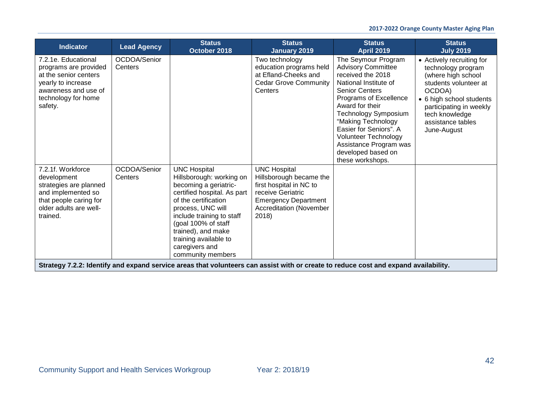## **2017-2022 Orange County Master Aging Plan**

| <b>Indicator</b>                                                                                                                                      | <b>Lead Agency</b>      | <b>Status</b><br>October 2018                                                                                                                                                                                                                                                                  | <b>Status</b><br><b>January 2019</b>                                                                                                                                     | <b>Status</b><br><b>April 2019</b>                                                                                                                                                                                                                                                                                                              | <b>Status</b><br><b>July 2019</b>                                                                                                                                                                                     |
|-------------------------------------------------------------------------------------------------------------------------------------------------------|-------------------------|------------------------------------------------------------------------------------------------------------------------------------------------------------------------------------------------------------------------------------------------------------------------------------------------|--------------------------------------------------------------------------------------------------------------------------------------------------------------------------|-------------------------------------------------------------------------------------------------------------------------------------------------------------------------------------------------------------------------------------------------------------------------------------------------------------------------------------------------|-----------------------------------------------------------------------------------------------------------------------------------------------------------------------------------------------------------------------|
| 7.2.1e. Educational<br>programs are provided<br>at the senior centers<br>yearly to increase<br>awareness and use of<br>technology for home<br>safety. | OCDOA/Senior<br>Centers |                                                                                                                                                                                                                                                                                                | Two technology<br>education programs held<br>at Efland-Cheeks and<br><b>Cedar Grove Community</b><br>Centers                                                             | The Seymour Program<br><b>Advisory Committee</b><br>received the 2018<br>National Institute of<br><b>Senior Centers</b><br>Programs of Excellence<br>Award for their<br>Technology Symposium<br>"Making Technology<br>Easier for Seniors". A<br><b>Volunteer Technology</b><br>Assistance Program was<br>developed based on<br>these workshops. | • Actively recruiting for<br>technology program<br>(where high school<br>students volunteer at<br>OCDOA)<br>• 6 high school students<br>participating in weekly<br>tech knowledge<br>assistance tables<br>June-August |
| 7.2.1f. Workforce<br>development<br>strategies are planned<br>and implemented so<br>that people caring for<br>older adults are well-<br>trained.      | OCDOA/Senior<br>Centers | <b>UNC Hospital</b><br>Hillsborough: working on<br>becoming a geriatric-<br>certified hospital. As part<br>of the certification<br>process, UNC will<br>include training to staff<br>(goal 100% of staff<br>trained), and make<br>training available to<br>caregivers and<br>community members | <b>UNC Hospital</b><br>Hillsborough became the<br>first hospital in NC to<br>receive Geriatric<br><b>Emergency Department</b><br><b>Accreditation (November</b><br>2018) |                                                                                                                                                                                                                                                                                                                                                 |                                                                                                                                                                                                                       |
|                                                                                                                                                       |                         | Strategy 7.2.2: Identify and expand service areas that volunteers can assist with or create to reduce cost and expand availability.                                                                                                                                                            |                                                                                                                                                                          |                                                                                                                                                                                                                                                                                                                                                 |                                                                                                                                                                                                                       |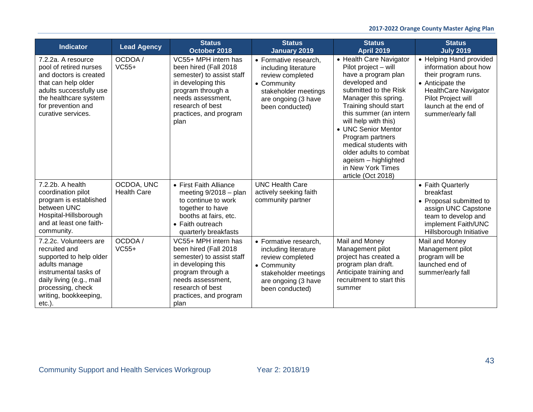| <b>Indicator</b>                                                                                                                                                                                    | <b>Lead Agency</b>               | <b>Status</b><br>October 2018                                                                                                                                                                    | <b>Status</b><br>January 2019                                                                                                                      | <b>Status</b><br><b>April 2019</b>                                                                                                                                                                                                                                                                                                                                                   | <b>Status</b><br><b>July 2019</b>                                                                                                                                                             |
|-----------------------------------------------------------------------------------------------------------------------------------------------------------------------------------------------------|----------------------------------|--------------------------------------------------------------------------------------------------------------------------------------------------------------------------------------------------|----------------------------------------------------------------------------------------------------------------------------------------------------|--------------------------------------------------------------------------------------------------------------------------------------------------------------------------------------------------------------------------------------------------------------------------------------------------------------------------------------------------------------------------------------|-----------------------------------------------------------------------------------------------------------------------------------------------------------------------------------------------|
| 7.2.2a. A resource<br>pool of retired nurses<br>and doctors is created<br>that can help older<br>adults successfully use<br>the healthcare system<br>for prevention and<br>curative services.       | OCDOA /<br>$VC55+$               | VC55+ MPH intern has<br>been hired (Fall 2018<br>semester) to assist staff<br>in developing this<br>program through a<br>needs assessment.<br>research of best<br>practices, and program<br>plan | • Formative research,<br>including literature<br>review completed<br>• Community<br>stakeholder meetings<br>are ongoing (3 have<br>been conducted) | • Health Care Navigator<br>Pilot project - will<br>have a program plan<br>developed and<br>submitted to the Risk<br>Manager this spring.<br>Training should start<br>this summer (an intern<br>will help with this)<br>• UNC Senior Mentor<br>Program partners<br>medical students with<br>older adults to combat<br>ageism - highlighted<br>in New York Times<br>article (Oct 2018) | • Helping Hand provided<br>information about how<br>their program runs.<br>• Anticipate the<br><b>HealthCare Navigator</b><br>Pilot Project will<br>launch at the end of<br>summer/early fall |
| 7.2.2b. A health<br>coordination pilot<br>program is established<br>between UNC<br>Hospital-Hillsborough<br>and at least one faith-<br>community.                                                   | OCDOA, UNC<br><b>Health Care</b> | • First Faith Alliance<br>meeting $9/2018 -$ plan<br>to continue to work<br>together to have<br>booths at fairs, etc.<br>• Faith outreach<br>quarterly breakfasts                                | <b>UNC Health Care</b><br>actively seeking faith<br>community partner                                                                              |                                                                                                                                                                                                                                                                                                                                                                                      | • Faith Quarterly<br>breakfast<br>• Proposal submitted to<br>assign UNC Capstone<br>team to develop and<br>implement Faith/UNC<br>Hillsborough Initiative                                     |
| 7.2.2c. Volunteers are<br>recruited and<br>supported to help older<br>adults manage<br>instrumental tasks of<br>daily living (e.g., mail<br>processing, check<br>writing, bookkeeping,<br>$etc.$ ). | OCDOA/<br>$VC55+$                | VC55+ MPH intern has<br>been hired (Fall 2018<br>semester) to assist staff<br>in developing this<br>program through a<br>needs assessment,<br>research of best<br>practices, and program<br>plan | • Formative research,<br>including literature<br>review completed<br>• Community<br>stakeholder meetings<br>are ongoing (3 have<br>been conducted) | Mail and Money<br>Management pilot<br>project has created a<br>program plan draft.<br>Anticipate training and<br>recruitment to start this<br>summer                                                                                                                                                                                                                                 | Mail and Money<br>Management pilot<br>program will be<br>launched end of<br>summer/early fall                                                                                                 |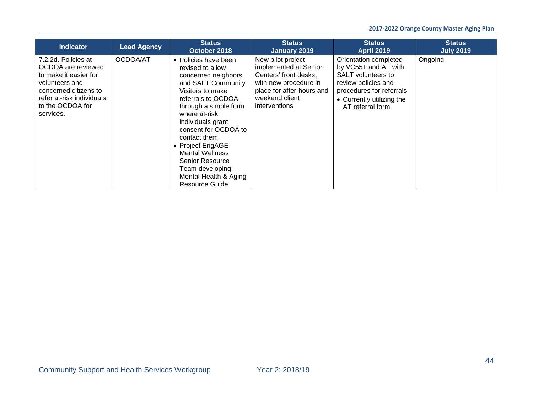| <b>Indicator</b>                                                                                                                                                            | <b>Lead Agency</b> | <b>Status</b><br>October 2018                                                                                                                                                                                                                                                                                                                                                       | <b>Status</b><br>January 2019                                                                                                                                | <b>Status</b><br><b>April 2019</b>                                                                                                                                             | <b>Status</b><br><b>July 2019</b> |
|-----------------------------------------------------------------------------------------------------------------------------------------------------------------------------|--------------------|-------------------------------------------------------------------------------------------------------------------------------------------------------------------------------------------------------------------------------------------------------------------------------------------------------------------------------------------------------------------------------------|--------------------------------------------------------------------------------------------------------------------------------------------------------------|--------------------------------------------------------------------------------------------------------------------------------------------------------------------------------|-----------------------------------|
| 7.2.2d. Policies at<br>OCDOA are reviewed<br>to make it easier for<br>volunteers and<br>concerned citizens to<br>refer at-risk individuals<br>to the OCDOA for<br>services. | OCDOA/AT           | • Policies have been<br>revised to allow<br>concerned neighbors<br>and SALT Community<br>Visitors to make<br>referrals to OCDOA<br>through a simple form<br>where at-risk<br>individuals grant<br>consent for OCDOA to<br>contact them<br>• Project EngAGE<br><b>Mental Wellness</b><br><b>Senior Resource</b><br>Team developing<br>Mental Health & Aging<br><b>Resource Guide</b> | New pilot project<br>implemented at Senior<br>Centers' front desks,<br>with new procedure in<br>place for after-hours and<br>weekend client<br>interventions | Orientation completed<br>by VC55+ and AT with<br><b>SALT</b> volunteers to<br>review policies and<br>procedures for referrals<br>• Currently utilizing the<br>AT referral form | Ongoing                           |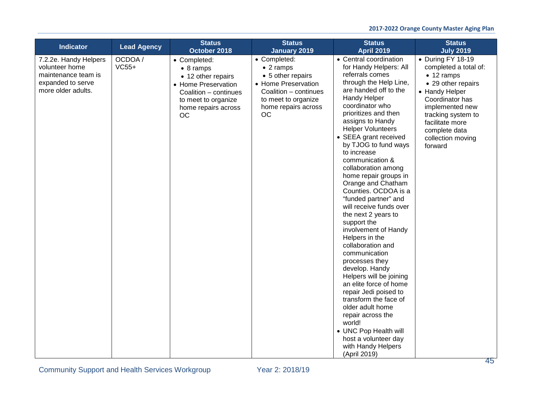| <b>Indicator</b>                                                                                          | <b>Lead Agency</b> | <b>Status</b><br>October 2018                                                                                                                               | <b>Status</b><br><b>January 2019</b>                                                                                                                       | <b>Status</b><br><b>April 2019</b>                                                                                                                                                                                                                                                                                                                                                                                                                                                                                                                                                                                                                                                                                                                                                                                                                                               | <b>Status</b><br><b>July 2019</b>                                                                                                                                                                                                        |
|-----------------------------------------------------------------------------------------------------------|--------------------|-------------------------------------------------------------------------------------------------------------------------------------------------------------|------------------------------------------------------------------------------------------------------------------------------------------------------------|----------------------------------------------------------------------------------------------------------------------------------------------------------------------------------------------------------------------------------------------------------------------------------------------------------------------------------------------------------------------------------------------------------------------------------------------------------------------------------------------------------------------------------------------------------------------------------------------------------------------------------------------------------------------------------------------------------------------------------------------------------------------------------------------------------------------------------------------------------------------------------|------------------------------------------------------------------------------------------------------------------------------------------------------------------------------------------------------------------------------------------|
| 7.2.2e. Handy Helpers<br>volunteer home<br>maintenance team is<br>expanded to serve<br>more older adults. | OCDOA /<br>$VC55+$ | • Completed:<br>$\bullet$ 8 ramps<br>• 12 other repairs<br>• Home Preservation<br>Coalition - continues<br>to meet to organize<br>home repairs across<br>OC | • Completed:<br>$\bullet$ 2 ramps<br>• 5 other repairs<br>• Home Preservation<br>Coalition - continues<br>to meet to organize<br>home repairs across<br>OC | • Central coordination<br>for Handy Helpers: All<br>referrals comes<br>through the Help Line,<br>are handed off to the<br>Handy Helper<br>coordinator who<br>prioritizes and then<br>assigns to Handy<br><b>Helper Volunteers</b><br>• SEEA grant received<br>by TJOG to fund ways<br>to increase<br>communication &<br>collaboration among<br>home repair groups in<br>Orange and Chatham<br>Counties. OCDOA is a<br>"funded partner" and<br>will receive funds over<br>the next 2 years to<br>support the<br>involvement of Handy<br>Helpers in the<br>collaboration and<br>communication<br>processes they<br>develop. Handy<br>Helpers will be joining<br>an elite force of home<br>repair Jedi poised to<br>transform the face of<br>older adult home<br>repair across the<br>world!<br>• UNC Pop Health will<br>host a volunteer day<br>with Handy Helpers<br>(April 2019) | • During FY 18-19<br>completed a total of:<br>$\bullet$ 12 ramps<br>• 29 other repairs<br>• Handy Helper<br>Coordinator has<br>implemented new<br>tracking system to<br>facilitate more<br>complete data<br>collection moving<br>forward |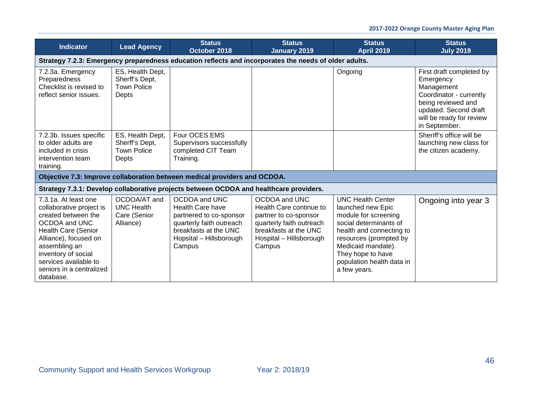| <b>Indicator</b>                                                                                                                                                                                                                                          | <b>Lead Agency</b>                                                                                    | <b>Status</b><br>October 2018                                                                                                                                 | <b>Status</b><br><b>January 2019</b>                                                                                                                        | <b>Status</b><br><b>April 2019</b>                                                                                                                                                                                                            | <b>Status</b><br><b>July 2019</b>                                                                                                                                          |  |  |  |  |
|-----------------------------------------------------------------------------------------------------------------------------------------------------------------------------------------------------------------------------------------------------------|-------------------------------------------------------------------------------------------------------|---------------------------------------------------------------------------------------------------------------------------------------------------------------|-------------------------------------------------------------------------------------------------------------------------------------------------------------|-----------------------------------------------------------------------------------------------------------------------------------------------------------------------------------------------------------------------------------------------|----------------------------------------------------------------------------------------------------------------------------------------------------------------------------|--|--|--|--|
|                                                                                                                                                                                                                                                           | Strategy 7.2.3: Emergency preparedness education reflects and incorporates the needs of older adults. |                                                                                                                                                               |                                                                                                                                                             |                                                                                                                                                                                                                                               |                                                                                                                                                                            |  |  |  |  |
| 7.2.3a. Emergency<br>Preparedness<br>Checklist is revised to<br>reflect senior issues.                                                                                                                                                                    | ES, Health Dept,<br>Sherff's Dept,<br><b>Town Police</b><br>Depts                                     |                                                                                                                                                               |                                                                                                                                                             | Ongoing                                                                                                                                                                                                                                       | First draft completed by<br>Emergency<br>Management<br>Coordinator - currently<br>being reviewed and<br>updated. Second draft<br>will be ready for review<br>in September. |  |  |  |  |
| 7.2.3b. Issues specific<br>to older adults are<br>included in crisis<br>intervention team<br>training.                                                                                                                                                    | ES, Health Dept,<br>Sherff's Dept,<br><b>Town Police</b><br>Depts                                     | Four OCES EMS<br>Supervisors successfully<br>completed CIT Team<br>Training.                                                                                  |                                                                                                                                                             |                                                                                                                                                                                                                                               | Sheriff's office will be<br>launching new class for<br>the citizen academy.                                                                                                |  |  |  |  |
|                                                                                                                                                                                                                                                           |                                                                                                       | Objective 7.3: Improve collaboration between medical providers and OCDOA.                                                                                     |                                                                                                                                                             |                                                                                                                                                                                                                                               |                                                                                                                                                                            |  |  |  |  |
|                                                                                                                                                                                                                                                           |                                                                                                       | Strategy 7.3.1: Develop collaborative projects between OCDOA and healthcare providers.                                                                        |                                                                                                                                                             |                                                                                                                                                                                                                                               |                                                                                                                                                                            |  |  |  |  |
| 7.3.1a. At least one<br>collaborative project is<br>created between the<br>OCDOA and UNC<br><b>Health Care (Senior</b><br>Alliance), focused on<br>assembling an<br>inventory of social<br>services available to<br>seniors in a centralized<br>database. | OCDOA/AT and<br><b>UNC Health</b><br>Care (Senior<br>Alliance)                                        | OCDOA and UNC<br><b>Health Care have</b><br>partnered to co-sponsor<br>quarterly faith outreach<br>breakfasts at the UNC<br>Hopsital - Hillsborough<br>Campus | OCDOA and UNC<br>Health Care continue to<br>partner to co-sponsor<br>quarterly faith outreach<br>breakfasts at the UNC<br>Hospital - Hillsborough<br>Campus | <b>UNC Health Center</b><br>launched new Epic<br>module for screening<br>social determinants of<br>health and connecting to<br>resources (prompted by<br>Medicaid mandate).<br>They hope to have<br>population health data in<br>a few years. | Ongoing into year 3                                                                                                                                                        |  |  |  |  |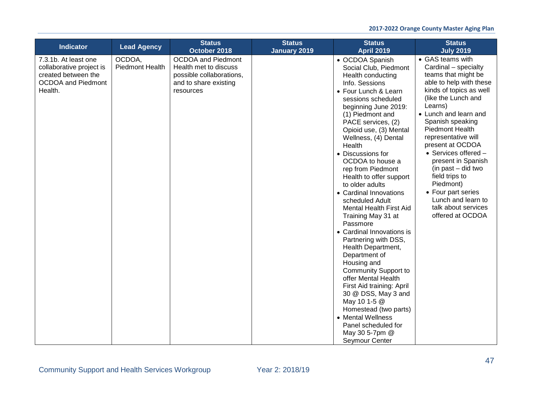| <b>Indicator</b>                                                                                                | <b>Lead Agency</b>               | <b>Status</b>                                                                                                        | <b>Status</b>       | <b>Status</b>                                                                                                                                                                                                                                                                                                                                                                                                                                                                                                                                                                                                                                                                                                                                                                                                                          | <b>Status</b>                                                                                                                                                                                                                                                                                                                                                                                                                                                                 |
|-----------------------------------------------------------------------------------------------------------------|----------------------------------|----------------------------------------------------------------------------------------------------------------------|---------------------|----------------------------------------------------------------------------------------------------------------------------------------------------------------------------------------------------------------------------------------------------------------------------------------------------------------------------------------------------------------------------------------------------------------------------------------------------------------------------------------------------------------------------------------------------------------------------------------------------------------------------------------------------------------------------------------------------------------------------------------------------------------------------------------------------------------------------------------|-------------------------------------------------------------------------------------------------------------------------------------------------------------------------------------------------------------------------------------------------------------------------------------------------------------------------------------------------------------------------------------------------------------------------------------------------------------------------------|
|                                                                                                                 |                                  | October 2018                                                                                                         | <b>January 2019</b> | <b>April 2019</b>                                                                                                                                                                                                                                                                                                                                                                                                                                                                                                                                                                                                                                                                                                                                                                                                                      | <b>July 2019</b>                                                                                                                                                                                                                                                                                                                                                                                                                                                              |
| 7.3.1b. At least one<br>collaborative project is<br>created between the<br><b>OCDOA and Piedmont</b><br>Health. | OCDOA,<br><b>Piedmont Health</b> | <b>OCDOA and Piedmont</b><br>Health met to discuss<br>possible collaborations,<br>and to share existing<br>resources |                     | • OCDOA Spanish<br>Social Club, Piedmont<br>Health conducting<br>Info. Sessions<br>• Four Lunch & Learn<br>sessions scheduled<br>beginning June 2019:<br>(1) Piedmont and<br>PACE services, (2)<br>Opioid use, (3) Mental<br>Wellness, (4) Dental<br>Health<br>• Discussions for<br>OCDOA to house a<br>rep from Piedmont<br>Health to offer support<br>to older adults<br>• Cardinal Innovations<br>scheduled Adult<br><b>Mental Health First Aid</b><br>Training May 31 at<br>Passmore<br>• Cardinal Innovations is<br>Partnering with DSS,<br>Health Department,<br>Department of<br>Housing and<br><b>Community Support to</b><br>offer Mental Health<br>First Aid training: April<br>30 @ DSS, May 3 and<br>May 10 1-5 @<br>Homestead (two parts)<br>• Mental Wellness<br>Panel scheduled for<br>May 30 5-7pm @<br>Seymour Center | • GAS teams with<br>Cardinal - specialty<br>teams that might be<br>able to help with these<br>kinds of topics as well<br>(like the Lunch and<br>Learns)<br>• Lunch and learn and<br>Spanish speaking<br><b>Piedmont Health</b><br>representative will<br>present at OCDOA<br>$\bullet$ Services offered $-$<br>present in Spanish<br>(in past – did two<br>field trips to<br>Piedmont)<br>• Four part series<br>Lunch and learn to<br>talk about services<br>offered at OCDOA |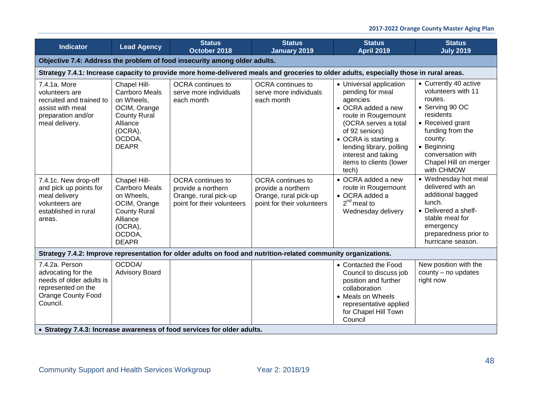| <b>Indicator</b>                                                                                                         | <b>Lead Agency</b>                                                                                                                          | <b>Status</b><br>October 2018                                                                                                          | <b>Status</b><br><b>January 2019</b>                                                                  | <b>Status</b><br><b>April 2019</b>                                                                                                                                                                                                                            | <b>Status</b><br><b>July 2019</b>                                                                                                                                                                                    |  |  |  |  |
|--------------------------------------------------------------------------------------------------------------------------|---------------------------------------------------------------------------------------------------------------------------------------------|----------------------------------------------------------------------------------------------------------------------------------------|-------------------------------------------------------------------------------------------------------|---------------------------------------------------------------------------------------------------------------------------------------------------------------------------------------------------------------------------------------------------------------|----------------------------------------------------------------------------------------------------------------------------------------------------------------------------------------------------------------------|--|--|--|--|
|                                                                                                                          | Objective 7.4: Address the problem of food insecurity among older adults.                                                                   |                                                                                                                                        |                                                                                                       |                                                                                                                                                                                                                                                               |                                                                                                                                                                                                                      |  |  |  |  |
|                                                                                                                          |                                                                                                                                             | Strategy 7.4.1: Increase capacity to provide more home-delivered meals and groceries to older adults, especially those in rural areas. |                                                                                                       |                                                                                                                                                                                                                                                               |                                                                                                                                                                                                                      |  |  |  |  |
| 7.4.1a. More<br>volunteers are<br>recruited and trained to<br>assist with meal<br>preparation and/or<br>meal delivery.   | Chapel Hill-<br><b>Carrboro Meals</b><br>on Wheels,<br>OCIM, Orange<br><b>County Rural</b><br>Alliance<br>(OCRA),<br>OCDOA,<br><b>DEAPR</b> | OCRA continues to<br>serve more individuals<br>each month                                                                              | OCRA continues to<br>serve more individuals<br>each month                                             | • Universal application<br>pending for meal<br>agencies<br>• OCRA added a new<br>route in Rougemount<br>(OCRA serves a total<br>of 92 seniors)<br>• OCRA is starting a<br>lending library, polling<br>interest and taking<br>items to clients (lower<br>tech) | • Currently 40 active<br>volunteers with 11<br>routes.<br>• Serving 90 OC<br>residents<br>• Received grant<br>funding from the<br>county.<br>• Beginning<br>conversation with<br>Chapel Hill on merger<br>with CHMOW |  |  |  |  |
| 7.4.1c. New drop-off<br>and pick up points for<br>meal delivery<br>volunteers are<br>established in rural<br>areas.      | Chapel Hill-<br><b>Carrboro Meals</b><br>on Wheels,<br>OCIM, Orange<br><b>County Rural</b><br>Alliance<br>(OCRA),<br>OCDOA,<br><b>DEAPR</b> | <b>OCRA</b> continues to<br>provide a northern<br>Orange, rural pick-up<br>point for their volunteers                                  | <b>OCRA</b> continues to<br>provide a northern<br>Orange, rural pick-up<br>point for their volunteers | $\bullet$ OCRA added a new<br>route in Rougemount<br>• OCRA added a<br>$2^{nd}$ meal to<br>Wednesday delivery                                                                                                                                                 | • Wednesday hot meal<br>delivered with an<br>additional bagged<br>lunch.<br>• Delivered a shelf-<br>stable meal for<br>emergency<br>preparedness prior to<br>hurricane season.                                       |  |  |  |  |
|                                                                                                                          |                                                                                                                                             | Strategy 7.4.2: Improve representation for older adults on food and nutrition-related community organizations.                         |                                                                                                       |                                                                                                                                                                                                                                                               |                                                                                                                                                                                                                      |  |  |  |  |
| 7.4.2a. Person<br>advocating for the<br>needs of older adults is<br>represented on the<br>Orange County Food<br>Council. | OCDOA/<br><b>Advisory Board</b>                                                                                                             |                                                                                                                                        |                                                                                                       | • Contacted the Food<br>Council to discuss job<br>position and further<br>collaboration<br>• Meals on Wheels<br>representative applied<br>for Chapel Hill Town<br>Council                                                                                     | New position with the<br>county - no updates<br>right now                                                                                                                                                            |  |  |  |  |
|                                                                                                                          |                                                                                                                                             | • Strategy 7.4.3: Increase awareness of food services for older adults.                                                                |                                                                                                       |                                                                                                                                                                                                                                                               |                                                                                                                                                                                                                      |  |  |  |  |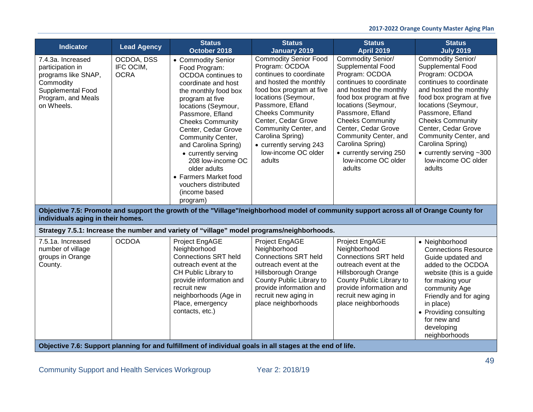| <b>Indicator</b>                                                                                                                   | <b>Lead Agency</b>                     | <b>Status</b><br>October 2018                                                                                                                                                                                                                                                                                                                                                                                   | <b>Status</b><br><b>January 2019</b>                                                                                                                                                                                                                                                                                                  | <b>Status</b><br><b>April 2019</b>                                                                                                                                                                                                                                                                                                              | <b>Status</b><br><b>July 2019</b>                                                                                                                                                                                                                                                                                                                                     |
|------------------------------------------------------------------------------------------------------------------------------------|----------------------------------------|-----------------------------------------------------------------------------------------------------------------------------------------------------------------------------------------------------------------------------------------------------------------------------------------------------------------------------------------------------------------------------------------------------------------|---------------------------------------------------------------------------------------------------------------------------------------------------------------------------------------------------------------------------------------------------------------------------------------------------------------------------------------|-------------------------------------------------------------------------------------------------------------------------------------------------------------------------------------------------------------------------------------------------------------------------------------------------------------------------------------------------|-----------------------------------------------------------------------------------------------------------------------------------------------------------------------------------------------------------------------------------------------------------------------------------------------------------------------------------------------------------------------|
| 7.4.3a. Increased<br>participation in<br>programs like SNAP,<br>Commodity<br>Supplemental Food<br>Program, and Meals<br>on Wheels. | OCDOA, DSS<br>IFC OCIM,<br><b>OCRA</b> | • Commodity Senior<br>Food Program:<br>OCDOA continues to<br>coordinate and host<br>the monthly food box<br>program at five<br>locations (Seymour,<br>Passmore, Efland<br><b>Cheeks Community</b><br>Center, Cedar Grove<br>Community Center,<br>and Carolina Spring)<br>• currently serving<br>208 low-income OC<br>older adults<br>• Farmers Market food<br>vouchers distributed<br>(income based<br>program) | <b>Commodity Senior Food</b><br>Program: OCDOA<br>continues to coordinate<br>and hosted the monthly<br>food box program at five<br>locations (Seymour,<br>Passmore, Efland<br><b>Cheeks Community</b><br>Center, Cedar Grove<br>Community Center, and<br>Carolina Spring)<br>• currently serving 243<br>low-income OC older<br>adults | Commodity Senior/<br>Supplemental Food<br>Program: OCDOA<br>continues to coordinate<br>and hosted the monthly<br>food box program at five<br>locations (Seymour,<br>Passmore, Efland<br><b>Cheeks Community</b><br>Center, Cedar Grove<br>Community Center, and<br>Carolina Spring)<br>• currently serving 250<br>low-income OC older<br>adults | <b>Commodity Senior/</b><br>Supplemental Food<br>Program: OCDOA<br>continues to coordinate<br>and hosted the monthly<br>food box program at five<br>locations (Seymour,<br>Passmore, Efland<br><b>Cheeks Community</b><br>Center, Cedar Grove<br>Community Center, and<br>Carolina Spring)<br>$\bullet$ currently serving $\sim$ 300<br>low-income OC older<br>adults |
| individuals aging in their homes.                                                                                                  |                                        | Objective 7.5: Promote and support the growth of the "Village"/neighborhood model of community support across all of Orange County for                                                                                                                                                                                                                                                                          |                                                                                                                                                                                                                                                                                                                                       |                                                                                                                                                                                                                                                                                                                                                 |                                                                                                                                                                                                                                                                                                                                                                       |
|                                                                                                                                    |                                        | Strategy 7.5.1: Increase the number and variety of "village" model programs/neighborhoods.                                                                                                                                                                                                                                                                                                                      |                                                                                                                                                                                                                                                                                                                                       |                                                                                                                                                                                                                                                                                                                                                 |                                                                                                                                                                                                                                                                                                                                                                       |
| 7.5.1a. Increased<br>number of village<br>groups in Orange<br>County.                                                              | <b>OCDOA</b>                           | Project EngAGE<br>Neighborhood<br><b>Connections SRT held</b><br>outreach event at the<br>CH Public Library to<br>provide information and<br>recruit new<br>neighborhoods (Age in<br>Place, emergency<br>contacts, etc.)                                                                                                                                                                                        | Project EngAGE<br>Neighborhood<br><b>Connections SRT held</b><br>outreach event at the<br>Hillsborough Orange<br>County Public Library to<br>provide information and<br>recruit new aging in<br>place neighborhoods                                                                                                                   | Project EngAGE<br>Neighborhood<br><b>Connections SRT held</b><br>outreach event at the<br>Hillsborough Orange<br>County Public Library to<br>provide information and<br>recruit new aging in<br>place neighborhoods                                                                                                                             | • Neighborhood<br><b>Connections Resource</b><br>Guide updated and<br>added to the OCDOA<br>website (this is a guide<br>for making your<br>community Age<br>Friendly and for aging<br>in place)<br>• Providing consulting<br>for new and<br>developing<br>neighborhoods                                                                                               |

**Objective 7.6: Support planning for and fulfillment of individual goals in all stages at the end of life.**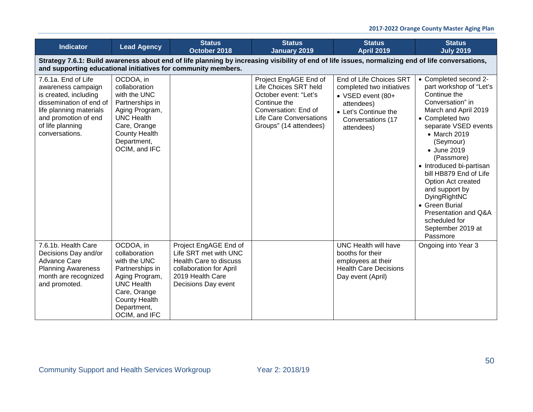| <b>Indicator</b>                                                                                                                                                                                                   | <b>Lead Agency</b>                                                                                                                                                           | <b>Status</b><br>October 2018                                                                                                                  | <b>Status</b><br><b>January 2019</b>                                                                                                                                        | <b>Status</b><br><b>April 2019</b>                                                                                                                 | <b>Status</b><br><b>July 2019</b>                                                                                                                                                                                                                                                                                                                                                                                           |  |  |
|--------------------------------------------------------------------------------------------------------------------------------------------------------------------------------------------------------------------|------------------------------------------------------------------------------------------------------------------------------------------------------------------------------|------------------------------------------------------------------------------------------------------------------------------------------------|-----------------------------------------------------------------------------------------------------------------------------------------------------------------------------|----------------------------------------------------------------------------------------------------------------------------------------------------|-----------------------------------------------------------------------------------------------------------------------------------------------------------------------------------------------------------------------------------------------------------------------------------------------------------------------------------------------------------------------------------------------------------------------------|--|--|
| Strategy 7.6.1: Build awareness about end of life planning by increasing visibility of end of life issues, normalizing end of life conversations,<br>and supporting educational initiatives for community members. |                                                                                                                                                                              |                                                                                                                                                |                                                                                                                                                                             |                                                                                                                                                    |                                                                                                                                                                                                                                                                                                                                                                                                                             |  |  |
| 7.6.1a. End of Life<br>awareness campaign<br>is created, including<br>dissemination of end of<br>life planning materials<br>and promotion of end<br>of life planning<br>conversations.                             | OCDOA, in<br>collaboration<br>with the UNC<br>Partnerships in<br>Aging Program,<br><b>UNC Health</b><br>Care, Orange<br><b>County Health</b><br>Department,<br>OCIM, and IFC |                                                                                                                                                | Project EngAGE End of<br>Life Choices SRT held<br>October event: "Let's<br>Continue the<br>Conversation: End of<br><b>Life Care Conversations</b><br>Groups" (14 attendees) | End of Life Choices SRT<br>completed two initiatives<br>• VSED event (80+<br>attendees)<br>• Let's Continue the<br>Conversations (17<br>attendees) | • Completed second 2-<br>part workshop of "Let's<br>Continue the<br>Conversation" in<br>March and April 2019<br>• Completed two<br>separate VSED events<br>• March 2019<br>(Seymour)<br>• June 2019<br>(Passmore)<br>• Introduced bi-partisan<br>bill HB879 End of Life<br>Option Act created<br>and support by<br>DyingRightNC<br>• Green Burial<br>Presentation and Q&A<br>scheduled for<br>September 2019 at<br>Passmore |  |  |
| 7.6.1b. Health Care<br>Decisions Day and/or<br><b>Advance Care</b><br><b>Planning Awareness</b><br>month are recognized<br>and promoted.                                                                           | OCDOA, in<br>collaboration<br>with the UNC<br>Partnerships in<br>Aging Program,<br><b>UNC Health</b><br>Care, Orange<br><b>County Health</b><br>Department,<br>OCIM, and IFC | Project EngAGE End of<br>Life SRT met with UNC<br>Health Care to discuss<br>collaboration for April<br>2019 Health Care<br>Decisions Day event |                                                                                                                                                                             | <b>UNC Health will have</b><br>booths for their<br>employees at their<br><b>Health Care Decisions</b><br>Day event (April)                         | Ongoing into Year 3                                                                                                                                                                                                                                                                                                                                                                                                         |  |  |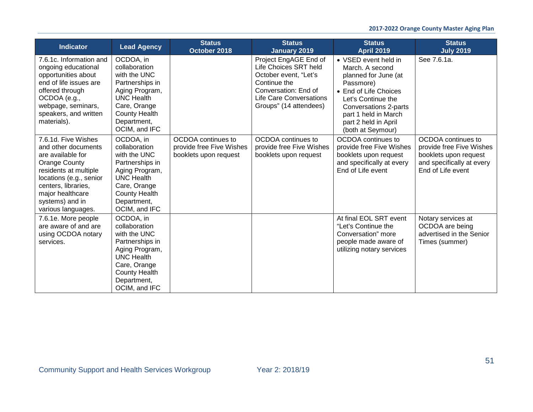| <b>Indicator</b>                                                                                                                                                                                                         | <b>Lead Agency</b>                                                                                                                                                           | <b>Status</b><br>October 2018                                           | <b>Status</b><br><b>January 2019</b>                                                                                                                                        | <b>Status</b><br><b>April 2019</b>                                                                                                                                                                                        | <b>Status</b><br><b>July 2019</b>                                                                                         |
|--------------------------------------------------------------------------------------------------------------------------------------------------------------------------------------------------------------------------|------------------------------------------------------------------------------------------------------------------------------------------------------------------------------|-------------------------------------------------------------------------|-----------------------------------------------------------------------------------------------------------------------------------------------------------------------------|---------------------------------------------------------------------------------------------------------------------------------------------------------------------------------------------------------------------------|---------------------------------------------------------------------------------------------------------------------------|
| 7.6.1c. Information and<br>ongoing educational<br>opportunities about<br>end of life issues are<br>offered through<br>OCDOA (e.g.,<br>webpage, seminars,<br>speakers, and written<br>materials).                         | OCDOA, in<br>collaboration<br>with the UNC<br>Partnerships in<br>Aging Program,<br><b>UNC Health</b><br>Care, Orange<br><b>County Health</b><br>Department,<br>OCIM, and IFC |                                                                         | Project EngAGE End of<br>Life Choices SRT held<br>October event, "Let's<br>Continue the<br>Conversation: End of<br><b>Life Care Conversations</b><br>Groups" (14 attendees) | • VSED event held in<br>March. A second<br>planned for June (at<br>Passmore)<br>• End of Life Choices<br>Let's Continue the<br>Conversations 2-parts<br>part 1 held in March<br>part 2 held in April<br>(both at Seymour) | See 7.6.1a.                                                                                                               |
| 7.6.1d. Five Wishes<br>and other documents<br>are available for<br>Orange County<br>residents at multiple<br>locations (e.g., senior<br>centers, libraries,<br>major healthcare<br>systems) and in<br>various languages. | OCDOA, in<br>collaboration<br>with the UNC<br>Partnerships in<br>Aging Program,<br><b>UNC Health</b><br>Care, Orange<br><b>County Health</b><br>Department,<br>OCIM, and IFC | OCDOA continues to<br>provide free Five Wishes<br>booklets upon request | OCDOA continues to<br>provide free Five Wishes<br>booklets upon request                                                                                                     | OCDOA continues to<br>provide free Five Wishes<br>booklets upon request<br>and specifically at every<br>End of Life event                                                                                                 | OCDOA continues to<br>provide free Five Wishes<br>booklets upon request<br>and specifically at every<br>End of Life event |
| 7.6.1e. More people<br>are aware of and are<br>using OCDOA notary<br>services.                                                                                                                                           | OCDOA, in<br>collaboration<br>with the UNC<br>Partnerships in<br>Aging Program,<br><b>UNC Health</b><br>Care, Orange<br><b>County Health</b><br>Department,<br>OCIM, and IFC |                                                                         |                                                                                                                                                                             | At final EOL SRT event<br>"Let's Continue the<br>Conversation" more<br>people made aware of<br>utilizing notary services                                                                                                  | Notary services at<br>OCDOA are being<br>advertised in the Senior<br>Times (summer)                                       |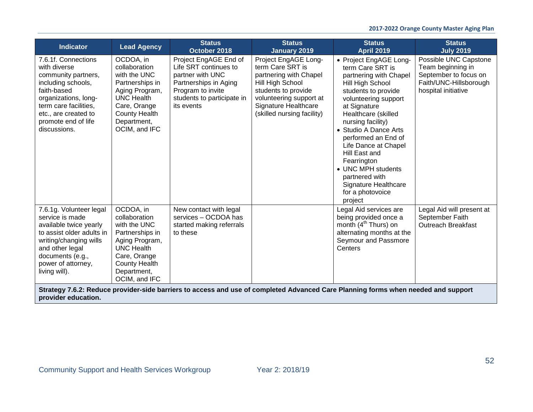| <b>Indicator</b>                                                                                                                                                                                                | <b>Lead Agency</b>                                                                                                                                                           | <b>Status</b><br>October 2018                                                                                                                                | <b>Status</b><br><b>January 2019</b>                                                                                                                                                                  | <b>Status</b><br><b>April 2019</b>                                                                                                                                                                                                                                                                                                                                                                         | <b>Status</b><br><b>July 2019</b>                                                                                    |
|-----------------------------------------------------------------------------------------------------------------------------------------------------------------------------------------------------------------|------------------------------------------------------------------------------------------------------------------------------------------------------------------------------|--------------------------------------------------------------------------------------------------------------------------------------------------------------|-------------------------------------------------------------------------------------------------------------------------------------------------------------------------------------------------------|------------------------------------------------------------------------------------------------------------------------------------------------------------------------------------------------------------------------------------------------------------------------------------------------------------------------------------------------------------------------------------------------------------|----------------------------------------------------------------------------------------------------------------------|
| 7.6.1f. Connections<br>with diverse<br>community partners,<br>including schools,<br>faith-based<br>organizations, long-<br>term care facilities,<br>etc., are created to<br>promote end of life<br>discussions. | OCDOA, in<br>collaboration<br>with the UNC<br>Partnerships in<br>Aging Program,<br><b>UNC Health</b><br>Care, Orange<br><b>County Health</b><br>Department,<br>OCIM, and IFC | Project EngAGE End of<br>Life SRT continues to<br>partner with UNC<br>Partnerships in Aging<br>Program to invite<br>students to participate in<br>its events | Project EngAGE Long-<br>term Care SRT is<br>partnering with Chapel<br>Hill High School<br>students to provide<br>volunteering support at<br><b>Signature Healthcare</b><br>(skilled nursing facility) | • Project EngAGE Long-<br>term Care SRT is<br>partnering with Chapel<br>Hill High School<br>students to provide<br>volunteering support<br>at Signature<br>Healthcare (skilled<br>nursing facility)<br>• Studio A Dance Arts<br>performed an End of<br>Life Dance at Chapel<br>Hill East and<br>Fearrington<br>• UNC MPH students<br>partnered with<br>Signature Healthcare<br>for a photovoice<br>project | Possible UNC Capstone<br>Team beginning in<br>September to focus on<br>Faith/UNC-Hillsborough<br>hospital initiative |
| 7.6.1g. Volunteer legal<br>service is made<br>available twice yearly<br>to assist older adults in<br>writing/changing wills<br>and other legal<br>documents (e.g.,<br>power of attorney,<br>living will).       | OCDOA, in<br>collaboration<br>with the UNC<br>Partnerships in<br>Aging Program,<br><b>UNC Health</b><br>Care, Orange<br><b>County Health</b><br>Department,<br>OCIM, and IFC | New contact with legal<br>services - OCDOA has<br>started making referrals<br>to these                                                                       |                                                                                                                                                                                                       | Legal Aid services are<br>being provided once a<br>month (4 <sup>th</sup> Thurs) on<br>alternating months at the<br>Seymour and Passmore<br>Centers                                                                                                                                                                                                                                                        | Legal Aid will present at<br>September Faith<br><b>Outreach Breakfast</b>                                            |
| provider education.                                                                                                                                                                                             |                                                                                                                                                                              |                                                                                                                                                              | Strategy 7.6.2: Reduce provider-side barriers to access and use of completed Advanced Care Planning forms when needed and support                                                                     |                                                                                                                                                                                                                                                                                                                                                                                                            |                                                                                                                      |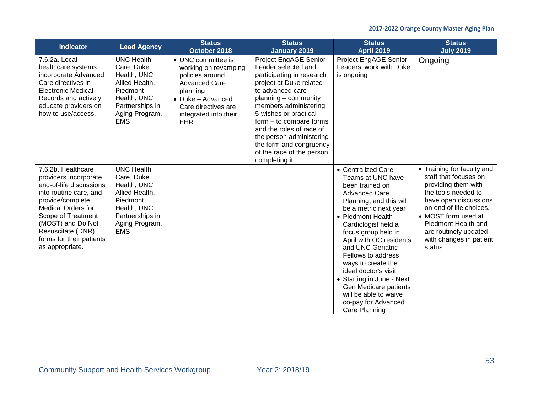| <b>Indicator</b>                                                                                                                                                                                                                                                 | <b>Lead Agency</b>                                                                                                                                    | <b>Status</b><br>October 2018                                                                                                                                                        | <b>Status</b><br>January 2019                                                                                                                                                                                                                                                                                                                                      | <b>Status</b><br><b>April 2019</b>                                                                                                                                                                                                                                                                                                                                                                                                                   | <b>Status</b><br><b>July 2019</b>                                                                                                                                                                                                                                 |
|------------------------------------------------------------------------------------------------------------------------------------------------------------------------------------------------------------------------------------------------------------------|-------------------------------------------------------------------------------------------------------------------------------------------------------|--------------------------------------------------------------------------------------------------------------------------------------------------------------------------------------|--------------------------------------------------------------------------------------------------------------------------------------------------------------------------------------------------------------------------------------------------------------------------------------------------------------------------------------------------------------------|------------------------------------------------------------------------------------------------------------------------------------------------------------------------------------------------------------------------------------------------------------------------------------------------------------------------------------------------------------------------------------------------------------------------------------------------------|-------------------------------------------------------------------------------------------------------------------------------------------------------------------------------------------------------------------------------------------------------------------|
| 7.6.2a. Local<br>healthcare systems<br>incorporate Advanced<br>Care directives in<br><b>Electronic Medical</b><br>Records and actively<br>educate providers on<br>how to use/access.                                                                             | <b>UNC Health</b><br>Care, Duke<br>Health, UNC<br>Allied Health,<br>Piedmont<br>Health, UNC<br>Partnerships in<br>Aging Program,<br><b>EMS</b>        | • UNC committee is<br>working on revamping<br>policies around<br><b>Advanced Care</b><br>planning<br>• Duke - Advanced<br>Care directives are<br>integrated into their<br><b>EHR</b> | Project EngAGE Senior<br>Leader selected and<br>participating in research<br>project at Duke related<br>to advanced care<br>$planning$ – community<br>members administering<br>5-wishes or practical<br>$form - to compare forms$<br>and the roles of race of<br>the person administering<br>the form and congruency<br>of the race of the person<br>completing it | Project EngAGE Senior<br>Leaders' work with Duke<br>is ongoing                                                                                                                                                                                                                                                                                                                                                                                       | Ongoing                                                                                                                                                                                                                                                           |
| 7.6.2b. Healthcare<br>providers incorporate<br>end-of-life discussions<br>into routine care, and<br>provide/complete<br><b>Medical Orders for</b><br>Scope of Treatment<br>(MOST) and Do Not<br>Resuscitate (DNR)<br>forms for their patients<br>as appropriate. | <b>UNC Health</b><br>Care, Duke<br>Health, UNC<br>Allied Health,<br><b>Piedmont</b><br>Health, UNC<br>Partnerships in<br>Aging Program,<br><b>EMS</b> |                                                                                                                                                                                      |                                                                                                                                                                                                                                                                                                                                                                    | • Centralized Care<br>Teams at UNC have<br>been trained on<br><b>Advanced Care</b><br>Planning, and this will<br>be a metric next year<br>• Piedmont Health<br>Cardiologist held a<br>focus group held in<br>April with OC residents<br>and UNC Geriatric<br>Fellows to address<br>ways to create the<br>ideal doctor's visit<br>• Starting in June - Next<br>Gen Medicare patients<br>will be able to waive<br>co-pay for Advanced<br>Care Planning | • Training for faculty and<br>staff that focuses on<br>providing them with<br>the tools needed to<br>have open discussions<br>on end of life choices.<br>• MOST form used at<br>Piedmont Health and<br>are routinely updated<br>with changes in patient<br>status |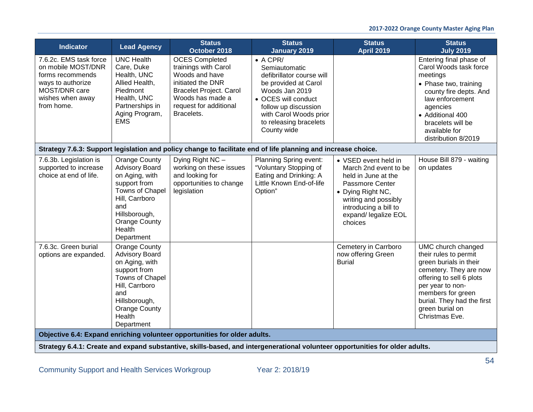| <b>Indicator</b>                                                                                                                         | <b>Lead Agency</b>                                                                                                                                                                           | <b>Status</b><br>October 2018                                                                                                                                                      | <b>Status</b><br><b>January 2019</b>                                                                                                                                                                                       | <b>Status</b><br><b>April 2019</b>                                                                                                                                                               | <b>Status</b><br><b>July 2019</b>                                                                                                                                                                                                       |
|------------------------------------------------------------------------------------------------------------------------------------------|----------------------------------------------------------------------------------------------------------------------------------------------------------------------------------------------|------------------------------------------------------------------------------------------------------------------------------------------------------------------------------------|----------------------------------------------------------------------------------------------------------------------------------------------------------------------------------------------------------------------------|--------------------------------------------------------------------------------------------------------------------------------------------------------------------------------------------------|-----------------------------------------------------------------------------------------------------------------------------------------------------------------------------------------------------------------------------------------|
| 7.6.2c. EMS task force<br>on mobile MOST/DNR<br>forms recommends<br>ways to authorize<br>MOST/DNR care<br>wishes when away<br>from home. | <b>UNC Health</b><br>Care, Duke<br>Health, UNC<br>Allied Health,<br>Piedmont<br>Health, UNC<br>Partnerships in<br>Aging Program,<br><b>EMS</b>                                               | <b>OCES Completed</b><br>trainings with Carol<br>Woods and have<br>initiated the DNR<br><b>Bracelet Project. Carol</b><br>Woods has made a<br>request for additional<br>Bracelets. | $\bullet$ A CPR/<br>Semiautomatic<br>defibrillator course will<br>be provided at Carol<br>Woods Jan 2019<br>• OCES will conduct<br>follow up discussion<br>with Carol Woods prior<br>to releasing bracelets<br>County wide |                                                                                                                                                                                                  | Entering final phase of<br>Carol Woods task force<br>meetings<br>• Phase two, training<br>county fire depts. And<br>law enforcement<br>agencies<br>• Additional 400<br>bracelets will be<br>available for<br>distribution 8/2019        |
|                                                                                                                                          |                                                                                                                                                                                              |                                                                                                                                                                                    | Strategy 7.6.3: Support legislation and policy change to facilitate end of life planning and increase choice.                                                                                                              |                                                                                                                                                                                                  |                                                                                                                                                                                                                                         |
| 7.6.3b. Legislation is<br>supported to increase<br>choice at end of life.                                                                | <b>Orange County</b><br><b>Advisory Board</b><br>on Aging, with<br>support from<br>Towns of Chapel<br>Hill, Carrboro<br>and<br>Hillsborough,<br><b>Orange County</b><br>Health<br>Department | Dying Right NC -<br>working on these issues<br>and looking for<br>opportunities to change<br>legislation                                                                           | Planning Spring event:<br>"Voluntary Stopping of<br>Eating and Drinking: A<br>Little Known End-of-life<br>Option"                                                                                                          | • VSED event held in<br>March 2nd event to be<br>held in June at the<br>Passmore Center<br>• Dying Right NC,<br>writing and possibly<br>introducing a bill to<br>expand/ legalize EOL<br>choices | House Bill 879 - waiting<br>on updates                                                                                                                                                                                                  |
| 7.6.3c. Green burial<br>options are expanded.                                                                                            | <b>Orange County</b><br><b>Advisory Board</b><br>on Aging, with<br>support from<br>Towns of Chapel<br>Hill, Carrboro<br>and<br>Hillsborough,<br><b>Orange County</b><br>Health<br>Department |                                                                                                                                                                                    |                                                                                                                                                                                                                            | Cemetery in Carrboro<br>now offering Green<br><b>Burial</b>                                                                                                                                      | UMC church changed<br>their rules to permit<br>green burials in their<br>cemetery. They are now<br>offering to sell 6 plots<br>per year to non-<br>members for green<br>burial. They had the first<br>green burial on<br>Christmas Eve. |
|                                                                                                                                          |                                                                                                                                                                                              | Objective 6.4: Expand enriching volunteer opportunities for older adults.                                                                                                          |                                                                                                                                                                                                                            |                                                                                                                                                                                                  |                                                                                                                                                                                                                                         |
|                                                                                                                                          |                                                                                                                                                                                              |                                                                                                                                                                                    | Strategy 6.4.1: Create and expand substantive, skills-based, and intergenerational volunteer opportunities for older adults.                                                                                               |                                                                                                                                                                                                  |                                                                                                                                                                                                                                         |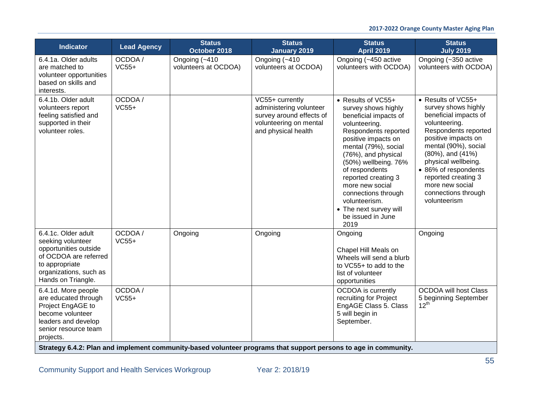| Indicator                                                                                                                                                    | <b>Lead Agency</b> | <b>Status</b><br>October 2018                                                                                   | <b>Status</b><br><b>January 2019</b>                                                                                    | <b>Status</b><br><b>April 2019</b>                                                                                                                                                                                                                                                                                                                                   | <b>Status</b><br><b>July 2019</b>                                                                                                                                                                                                                                                                              |
|--------------------------------------------------------------------------------------------------------------------------------------------------------------|--------------------|-----------------------------------------------------------------------------------------------------------------|-------------------------------------------------------------------------------------------------------------------------|----------------------------------------------------------------------------------------------------------------------------------------------------------------------------------------------------------------------------------------------------------------------------------------------------------------------------------------------------------------------|----------------------------------------------------------------------------------------------------------------------------------------------------------------------------------------------------------------------------------------------------------------------------------------------------------------|
| 6.4.1a. Older adults<br>are matched to<br>volunteer opportunities<br>based on skills and<br>interests.                                                       | OCDOA/<br>$VC55+$  | Ongoing (~410<br>volunteers at OCDOA)                                                                           | Ongoing (~410<br>volunteers at OCDOA)                                                                                   | Ongoing (~450 active<br>volunteers with OCDOA)                                                                                                                                                                                                                                                                                                                       | Ongoing (~350 active<br>volunteers with OCDOA)                                                                                                                                                                                                                                                                 |
| 6.4.1b. Older adult<br>volunteers report<br>feeling satisfied and<br>supported in their<br>volunteer roles.                                                  | OCDOA /<br>$VC55+$ |                                                                                                                 | VC55+ currently<br>administering volunteer<br>survey around effects of<br>volunteering on mental<br>and physical health | • Results of VC55+<br>survey shows highly<br>beneficial impacts of<br>volunteering.<br>Respondents reported<br>positive impacts on<br>mental (79%), social<br>(76%), and physical<br>(50%) wellbeing. 76%<br>of respondents<br>reported creating 3<br>more new social<br>connections through<br>volunteerism.<br>• The next survey will<br>be issued in June<br>2019 | • Results of VC55+<br>survey shows highly<br>beneficial impacts of<br>volunteering.<br>Respondents reported<br>positive impacts on<br>mental (90%), social<br>(80%), and (41%)<br>physical wellbeing.<br>• 86% of respondents<br>reported creating 3<br>more new social<br>connections through<br>volunteerism |
| 6.4.1c. Older adult<br>seeking volunteer<br>opportunities outside<br>of OCDOA are referred<br>to appropriate<br>organizations, such as<br>Hands on Triangle. | OCDOA/<br>$VC55+$  | Ongoing                                                                                                         | Ongoing                                                                                                                 | Ongoing<br>Chapel Hill Meals on<br>Wheels will send a blurb<br>to VC55+ to add to the<br>list of volunteer<br>opportunities                                                                                                                                                                                                                                          | Ongoing                                                                                                                                                                                                                                                                                                        |
| 6.4.1d. More people<br>are educated through<br>Project EngAGE to<br>become volunteer<br>leaders and develop<br>senior resource team<br>projects.             | OCDOA/<br>$VC55+$  | Strategy 6.4.2: Plan and implement community-based volunteer programs that support persons to age in community. |                                                                                                                         | <b>OCDOA</b> is currently<br>recruiting for Project<br>EngAGE Class 5. Class<br>5 will begin in<br>September.                                                                                                                                                                                                                                                        | <b>OCDOA will host Class</b><br>5 beginning September<br>$12^{th}$                                                                                                                                                                                                                                             |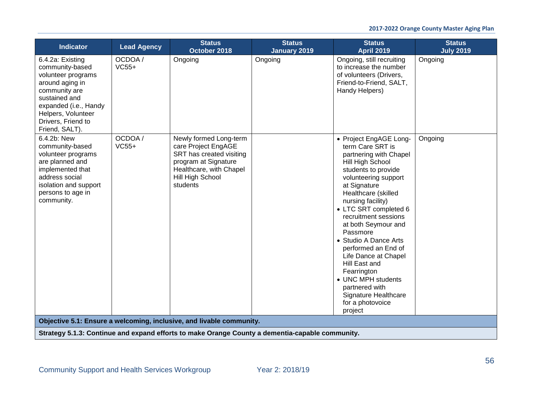| <b>Indicator</b>                                                                                                                                                                                      | <b>Lead Agency</b> | <b>Status</b><br>October 2018                                                                                                                                | <b>Status</b><br><b>January 2019</b> | <b>Status</b><br><b>April 2019</b>                                                                                                                                                                                                                                                                                                                                                                                                                                                             | <b>Status</b><br><b>July 2019</b> |
|-------------------------------------------------------------------------------------------------------------------------------------------------------------------------------------------------------|--------------------|--------------------------------------------------------------------------------------------------------------------------------------------------------------|--------------------------------------|------------------------------------------------------------------------------------------------------------------------------------------------------------------------------------------------------------------------------------------------------------------------------------------------------------------------------------------------------------------------------------------------------------------------------------------------------------------------------------------------|-----------------------------------|
| 6.4.2a: Existing<br>community-based<br>volunteer programs<br>around aging in<br>community are<br>sustained and<br>expanded (i.e., Handy<br>Helpers, Volunteer<br>Drivers, Friend to<br>Friend, SALT). | OCDOA /<br>$VC55+$ | Ongoing                                                                                                                                                      | Ongoing                              | Ongoing, still recruiting<br>to increase the number<br>of volunteers (Drivers,<br>Friend-to-Friend, SALT,<br>Handy Helpers)                                                                                                                                                                                                                                                                                                                                                                    | Ongoing                           |
| 6.4.2b: New<br>community-based<br>volunteer programs<br>are planned and<br>implemented that<br>address social<br>isolation and support<br>persons to age in<br>community.                             | OCDOA /<br>$VC55+$ | Newly formed Long-term<br>care Project EngAGE<br>SRT has created visiting<br>program at Signature<br>Healthcare, with Chapel<br>Hill High School<br>students |                                      | • Project EngAGE Long-<br>term Care SRT is<br>partnering with Chapel<br>Hill High School<br>students to provide<br>volunteering support<br>at Signature<br>Healthcare (skilled<br>nursing facility)<br>• LTC SRT completed 6<br>recruitment sessions<br>at both Seymour and<br>Passmore<br>• Studio A Dance Arts<br>performed an End of<br>Life Dance at Chapel<br>Hill East and<br>Fearrington<br>• UNC MPH students<br>partnered with<br>Signature Healthcare<br>for a photovoice<br>project | Ongoing                           |
|                                                                                                                                                                                                       |                    | Objective 5.1: Ensure a welcoming, inclusive, and livable community.                                                                                         |                                      |                                                                                                                                                                                                                                                                                                                                                                                                                                                                                                |                                   |
|                                                                                                                                                                                                       |                    | Strategy 5.1.3: Continue and expand efforts to make Orange County a dementia-capable community.                                                              |                                      |                                                                                                                                                                                                                                                                                                                                                                                                                                                                                                |                                   |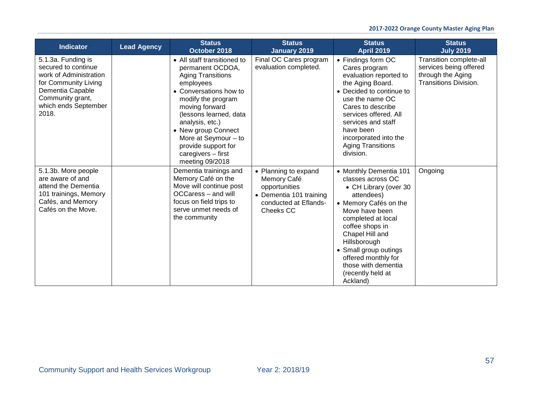| <b>Indicator</b>                                                                                                                                                     | <b>Lead Agency</b> | <b>Status</b><br>October 2018                                                                                                                                                                                                                                                                                            | <b>Status</b><br><b>January 2019</b>                                                                                  | <b>Status</b><br><b>April 2019</b>                                                                                                                                                                                                                                                                                | <b>Status</b><br><b>July 2019</b>                                                               |
|----------------------------------------------------------------------------------------------------------------------------------------------------------------------|--------------------|--------------------------------------------------------------------------------------------------------------------------------------------------------------------------------------------------------------------------------------------------------------------------------------------------------------------------|-----------------------------------------------------------------------------------------------------------------------|-------------------------------------------------------------------------------------------------------------------------------------------------------------------------------------------------------------------------------------------------------------------------------------------------------------------|-------------------------------------------------------------------------------------------------|
| 5.1.3a. Funding is<br>secured to continue<br>work of Administration<br>for Community Living<br>Dementia Capable<br>Community grant,<br>which ends September<br>2018. |                    | • All staff transitioned to<br>permanent OCDOA,<br><b>Aging Transitions</b><br>employees<br>• Conversations how to<br>modify the program<br>moving forward<br>(lessons learned, data<br>analysis, etc.)<br>• New group Connect<br>More at Seymour $-$ to<br>provide support for<br>caregivers - first<br>meeting 09/2018 | Final OC Cares program<br>evaluation completed.                                                                       | • Findings form OC<br>Cares program<br>evaluation reported to<br>the Aging Board.<br>• Decided to continue to<br>use the name OC<br>Cares to describe<br>services offered. All<br>services and staff<br>have been<br>incorporated into the<br><b>Aging Transitions</b><br>division.                               | Transition complete-all<br>services being offered<br>through the Aging<br>Transitions Division. |
| 5.1.3b. More people<br>are aware of and<br>attend the Dementia<br>101 trainings, Memory<br>Cafés, and Memory<br>Cafés on the Move.                                   |                    | Dementia trainings and<br>Memory Café on the<br>Move will continue post<br>OCCaress - and will<br>focus on field trips to<br>serve unmet needs of<br>the community                                                                                                                                                       | • Planning to expand<br>Memory Café<br>opportunities<br>• Dementia 101 training<br>conducted at Eflands-<br>Cheeks CC | • Monthly Dementia 101<br>classes across OC<br>• CH Library (over 30<br>attendees)<br>• Memory Cafés on the<br>Move have been<br>completed at local<br>coffee shops in<br>Chapel Hill and<br>Hillsborough<br>• Small group outings<br>offered monthly for<br>those with dementia<br>(recently held at<br>Ackland) | Ongoing                                                                                         |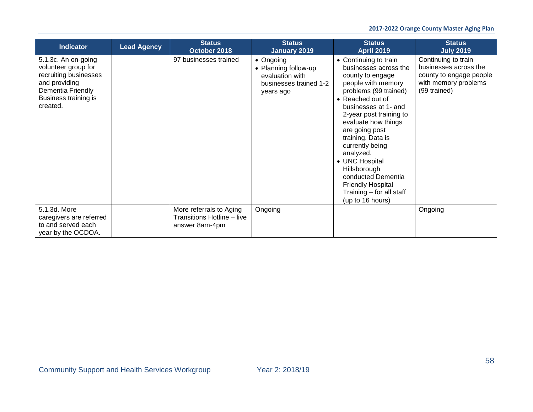| <b>Indicator</b>                                                                                                                              | <b>Lead Agency</b> | <b>Status</b><br>October 2018                                           | <b>Status</b><br><b>January 2019</b>                                                                | <b>Status</b><br><b>April 2019</b>                                                                                                                                                                                                                                                                                                                                                                                         | <b>Status</b><br><b>July 2019</b>                                                                               |
|-----------------------------------------------------------------------------------------------------------------------------------------------|--------------------|-------------------------------------------------------------------------|-----------------------------------------------------------------------------------------------------|----------------------------------------------------------------------------------------------------------------------------------------------------------------------------------------------------------------------------------------------------------------------------------------------------------------------------------------------------------------------------------------------------------------------------|-----------------------------------------------------------------------------------------------------------------|
| 5.1.3c. An on-going<br>volunteer group for<br>recruiting businesses<br>and providing<br>Dementia Friendly<br>Business training is<br>created. |                    | 97 businesses trained                                                   | $\bullet$ Ongoing<br>• Planning follow-up<br>evaluation with<br>businesses trained 1-2<br>years ago | • Continuing to train<br>businesses across the<br>county to engage<br>people with memory<br>problems (99 trained)<br>• Reached out of<br>businesses at 1- and<br>2-year post training to<br>evaluate how things<br>are going post<br>training. Data is<br>currently being<br>analyzed.<br>• UNC Hospital<br>Hillsborough<br>conducted Dementia<br><b>Friendly Hospital</b><br>Training - for all staff<br>(up to 16 hours) | Continuing to train<br>businesses across the<br>county to engage people<br>with memory problems<br>(99 trained) |
| 5.1.3d. More<br>caregivers are referred<br>to and served each<br>year by the OCDOA.                                                           |                    | More referrals to Aging<br>Transitions Hotline – live<br>answer 8am-4pm | Ongoing                                                                                             |                                                                                                                                                                                                                                                                                                                                                                                                                            | Ongoing                                                                                                         |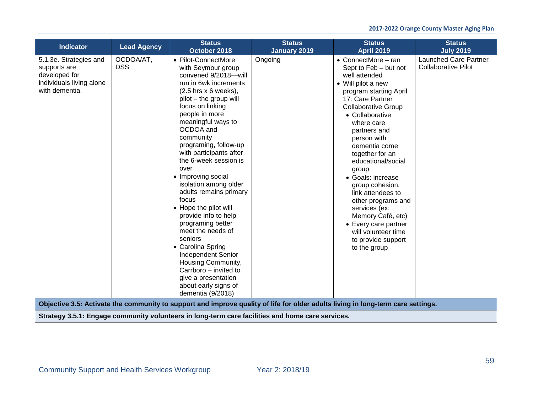| <b>Indicator</b>                                                                                      | <b>Lead Agency</b>      | <b>Status</b><br>October 2018                                                                                                                                                                                                                                                                                                                                                                                                                                                                                                                                                                                                                                                                                                                                                                                         | <b>Status</b><br>January 2019 | <b>Status</b><br><b>April 2019</b>                                                                                                                                                                                                                                                                                                                                                                                                                                                                                       | <b>Status</b><br><b>July 2019</b>                   |
|-------------------------------------------------------------------------------------------------------|-------------------------|-----------------------------------------------------------------------------------------------------------------------------------------------------------------------------------------------------------------------------------------------------------------------------------------------------------------------------------------------------------------------------------------------------------------------------------------------------------------------------------------------------------------------------------------------------------------------------------------------------------------------------------------------------------------------------------------------------------------------------------------------------------------------------------------------------------------------|-------------------------------|--------------------------------------------------------------------------------------------------------------------------------------------------------------------------------------------------------------------------------------------------------------------------------------------------------------------------------------------------------------------------------------------------------------------------------------------------------------------------------------------------------------------------|-----------------------------------------------------|
| 5.1.3e. Strategies and<br>supports are<br>developed for<br>individuals living alone<br>with dementia. | OCDOA/AT,<br><b>DSS</b> | • Pilot-ConnectMore<br>with Seymour group<br>convened 9/2018-will<br>run in 6wk increments<br>$(2.5$ hrs $x$ 6 weeks),<br>pilot - the group will<br>focus on linking<br>people in more<br>meaningful ways to<br>OCDOA and<br>community<br>programing, follow-up<br>with participants after<br>the 6-week session is<br>over<br>• Improving social<br>isolation among older<br>adults remains primary<br>focus<br>• Hope the pilot will<br>provide info to help<br>programing better<br>meet the needs of<br>seniors<br>• Carolina Spring<br>Independent Senior<br>Housing Community,<br>Carrboro - invited to<br>give a presentation<br>about early signs of<br>dementia (9/2018)<br>Objective 3.5: Activate the community to support and improve quality of life for older adults living in long-term care settings. | Ongoing                       | $\bullet$ ConnectMore – ran<br>Sept to Feb - but not<br>well attended<br>• Will pilot a new<br>program starting April<br>17: Care Partner<br><b>Collaborative Group</b><br>• Collaborative<br>where care<br>partners and<br>person with<br>dementia come<br>together for an<br>educational/social<br>group<br>• Goals: increase<br>group cohesion,<br>link attendees to<br>other programs and<br>services (ex:<br>Memory Café, etc)<br>• Every care partner<br>will volunteer time<br>to provide support<br>to the group | Launched Care Partner<br><b>Collaborative Pilot</b> |
|                                                                                                       |                         | Strategy 3.5.1: Engage community volunteers in long-term care facilities and home care services.                                                                                                                                                                                                                                                                                                                                                                                                                                                                                                                                                                                                                                                                                                                      |                               |                                                                                                                                                                                                                                                                                                                                                                                                                                                                                                                          |                                                     |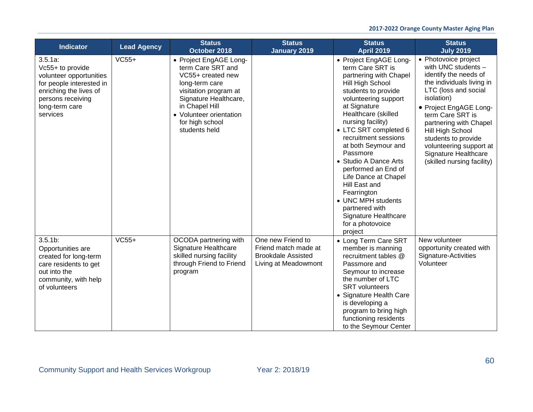| Indicator                                                                                                                                                          | <b>Lead Agency</b> | <b>Status</b><br>October 2018                                                                                                                                                                                         | <b>Status</b><br><b>January 2019</b>                                                           | <b>Status</b><br><b>April 2019</b>                                                                                                                                                                                                                                                                                                                                                                                                                                                             | <b>Status</b><br><b>July 2019</b>                                                                                                                                                                                                                                                                                                           |
|--------------------------------------------------------------------------------------------------------------------------------------------------------------------|--------------------|-----------------------------------------------------------------------------------------------------------------------------------------------------------------------------------------------------------------------|------------------------------------------------------------------------------------------------|------------------------------------------------------------------------------------------------------------------------------------------------------------------------------------------------------------------------------------------------------------------------------------------------------------------------------------------------------------------------------------------------------------------------------------------------------------------------------------------------|---------------------------------------------------------------------------------------------------------------------------------------------------------------------------------------------------------------------------------------------------------------------------------------------------------------------------------------------|
| $3.5.1a$ :<br>Vc55+ to provide<br>volunteer opportunities<br>for people interested in<br>enriching the lives of<br>persons receiving<br>long-term care<br>services | $VC55+$            | • Project EngAGE Long-<br>term Care SRT and<br>VC55+ created new<br>long-term care<br>visitation program at<br>Signature Healthcare,<br>in Chapel Hill<br>• Volunteer orientation<br>for high school<br>students held |                                                                                                | • Project EngAGE Long-<br>term Care SRT is<br>partnering with Chapel<br>Hill High School<br>students to provide<br>volunteering support<br>at Signature<br>Healthcare (skilled<br>nursing facility)<br>• LTC SRT completed 6<br>recruitment sessions<br>at both Seymour and<br>Passmore<br>• Studio A Dance Arts<br>performed an End of<br>Life Dance at Chapel<br>Hill East and<br>Fearrington<br>• UNC MPH students<br>partnered with<br>Signature Healthcare<br>for a photovoice<br>project | • Photovoice project<br>with UNC students -<br>identify the needs of<br>the individuals living in<br>LTC (loss and social<br>isolation)<br>• Project EngAGE Long-<br>term Care SRT is<br>partnering with Chapel<br>Hill High School<br>students to provide<br>volunteering support at<br>Signature Healthcare<br>(skilled nursing facility) |
| $3.5.1b$ :<br>Opportunities are<br>created for long-term<br>care residents to get<br>out into the<br>community, with help<br>of volunteers                         | $VC55+$            | OCODA partnering with<br>Signature Healthcare<br>skilled nursing facility<br>through Friend to Friend<br>program                                                                                                      | One new Friend to<br>Friend match made at<br><b>Brookdale Assisted</b><br>Living at Meadowmont | • Long Term Care SRT<br>member is manning<br>recruitment tables @<br>Passmore and<br>Seymour to increase<br>the number of LTC<br><b>SRT</b> volunteers<br>• Signature Health Care<br>is developing a<br>program to bring high<br>functioning residents<br>to the Seymour Center                                                                                                                                                                                                                | New volunteer<br>opportunity created with<br>Signature-Activities<br>Volunteer                                                                                                                                                                                                                                                              |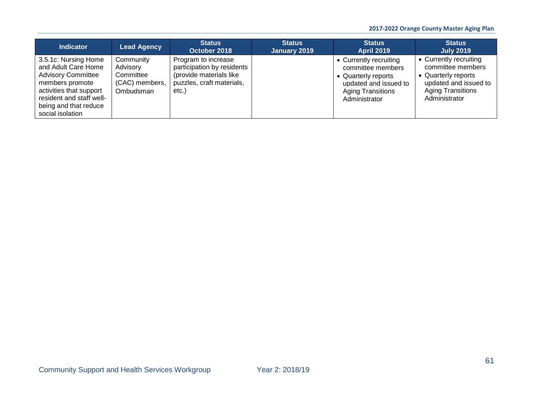## **2017-2022 Orange County Master Aging Plan**

| <b>Indicator</b>                                                                                                                                                                                | <b>Lead Agency</b>                                                | <b>Status</b><br>October 2018                                                                                      | <b>Status</b><br>January 2019 | <b>Status</b><br><b>April 2019</b>                                                                                                       | <b>Status</b><br><b>July 2019</b>                                                                                                        |
|-------------------------------------------------------------------------------------------------------------------------------------------------------------------------------------------------|-------------------------------------------------------------------|--------------------------------------------------------------------------------------------------------------------|-------------------------------|------------------------------------------------------------------------------------------------------------------------------------------|------------------------------------------------------------------------------------------------------------------------------------------|
| 3.5.1c: Nursing Home<br>and Adult Care Home<br><b>Advisory Committee</b><br>members promote<br>activities that support<br>resident and staff well-<br>being and that reduce<br>social isolation | Community<br>Advisory<br>Committee<br>(CAC) members,<br>Ombudsman | Program to increase<br>participation by residents<br>(provide materials like<br>puzzles, craft materials,<br>etc.) |                               | • Currently recruiting<br>committee members<br>• Quarterly reports<br>updated and issued to<br><b>Aging Transitions</b><br>Administrator | • Currently recruiting<br>committee members<br>• Quarterly reports<br>updated and issued to<br><b>Aging Transitions</b><br>Administrator |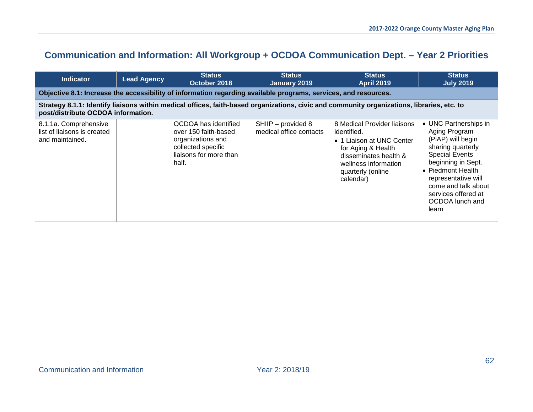# **Communication and Information: All Workgroup + OCDOA Communication Dept. – Year 2 Priorities**

| <b>Indicator</b>                                                                                                                                                                 | <b>Lead Agency</b> | <b>Status</b><br>October 2018                                                                                              | <b>Status</b><br>January 2019                 | <b>Status</b><br><b>April 2019</b>                                                                                                                                               | <b>Status</b><br><b>July 2019</b>                                                                                                                                                                                                                     |  |  |
|----------------------------------------------------------------------------------------------------------------------------------------------------------------------------------|--------------------|----------------------------------------------------------------------------------------------------------------------------|-----------------------------------------------|----------------------------------------------------------------------------------------------------------------------------------------------------------------------------------|-------------------------------------------------------------------------------------------------------------------------------------------------------------------------------------------------------------------------------------------------------|--|--|
|                                                                                                                                                                                  |                    | Objective 8.1: Increase the accessibility of information regarding available programs, services, and resources.            |                                               |                                                                                                                                                                                  |                                                                                                                                                                                                                                                       |  |  |
| Strategy 8.1.1: Identify liaisons within medical offices, faith-based organizations, civic and community organizations, libraries, etc. to<br>post/distribute OCDOA information. |                    |                                                                                                                            |                                               |                                                                                                                                                                                  |                                                                                                                                                                                                                                                       |  |  |
| 8.1.1a. Comprehensive<br>list of liaisons is created<br>and maintained.                                                                                                          |                    | OCDOA has identified<br>over 150 faith-based<br>organizations and<br>collected specific<br>liaisons for more than<br>half. | SHIIP - provided 8<br>medical office contacts | 8 Medical Provider liaisons<br>identified.<br>• 1 Liaison at UNC Center<br>for Aging & Health<br>disseminates health &<br>wellness information<br>quarterly (online<br>calendar) | • UNC Partnerships in<br>Aging Program<br>(PiAP) will begin<br>sharing quarterly<br><b>Special Events</b><br>beginning in Sept.<br>• Piedmont Health<br>representative will<br>come and talk about<br>services offered at<br>OCDOA lunch and<br>learn |  |  |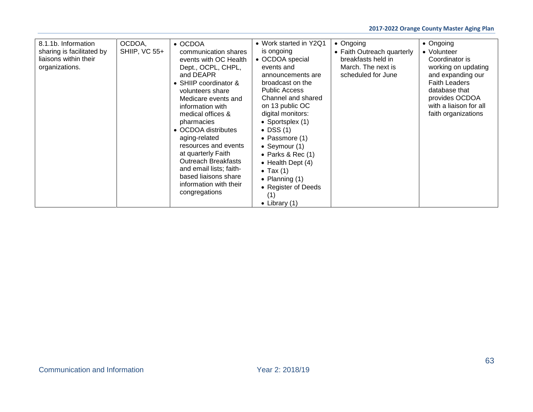| 8.1.1b. Information<br>sharing is facilitated by<br>liaisons within their<br>organizations. | OCDOA,<br><b>SHIIP, VC 55+</b> | • OCDOA<br>communication shares<br>events with OC Health<br>Dept., OCPL, CHPL,<br>and DEAPR<br>• SHIIP coordinator &<br>volunteers share<br>Medicare events and<br>information with<br>medical offices &<br>pharmacies<br>• OCDOA distributes<br>aging-related<br>resources and events<br>at quarterly Faith<br><b>Outreach Breakfasts</b><br>and email lists; faith-<br>based liaisons share<br>information with their<br>congregations | • Work started in Y2Q1<br>is ongoing<br>• OCDOA special<br>events and<br>announcements are<br>broadcast on the<br><b>Public Access</b><br>Channel and shared<br>on 13 public OC<br>digital monitors:<br>• Sportsplex (1)<br>$\bullet$ DSS (1)<br>• Passmore (1)<br>• Seymour $(1)$<br>$\bullet$ Parks & Rec (1)<br>$\bullet$ Health Dept (4)<br>$\bullet$ Tax (1)<br>• Planning $(1)$<br>• Register of Deeds<br>(1)<br>• Library $(1)$ | • Ongoing<br>• Faith Outreach quarterly<br>breakfasts held in<br>March. The next is<br>scheduled for June | $\bullet$ Ongoing<br>• Volunteer<br>Coordinator is<br>working on updating<br>and expanding our<br><b>Faith Leaders</b><br>database that<br>provides OCDOA<br>with a liaison for all<br>faith organizations |
|---------------------------------------------------------------------------------------------|--------------------------------|------------------------------------------------------------------------------------------------------------------------------------------------------------------------------------------------------------------------------------------------------------------------------------------------------------------------------------------------------------------------------------------------------------------------------------------|----------------------------------------------------------------------------------------------------------------------------------------------------------------------------------------------------------------------------------------------------------------------------------------------------------------------------------------------------------------------------------------------------------------------------------------|-----------------------------------------------------------------------------------------------------------|------------------------------------------------------------------------------------------------------------------------------------------------------------------------------------------------------------|
|---------------------------------------------------------------------------------------------|--------------------------------|------------------------------------------------------------------------------------------------------------------------------------------------------------------------------------------------------------------------------------------------------------------------------------------------------------------------------------------------------------------------------------------------------------------------------------------|----------------------------------------------------------------------------------------------------------------------------------------------------------------------------------------------------------------------------------------------------------------------------------------------------------------------------------------------------------------------------------------------------------------------------------------|-----------------------------------------------------------------------------------------------------------|------------------------------------------------------------------------------------------------------------------------------------------------------------------------------------------------------------|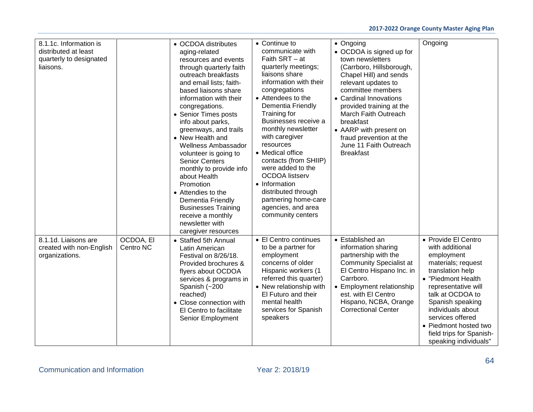| 8.1.1c. Information is<br>distributed at least<br>quarterly to designated<br>liaisons. |                        | • OCDOA distributes<br>aging-related<br>resources and events<br>through quarterly faith<br>outreach breakfasts<br>and email lists; faith-<br>based liaisons share<br>information with their<br>congregations.<br>• Senior Times posts<br>info about parks,<br>greenways, and trails<br>• New Health and<br>Wellness Ambassador<br>volunteer is going to<br><b>Senior Centers</b><br>monthly to provide info<br>about Health<br>Promotion<br>• Attendies to the<br>Dementia Friendly<br><b>Businesses Training</b><br>receive a monthly<br>newsletter with<br>caregiver resources | • Continue to<br>communicate with<br>Faith SRT - at<br>quarterly meetings;<br>liaisons share<br>information with their<br>congregations<br>• Attendees to the<br>Dementia Friendly<br>Training for<br>Businesses receive a<br>monthly newsletter<br>with caregiver<br>resources<br>• Medical office<br>contacts (from SHIIP)<br>were added to the<br><b>OCDOA</b> listserv<br>• Information<br>distributed through<br>partnering home-care<br>agencies, and area<br>community centers | • Ongoing<br>• OCDOA is signed up for<br>town newsletters<br>(Carrboro, Hillsborough,<br>Chapel Hill) and sends<br>relevant updates to<br>committee members<br>• Cardinal Innovations<br>provided training at the<br>March Faith Outreach<br>breakfast<br>• AARP with present on<br>fraud prevention at the<br>June 11 Faith Outreach<br><b>Breakfast</b> | Ongoing                                                                                                                                                                                                                                                                                                    |
|----------------------------------------------------------------------------------------|------------------------|----------------------------------------------------------------------------------------------------------------------------------------------------------------------------------------------------------------------------------------------------------------------------------------------------------------------------------------------------------------------------------------------------------------------------------------------------------------------------------------------------------------------------------------------------------------------------------|---------------------------------------------------------------------------------------------------------------------------------------------------------------------------------------------------------------------------------------------------------------------------------------------------------------------------------------------------------------------------------------------------------------------------------------------------------------------------------------|-----------------------------------------------------------------------------------------------------------------------------------------------------------------------------------------------------------------------------------------------------------------------------------------------------------------------------------------------------------|------------------------------------------------------------------------------------------------------------------------------------------------------------------------------------------------------------------------------------------------------------------------------------------------------------|
| 8.1.1d. Liaisons are<br>created with non-English<br>organizations.                     | OCDOA, EI<br>Centro NC | • Staffed 5th Annual<br>Latin American<br>Festival on 8/26/18.<br>Provided brochures &<br>flyers about OCDOA<br>services & programs in<br>Spanish (~200<br>reached)<br>• Close connection with<br>El Centro to facilitate<br>Senior Employment                                                                                                                                                                                                                                                                                                                                   | • El Centro continues<br>to be a partner for<br>employment<br>concerns of older<br>Hispanic workers (1<br>referred this quarter)<br>• New relationship with<br>El Futuro and their<br>mental health<br>services for Spanish<br>speakers                                                                                                                                                                                                                                               | • Established an<br>information sharing<br>partnership with the<br><b>Community Specialist at</b><br>El Centro Hispano Inc. in<br>Carrboro.<br>• Employment relationship<br>est. with El Centro<br>Hispano, NCBA, Orange<br><b>Correctional Center</b>                                                                                                    | • Provide El Centro<br>with additional<br>employment<br>materials; request<br>translation help<br>• "Piedmont Health<br>representative will<br>talk at OCDOA to<br>Spanish speaking<br>individuals about<br>services offered<br>• Piedmont hosted two<br>field trips for Spanish-<br>speaking individuals" |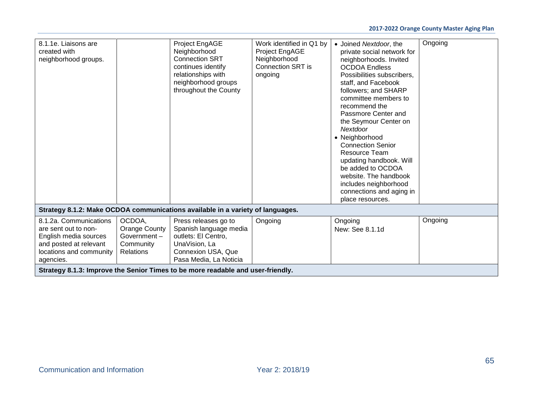| 8.1.1e. Liaisons are<br>created with<br>neighborhood groups.                                                                              |                                                                                 | Project EngAGE<br>Neighborhood<br><b>Connection SRT</b><br>continues identify<br>relationships with<br>neighborhood groups<br>throughout the County | Work identified in Q1 by<br>Project EngAGE<br>Neighborhood<br>Connection SRT is<br>ongoing | • Joined Nextdoor, the<br>private social network for<br>neighborhoods. Invited<br><b>OCDOA Endless</b><br>Possibilities subscribers,<br>staff, and Facebook<br>followers; and SHARP<br>committee members to<br>recommend the<br>Passmore Center and<br>the Seymour Center on<br>Nextdoor<br>• Neighborhood<br><b>Connection Senior</b><br><b>Resource Team</b><br>updating handbook. Will<br>be added to OCDOA<br>website. The handbook<br>includes neighborhood<br>connections and aging in<br>place resources. | Ongoing |  |  |
|-------------------------------------------------------------------------------------------------------------------------------------------|---------------------------------------------------------------------------------|-----------------------------------------------------------------------------------------------------------------------------------------------------|--------------------------------------------------------------------------------------------|------------------------------------------------------------------------------------------------------------------------------------------------------------------------------------------------------------------------------------------------------------------------------------------------------------------------------------------------------------------------------------------------------------------------------------------------------------------------------------------------------------------|---------|--|--|
|                                                                                                                                           |                                                                                 | Strategy 8.1.2: Make OCDOA communications available in a variety of languages.                                                                      |                                                                                            |                                                                                                                                                                                                                                                                                                                                                                                                                                                                                                                  |         |  |  |
| 8.1.2a. Communications<br>are sent out to non-<br>English media sources<br>and posted at relevant<br>locations and community<br>agencies. | OCDOA,<br>Orange County<br>Government $-$<br>Community<br><b>Relations</b>      | Press releases go to<br>Spanish language media<br>outlets: El Centro,<br>UnaVision, La<br>Connexion USA, Que<br>Pasa Media, La Noticia              | Ongoing                                                                                    | Ongoing<br>New: See 8.1.1d                                                                                                                                                                                                                                                                                                                                                                                                                                                                                       | Ongoing |  |  |
|                                                                                                                                           | Strategy 8.1.3: Improve the Senior Times to be more readable and user-friendly. |                                                                                                                                                     |                                                                                            |                                                                                                                                                                                                                                                                                                                                                                                                                                                                                                                  |         |  |  |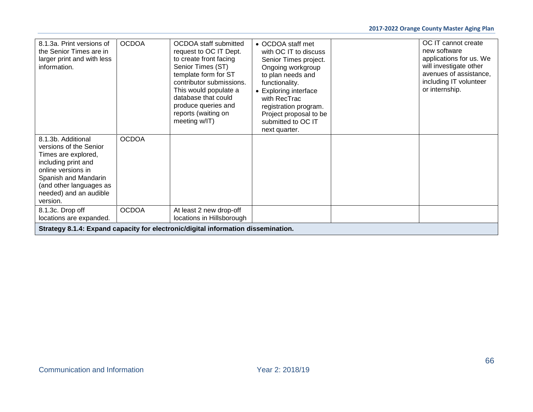| 8.1.3a. Print versions of<br>the Senior Times are in<br>larger print and with less<br>information.                                                                                                        | <b>OCDOA</b> | <b>OCDOA</b> staff submitted<br>request to OC IT Dept.<br>to create front facing<br>Senior Times (ST)<br>template form for ST<br>contributor submissions.<br>This would populate a<br>database that could<br>produce queries and<br>reports (waiting on<br>meeting w/IT) | • OCDOA staff met<br>with OC IT to discuss<br>Senior Times project.<br>Ongoing workgroup<br>to plan needs and<br>functionality.<br>• Exploring interface<br>with RecTrac<br>registration program.<br>Project proposal to be<br>submitted to OC IT<br>next quarter. | OC IT cannot create<br>new software<br>applications for us. We<br>will investigate other<br>avenues of assistance,<br>including IT volunteer<br>or internship. |
|-----------------------------------------------------------------------------------------------------------------------------------------------------------------------------------------------------------|--------------|--------------------------------------------------------------------------------------------------------------------------------------------------------------------------------------------------------------------------------------------------------------------------|--------------------------------------------------------------------------------------------------------------------------------------------------------------------------------------------------------------------------------------------------------------------|----------------------------------------------------------------------------------------------------------------------------------------------------------------|
| 8.1.3b. Additional<br>versions of the Senior<br>Times are explored,<br>including print and<br>online versions in<br>Spanish and Mandarin<br>(and other languages as<br>needed) and an audible<br>version. | <b>OCDOA</b> |                                                                                                                                                                                                                                                                          |                                                                                                                                                                                                                                                                    |                                                                                                                                                                |
| 8.1.3c. Drop off<br>locations are expanded.                                                                                                                                                               | <b>OCDOA</b> | At least 2 new drop-off<br>locations in Hillsborough                                                                                                                                                                                                                     |                                                                                                                                                                                                                                                                    |                                                                                                                                                                |
|                                                                                                                                                                                                           |              | Strategy 8.1.4: Expand capacity for electronic/digital information dissemination.                                                                                                                                                                                        |                                                                                                                                                                                                                                                                    |                                                                                                                                                                |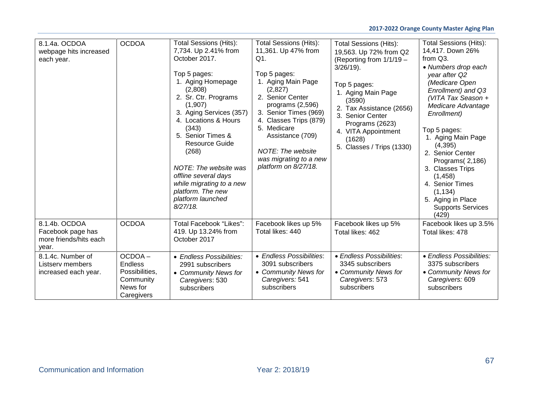| 8.1.4a. OCDOA<br>webpage hits increased<br>each year.                 | <b>OCDOA</b>                                                                      | Total Sessions (Hits):<br>7,734. Up 2.41% from<br>October 2017.<br>Top 5 pages:<br>1. Aging Homepage<br>(2,808)<br>2. Sr. Ctr. Programs<br>(1,907)<br>3. Aging Services (357)<br>4. Locations & Hours<br>(343)<br>5. Senior Times &<br><b>Resource Guide</b><br>(268)<br>NOTE: The website was<br>offline several days<br>while migrating to a new<br>platform. The new<br>platform launched<br>$8/27/18$ . | <b>Total Sessions (Hits):</b><br>11,361. Up 47% from<br>Q1.<br>Top 5 pages:<br>1. Aging Main Page<br>(2,827)<br>2. Senior Center<br>programs $(2,596)$<br>3. Senior Times (969)<br>4. Classes Trips (879)<br>5. Medicare<br>Assistance (709)<br>NOTE: The website<br>was migrating to a new<br>platform on 8/27/18. | <b>Total Sessions (Hits):</b><br>19,563. Up 72% from Q2<br>(Reporting from 1/1/19 -<br>$3/26/19$ ).<br>Top 5 pages:<br>1. Aging Main Page<br>(3590)<br>2. Tax Assistance (2656)<br>3. Senior Center<br>Programs (2623)<br>4. VITA Appointment<br>(1628)<br>5. Classes / Trips (1330) | Total Sessions (Hits):<br>14,417. Down 26%<br>from Q3.<br>• Numbers drop each<br>year after Q2<br>(Medicare Open<br>Enrollment) and Q3<br>(VITA Tax Season +<br>Medicare Advantage<br>Enrollment)<br>Top 5 pages:<br>1. Aging Main Page<br>(4, 395)<br>2. Senior Center<br>Programs (2,186)<br>3. Classes Trips<br>(1,458)<br>4. Senior Times<br>(1, 134)<br>5. Aging in Place<br><b>Supports Services</b><br>(429) |
|-----------------------------------------------------------------------|-----------------------------------------------------------------------------------|-------------------------------------------------------------------------------------------------------------------------------------------------------------------------------------------------------------------------------------------------------------------------------------------------------------------------------------------------------------------------------------------------------------|---------------------------------------------------------------------------------------------------------------------------------------------------------------------------------------------------------------------------------------------------------------------------------------------------------------------|--------------------------------------------------------------------------------------------------------------------------------------------------------------------------------------------------------------------------------------------------------------------------------------|---------------------------------------------------------------------------------------------------------------------------------------------------------------------------------------------------------------------------------------------------------------------------------------------------------------------------------------------------------------------------------------------------------------------|
| 8.1.4b, OCDOA<br>Facebook page has<br>more friends/hits each<br>year. | <b>OCDOA</b>                                                                      | Total Facebook "Likes":<br>419. Up 13.24% from<br>October 2017                                                                                                                                                                                                                                                                                                                                              | Facebook likes up 5%<br>Total likes: 440                                                                                                                                                                                                                                                                            | Facebook likes up 5%<br>Total likes: 462                                                                                                                                                                                                                                             | Facebook likes up 3.5%<br>Total likes: 478                                                                                                                                                                                                                                                                                                                                                                          |
| 8.1.4c. Number of<br>Listserv members<br>increased each year.         | OCDOA-<br><b>Endless</b><br>Possibilities,<br>Community<br>News for<br>Caregivers | • Endless Possibilities:<br>2991 subscribers<br>• Community News for<br>Caregivers: 530<br>subscribers                                                                                                                                                                                                                                                                                                      | • Endless Possibilities:<br>3091 subscribers<br>• Community News for<br>Caregivers: 541<br>subscribers                                                                                                                                                                                                              | • Endless Possibilities:<br>3345 subscribers<br>• Community News for<br>Caregivers: 573<br>subscribers                                                                                                                                                                               | • Endless Possibilities:<br>3375 subscribers<br>• Community News for<br>Caregivers: 609<br>subscribers                                                                                                                                                                                                                                                                                                              |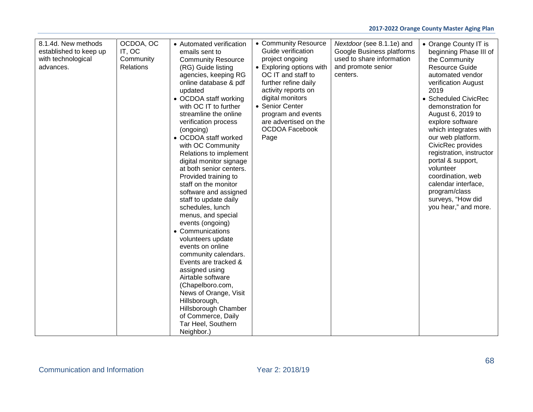| 8.1.4d. New methods<br>established to keep up<br>with technological<br>advances. | OCDOA, OC<br>IT, OC<br>Community<br><b>Relations</b> | • Automated verification<br>emails sent to<br><b>Community Resource</b><br>(RG) Guide listing<br>agencies, keeping RG<br>online database & pdf<br>updated<br>• OCDOA staff working<br>with OC IT to further<br>streamline the online<br>verification process<br>(ongoing)<br>• OCDOA staff worked<br>with OC Community<br>Relations to implement<br>digital monitor signage<br>at both senior centers.<br>Provided training to<br>staff on the monitor<br>software and assigned<br>staff to update daily<br>schedules, lunch<br>menus, and special<br>events (ongoing)<br>• Communications<br>volunteers update<br>events on online<br>community calendars.<br>Events are tracked &<br>assigned using<br>Airtable software<br>(Chapelboro.com,<br>News of Orange, Visit<br>Hillsborough,<br>Hillsborough Chamber<br>of Commerce, Daily<br>Tar Heel, Southern<br>Neighbor.) | • Community Resource<br>Guide verification<br>project ongoing<br>• Exploring options with<br>OC IT and staff to<br>further refine daily<br>activity reports on<br>digital monitors<br>• Senior Center<br>program and events<br>are advertised on the<br><b>OCDOA Facebook</b><br>Page | Nextdoor (see 8.1.1e) and<br>Google Business platforms<br>used to share information<br>and promote senior<br>centers. | • Orange County IT is<br>beginning Phase III of<br>the Community<br><b>Resource Guide</b><br>automated vendor<br>verification August<br>2019<br>• Scheduled CivicRec<br>demonstration for<br>August 6, 2019 to<br>explore software<br>which integrates with<br>our web platform.<br>CivicRec provides<br>registration, instructor<br>portal & support,<br>volunteer<br>coordination, web<br>calendar interface,<br>program/class<br>surveys, "How did<br>you hear," and more. |
|----------------------------------------------------------------------------------|------------------------------------------------------|----------------------------------------------------------------------------------------------------------------------------------------------------------------------------------------------------------------------------------------------------------------------------------------------------------------------------------------------------------------------------------------------------------------------------------------------------------------------------------------------------------------------------------------------------------------------------------------------------------------------------------------------------------------------------------------------------------------------------------------------------------------------------------------------------------------------------------------------------------------------------|---------------------------------------------------------------------------------------------------------------------------------------------------------------------------------------------------------------------------------------------------------------------------------------|-----------------------------------------------------------------------------------------------------------------------|-------------------------------------------------------------------------------------------------------------------------------------------------------------------------------------------------------------------------------------------------------------------------------------------------------------------------------------------------------------------------------------------------------------------------------------------------------------------------------|
|----------------------------------------------------------------------------------|------------------------------------------------------|----------------------------------------------------------------------------------------------------------------------------------------------------------------------------------------------------------------------------------------------------------------------------------------------------------------------------------------------------------------------------------------------------------------------------------------------------------------------------------------------------------------------------------------------------------------------------------------------------------------------------------------------------------------------------------------------------------------------------------------------------------------------------------------------------------------------------------------------------------------------------|---------------------------------------------------------------------------------------------------------------------------------------------------------------------------------------------------------------------------------------------------------------------------------------|-----------------------------------------------------------------------------------------------------------------------|-------------------------------------------------------------------------------------------------------------------------------------------------------------------------------------------------------------------------------------------------------------------------------------------------------------------------------------------------------------------------------------------------------------------------------------------------------------------------------|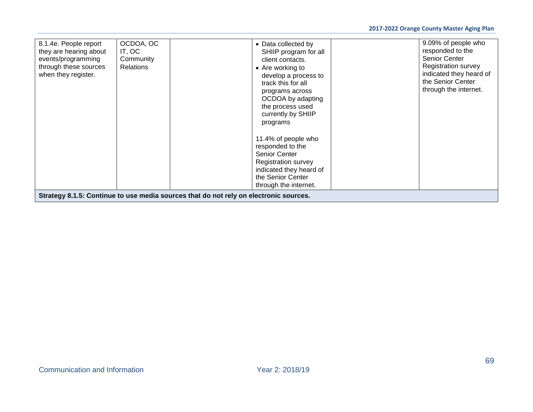| 8.1.4e. People report<br>they are hearing about<br>events/programming<br>through these sources<br>when they register. | OCDOA, OC<br>IT, OC<br>Community<br><b>Relations</b> | • Data collected by<br>SHIIP program for all<br>client contacts.<br>• Are working to<br>develop a process to<br>track this for all<br>programs across<br>OCDOA by adapting<br>the process used<br>currently by SHIIP<br>programs<br>11.4% of people who<br>responded to the<br>Senior Center<br><b>Registration survey</b><br>indicated they heard of<br>the Senior Center<br>through the internet. | 9.09% of people who<br>responded to the<br>Senior Center<br><b>Registration survey</b><br>indicated they heard of<br>the Senior Center<br>through the internet. |
|-----------------------------------------------------------------------------------------------------------------------|------------------------------------------------------|-----------------------------------------------------------------------------------------------------------------------------------------------------------------------------------------------------------------------------------------------------------------------------------------------------------------------------------------------------------------------------------------------------|-----------------------------------------------------------------------------------------------------------------------------------------------------------------|
|                                                                                                                       |                                                      | Strategy 8.1.5: Continue to use media sources that do not rely on electronic sources.                                                                                                                                                                                                                                                                                                               |                                                                                                                                                                 |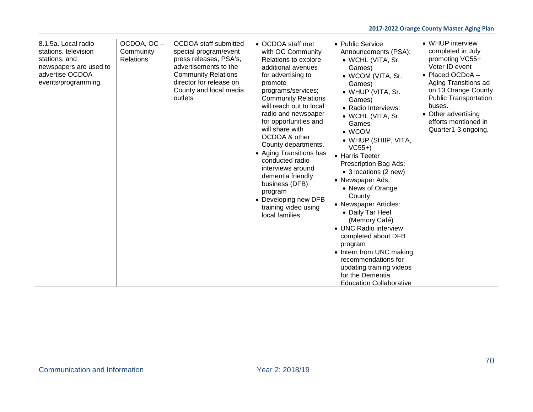| 8.1.5a. Local radio<br>stations, television<br>stations, and<br>newspapers are used to<br>advertise OCDOA<br>events/programming. | OCDOA, OC-<br>Community<br><b>Relations</b> | <b>OCDOA</b> staff submitted<br>special program/event<br>press releases, PSA's,<br>advertisements to the<br><b>Community Relations</b><br>director for release on<br>County and local media<br>outlets | • OCDOA staff met<br>with OC Community<br>Relations to explore<br>additional avenues<br>for advertising to<br>promote<br>programs/services;<br><b>Community Relations</b><br>will reach out to local<br>radio and newspaper<br>for opportunities and<br>will share with<br>OCDOA & other<br>County departments.<br>• Aging Transitions has<br>conducted radio<br>interviews around<br>dementia friendly<br>business (DFB)<br>program<br>• Developing new DFB<br>training video using<br>local families | • Public Service<br>Announcements (PSA):<br>• WCHL (VITA, Sr.<br>Games)<br>• WCOM (VITA, Sr.<br>Games)<br>• WHUP (VITA, Sr.<br>Games)<br>· Radio Interviews:<br>• WCHL (VITA, Sr.<br>Games<br>$\bullet$ WCOM<br>• WHUP (SHIIP, VITA,<br>$VC55+)$<br>• Harris Teeter<br>Prescription Bag Ads:<br>• 3 locations (2 new)<br>• Newspaper Ads:<br>• News of Orange<br>County<br>• Newspaper Articles:<br>• Daily Tar Heel<br>(Memory Café)<br>• UNC Radio interview<br>completed about DFB<br>program<br>• Intern from UNC making<br>recommendations for<br>updating training videos<br>for the Dementia<br><b>Education Collaborative</b> | • WHUP interview<br>completed in July<br>promoting VC55+<br>Voter ID event<br>• Placed OCDoA -<br>Aging Transitions ad<br>on 13 Orange County<br><b>Public Transportation</b><br>buses.<br>• Other advertising<br>efforts mentioned in<br>Quarter1-3 ongoing. |
|----------------------------------------------------------------------------------------------------------------------------------|---------------------------------------------|--------------------------------------------------------------------------------------------------------------------------------------------------------------------------------------------------------|--------------------------------------------------------------------------------------------------------------------------------------------------------------------------------------------------------------------------------------------------------------------------------------------------------------------------------------------------------------------------------------------------------------------------------------------------------------------------------------------------------|---------------------------------------------------------------------------------------------------------------------------------------------------------------------------------------------------------------------------------------------------------------------------------------------------------------------------------------------------------------------------------------------------------------------------------------------------------------------------------------------------------------------------------------------------------------------------------------------------------------------------------------|---------------------------------------------------------------------------------------------------------------------------------------------------------------------------------------------------------------------------------------------------------------|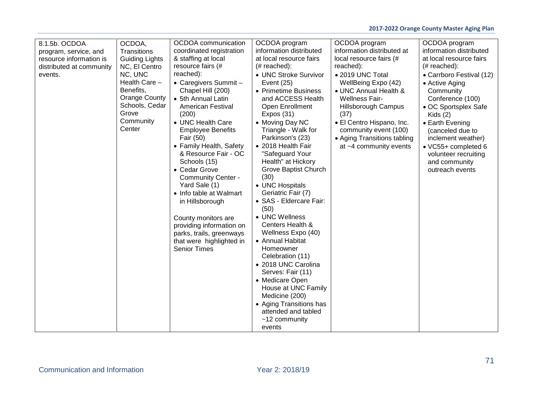| 8.1.5b. OCDOA            | OCDOA,                            | OCDOA communication                             | OCDOA program                           | OCDOA program               | OCDOA program                         |
|--------------------------|-----------------------------------|-------------------------------------------------|-----------------------------------------|-----------------------------|---------------------------------------|
| program, service, and    | Transitions                       | coordinated registration                        | information distributed                 | information distributed at  | information distributed               |
| resource information is  | <b>Guiding Lights</b>             | & staffing at local                             | at local resource fairs                 | local resource fairs (#     | at local resource fairs               |
| distributed at community | NC, El Centro                     | resource fairs (#                               | $#$ reached):                           | reached):                   | $# reached$ :                         |
| events.                  | NC, UNC                           | reached):                                       | • UNC Stroke Survivor                   | • 2019 UNC Total            | • Carrboro Festival (12)              |
|                          | Health Care -                     | • Caregivers Summit -                           | Event (25)                              | WellBeing Expo (42)         | • Active Aging                        |
|                          | Benefits,<br><b>Orange County</b> | Chapel Hill (200)                               | • Primetime Business                    | • UNC Annual Health &       | Community                             |
|                          | Schools, Cedar                    | • 5th Annual Latin                              | and ACCESS Health                       | <b>Wellness Fair-</b>       | Conference (100)                      |
|                          | Grove                             | American Festival                               | Open Enrollment                         | Hillsborough Campus         | • OC Sportsplex Safe                  |
|                          | Community                         | (200)                                           | Expos $(31)$                            | (37)                        | Kids $(2)$                            |
|                          | Center                            | • UNC Health Care                               | • Moving Day NC                         | • El Centro Hispano, Inc.   | • Earth Evening                       |
|                          |                                   | <b>Employee Benefits</b>                        | Triangle - Walk for<br>Parkinson's (23) | community event (100)       | (canceled due to                      |
|                          |                                   | Fair (50)                                       | • 2018 Health Fair                      | • Aging Transitions tabling | inclement weather)                    |
|                          |                                   | • Family Health, Safety<br>& Resource Fair - OC | "Safeguard Your                         | at ~4 community events      | • VC55+ completed 6                   |
|                          |                                   | Schools (15)                                    | Health" at Hickory                      |                             | volunteer recruiting<br>and community |
|                          |                                   | • Cedar Grove                                   | Grove Baptist Church                    |                             | outreach events                       |
|                          |                                   | <b>Community Center -</b>                       | (30)                                    |                             |                                       |
|                          |                                   | Yard Sale (1)                                   | • UNC Hospitals                         |                             |                                       |
|                          |                                   | • Info table at Walmart                         | Geriatric Fair (7)                      |                             |                                       |
|                          |                                   | in Hillsborough                                 | · SAS - Eldercare Fair:                 |                             |                                       |
|                          |                                   |                                                 | (50)                                    |                             |                                       |
|                          |                                   | County monitors are                             | • UNC Wellness                          |                             |                                       |
|                          |                                   | providing information on                        | Centers Health &                        |                             |                                       |
|                          |                                   | parks, trails, greenways                        | Wellness Expo (40)                      |                             |                                       |
|                          |                                   | that were highlighted in                        | • Annual Habitat                        |                             |                                       |
|                          |                                   | <b>Senior Times</b>                             | Homeowner                               |                             |                                       |
|                          |                                   |                                                 | Celebration (11)                        |                             |                                       |
|                          |                                   |                                                 | • 2018 UNC Carolina                     |                             |                                       |
|                          |                                   |                                                 | Serves: Fair (11)                       |                             |                                       |
|                          |                                   |                                                 | • Medicare Open                         |                             |                                       |
|                          |                                   |                                                 | House at UNC Family                     |                             |                                       |
|                          |                                   |                                                 | Medicine (200)                          |                             |                                       |
|                          |                                   |                                                 | • Aging Transitions has                 |                             |                                       |
|                          |                                   |                                                 | attended and tabled                     |                             |                                       |
|                          |                                   |                                                 | $~12$ community                         |                             |                                       |
|                          |                                   |                                                 | events                                  |                             |                                       |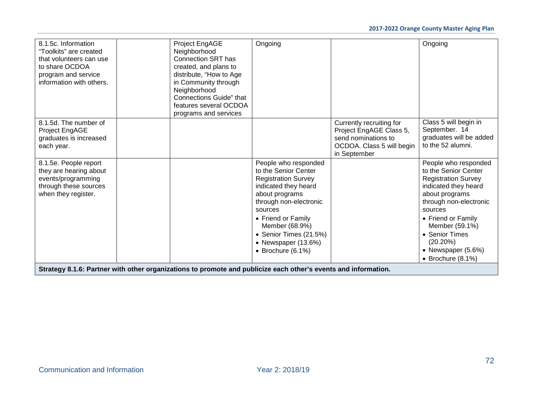| 8.1.5c. Information<br>"Toolkits" are created<br>that volunteers can use<br>to share OCDOA<br>program and service<br>information with others. |                                                                                                                | Project EngAGE<br>Neighborhood<br><b>Connection SRT has</b><br>created, and plans to<br>distribute, "How to Age<br>in Community through<br>Neighborhood<br>Connections Guide" that<br>features several OCDOA<br>programs and services | Ongoing                                                                                                                                                                                                                                                                         |                                                                                                                         | Ongoing                                                                                                                                                                                                                                                                               |  |  |  |
|-----------------------------------------------------------------------------------------------------------------------------------------------|----------------------------------------------------------------------------------------------------------------|---------------------------------------------------------------------------------------------------------------------------------------------------------------------------------------------------------------------------------------|---------------------------------------------------------------------------------------------------------------------------------------------------------------------------------------------------------------------------------------------------------------------------------|-------------------------------------------------------------------------------------------------------------------------|---------------------------------------------------------------------------------------------------------------------------------------------------------------------------------------------------------------------------------------------------------------------------------------|--|--|--|
| 8.1.5d. The number of<br>Project EngAGE<br>graduates is increased<br>each year.                                                               |                                                                                                                |                                                                                                                                                                                                                                       |                                                                                                                                                                                                                                                                                 | Currently recruiting for<br>Project EngAGE Class 5,<br>send nominations to<br>OCDOA. Class 5 will begin<br>in September | Class 5 will begin in<br>September. 14<br>graduates will be added<br>to the 52 alumni.                                                                                                                                                                                                |  |  |  |
| 8.1.5e. People report<br>they are hearing about<br>events/programming<br>through these sources<br>when they register.                         |                                                                                                                |                                                                                                                                                                                                                                       | People who responded<br>to the Senior Center<br><b>Registration Survey</b><br>indicated they heard<br>about programs<br>through non-electronic<br>sources<br>• Friend or Family<br>Member (68.9%)<br>• Senior Times (21.5%)<br>• Newspaper (13.6%)<br>$\bullet$ Brochure (6.1%) |                                                                                                                         | People who responded<br>to the Senior Center<br><b>Registration Survey</b><br>indicated they heard<br>about programs<br>through non-electronic<br>sources<br>• Friend or Family<br>Member (59.1%)<br>• Senior Times<br>$(20.20\%)$<br>• Newspaper (5.6%)<br>$\bullet$ Brochure (8.1%) |  |  |  |
|                                                                                                                                               | Strategy 8.1.6: Partner with other organizations to promote and publicize each other's events and information. |                                                                                                                                                                                                                                       |                                                                                                                                                                                                                                                                                 |                                                                                                                         |                                                                                                                                                                                                                                                                                       |  |  |  |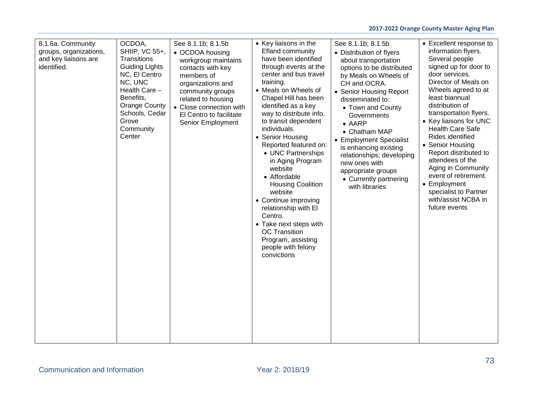## **2017-2022 Orange County Master Aging Plan**

| 8.1.6a. Community<br>groups, organizations,<br>and key liaisons are<br>identified. | OCDOA,<br>SHIIP, VC 55+,<br>Transitions<br><b>Guiding Lights</b><br>NC, El Centro<br>NC, UNC<br>Health Care -<br>Benefits,<br><b>Orange County</b><br>Schools, Cedar<br>Grove<br>Community<br>Center | See 8.1.1b; 8.1.5b<br>• OCDOA housing<br>workgroup maintains<br>contacts with key<br>members of<br>organizations and<br>community groups<br>related to housing<br>• Close connection with<br>El Centro to facilitate<br>Senior Employment | • Key liaisons in the<br>Efland community<br>have been identified<br>through events at the<br>center and bus travel<br>training.<br>• Meals on Wheels of<br>Chapel Hill has been<br>identified as a key<br>way to distribute info.<br>to transit dependent<br>individuals.<br>• Senior Housing<br>Reported featured on:<br>• UNC Partnerships<br>in Aging Program<br>website<br>• Affordable<br><b>Housing Coalition</b><br>website<br>• Continue improving<br>relationship with El<br>Centro.<br>• Take next steps with<br><b>OC</b> Transition<br>Program, assisting<br>people with felony<br>convictions | See 8.1.1b; 8.1.5b<br>• Distribution of flyers<br>about transportation<br>options to be distributed<br>by Meals on Wheels of<br>CH and OCRA.<br>• Senior Housing Report<br>disseminated to:<br>• Town and County<br>Governments<br>$\bullet$ AARP<br>• Chatham MAP<br>• Employment Specialist<br>is enhancing existing<br>relationships; developing<br>new ones with<br>appropriate groups<br>• Currently partnering<br>with libraries | • Excellent response to<br>information flyers.<br>Several people<br>signed up for door to<br>door services.<br>Director of Meals on<br>Wheels agreed to at<br>least biannual<br>distribution of<br>transportation flyers.<br>• Key liaisons for UNC<br><b>Health Care Safe</b><br>Rides identified<br>• Senior Housing<br>Report distributed to<br>attendees of the<br>Aging in Community<br>event of retirement.<br>• Employment<br>specialist to Partner<br>with/assist NCBA in<br>future events |
|------------------------------------------------------------------------------------|------------------------------------------------------------------------------------------------------------------------------------------------------------------------------------------------------|-------------------------------------------------------------------------------------------------------------------------------------------------------------------------------------------------------------------------------------------|-------------------------------------------------------------------------------------------------------------------------------------------------------------------------------------------------------------------------------------------------------------------------------------------------------------------------------------------------------------------------------------------------------------------------------------------------------------------------------------------------------------------------------------------------------------------------------------------------------------|----------------------------------------------------------------------------------------------------------------------------------------------------------------------------------------------------------------------------------------------------------------------------------------------------------------------------------------------------------------------------------------------------------------------------------------|----------------------------------------------------------------------------------------------------------------------------------------------------------------------------------------------------------------------------------------------------------------------------------------------------------------------------------------------------------------------------------------------------------------------------------------------------------------------------------------------------|
|------------------------------------------------------------------------------------|------------------------------------------------------------------------------------------------------------------------------------------------------------------------------------------------------|-------------------------------------------------------------------------------------------------------------------------------------------------------------------------------------------------------------------------------------------|-------------------------------------------------------------------------------------------------------------------------------------------------------------------------------------------------------------------------------------------------------------------------------------------------------------------------------------------------------------------------------------------------------------------------------------------------------------------------------------------------------------------------------------------------------------------------------------------------------------|----------------------------------------------------------------------------------------------------------------------------------------------------------------------------------------------------------------------------------------------------------------------------------------------------------------------------------------------------------------------------------------------------------------------------------------|----------------------------------------------------------------------------------------------------------------------------------------------------------------------------------------------------------------------------------------------------------------------------------------------------------------------------------------------------------------------------------------------------------------------------------------------------------------------------------------------------|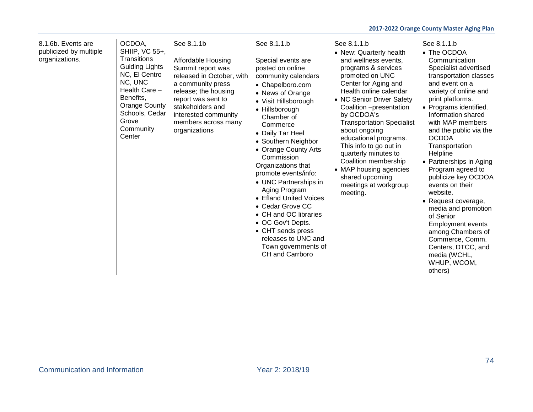| 8.1.6b. Events are<br>publicized by multiple<br>organizations. | OCDOA,<br>SHIIP, VC 55+,<br><b>Transitions</b><br><b>Guiding Lights</b><br>NC, El Centro<br>NC, UNC<br>Health Care -<br>Benefits,<br><b>Orange County</b><br>Schools, Cedar<br>Grove<br>Community<br>Center | See 8.1.1b<br>Affordable Housing<br>Summit report was<br>released in October, with<br>a community press<br>release; the housing<br>report was sent to<br>stakeholders and<br>interested community<br>members across many<br>organizations | See 8.1.1.b<br>Special events are<br>posted on online<br>community calendars<br>• Chapelboro.com<br>• News of Orange<br>• Visit Hillsborough<br>• Hillsborough<br>Chamber of<br>Commerce<br>• Daily Tar Heel<br>• Southern Neighbor<br>• Orange County Arts<br>Commission<br>Organizations that<br>promote events/info:<br>• UNC Partnerships in<br>Aging Program<br>• Efland United Voices<br>• Cedar Grove CC<br>• CH and OC libraries<br>• OC Gov't Depts.<br>• CHT sends press<br>releases to UNC and<br>Town governments of<br><b>CH</b> and Carrboro | See 8.1.1.b<br>• New: Quarterly health<br>and wellness events,<br>programs & services<br>promoted on UNC<br>Center for Aging and<br>Health online calendar<br>• NC Senior Driver Safety<br>Coalition -presentation<br>by OCDOA's<br><b>Transportation Specialist</b><br>about ongoing<br>educational programs.<br>This info to go out in<br>quarterly minutes to<br>Coalition membership<br>• MAP housing agencies<br>shared upcoming<br>meetings at workgroup<br>meeting. | See 8.1.1.b<br>• The OCDOA<br>Communication<br>Specialist advertised<br>transportation classes<br>and event on a<br>variety of online and<br>print platforms.<br>• Programs identified.<br>Information shared<br>with MAP members<br>and the public via the<br><b>OCDOA</b><br>Transportation<br>Helpline<br>• Partnerships in Aging<br>Program agreed to<br>publicize key OCDOA<br>events on their<br>website.<br>• Request coverage,<br>media and promotion<br>of Senior<br><b>Employment events</b><br>among Chambers of<br>Commerce, Comm.<br>Centers, DTCC, and<br>media (WCHL,<br>WHUP, WCOM,<br>others) |
|----------------------------------------------------------------|-------------------------------------------------------------------------------------------------------------------------------------------------------------------------------------------------------------|-------------------------------------------------------------------------------------------------------------------------------------------------------------------------------------------------------------------------------------------|------------------------------------------------------------------------------------------------------------------------------------------------------------------------------------------------------------------------------------------------------------------------------------------------------------------------------------------------------------------------------------------------------------------------------------------------------------------------------------------------------------------------------------------------------------|----------------------------------------------------------------------------------------------------------------------------------------------------------------------------------------------------------------------------------------------------------------------------------------------------------------------------------------------------------------------------------------------------------------------------------------------------------------------------|----------------------------------------------------------------------------------------------------------------------------------------------------------------------------------------------------------------------------------------------------------------------------------------------------------------------------------------------------------------------------------------------------------------------------------------------------------------------------------------------------------------------------------------------------------------------------------------------------------------|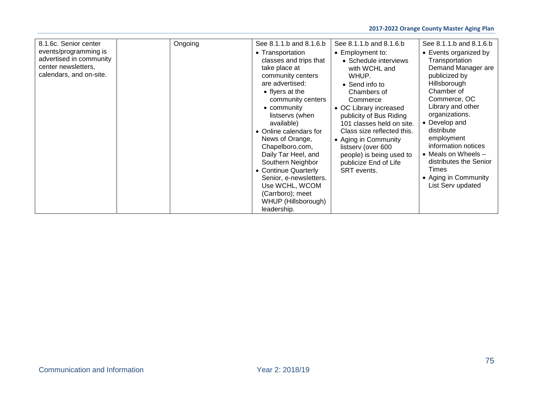| 8.1.6c. Senior center<br>events/programming is<br>advertised in community<br>center newsletters,<br>calendars, and on-site. | Ongoing | See 8.1.1.b and 8.1.6.b<br>• Transportation<br>classes and trips that<br>take place at<br>community centers<br>are advertised:<br>• flyers at the<br>community centers<br>• community<br>listservs (when<br>available)<br>• Online calendars for<br>News of Orange,<br>Chapelboro.com,<br>Daily Tar Heel, and<br>Southern Neighbor<br>• Continue Quarterly<br>Senior, e-newsletters.<br>Use WCHL, WCOM<br>(Carrboro); meet<br>WHUP (Hillsborough)<br>leadership. | See 8.1.1.b and 8.1.6.b<br>• Employment to:<br>• Schedule interviews<br>with WCHL and<br>WHUP.<br>• Send info to<br>Chambers of<br>Commerce<br>• OC Library increased<br>publicity of Bus Riding<br>101 classes held on site.<br>Class size reflected this.<br>• Aging in Community<br>listserv (over 600<br>people) is being used to<br>publicize End of Life<br>SRT events. | See 8.1.1.b and 8.1.6.b<br>• Events organized by<br>Transportation<br>Demand Manager are<br>publicized by<br>Hillsborough<br>Chamber of<br>Commerce, OC<br>Library and other<br>organizations.<br>• Develop and<br>distribute<br>employment<br>information notices<br>• Meals on Wheels $-$<br>distributes the Senior<br>Times<br>• Aging in Community<br>List Serv updated |
|-----------------------------------------------------------------------------------------------------------------------------|---------|------------------------------------------------------------------------------------------------------------------------------------------------------------------------------------------------------------------------------------------------------------------------------------------------------------------------------------------------------------------------------------------------------------------------------------------------------------------|-------------------------------------------------------------------------------------------------------------------------------------------------------------------------------------------------------------------------------------------------------------------------------------------------------------------------------------------------------------------------------|-----------------------------------------------------------------------------------------------------------------------------------------------------------------------------------------------------------------------------------------------------------------------------------------------------------------------------------------------------------------------------|
|-----------------------------------------------------------------------------------------------------------------------------|---------|------------------------------------------------------------------------------------------------------------------------------------------------------------------------------------------------------------------------------------------------------------------------------------------------------------------------------------------------------------------------------------------------------------------------------------------------------------------|-------------------------------------------------------------------------------------------------------------------------------------------------------------------------------------------------------------------------------------------------------------------------------------------------------------------------------------------------------------------------------|-----------------------------------------------------------------------------------------------------------------------------------------------------------------------------------------------------------------------------------------------------------------------------------------------------------------------------------------------------------------------------|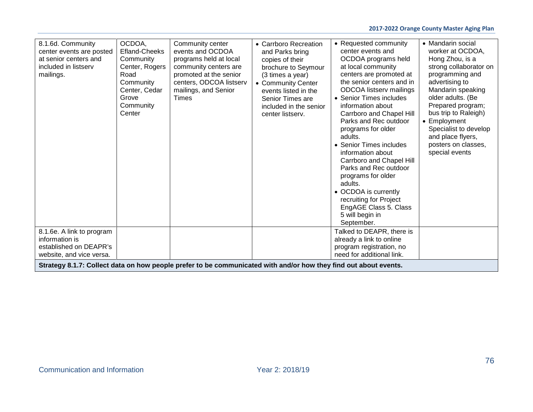| 8.1.6d. Community<br>center events are posted<br>at senior centers and<br>included in listserv<br>mailings.      | OCDOA,<br><b>Efland-Cheeks</b><br>Community<br>Center, Rogers<br>Road<br>Community<br>Center, Cedar<br>Grove<br>Community<br>Center | Community center<br>events and OCDOA<br>programs held at local<br>community centers are<br>promoted at the senior<br>centers, ODCOA listserv<br>mailings, and Senior<br><b>Times</b> | • Carrboro Recreation<br>and Parks bring<br>copies of their<br>brochure to Seymour<br>(3 times a year)<br>• Community Center<br>events listed in the<br>Senior Times are<br>included in the senior<br>center listserv. | • Requested community<br>center events and<br>OCDOA programs held<br>at local community<br>centers are promoted at<br>the senior centers and in<br>ODCOA listserv mailings<br>• Senior Times includes<br>information about<br>Carrboro and Chapel Hill<br>Parks and Rec outdoor<br>programs for older<br>adults.<br>• Senior Times includes<br>information about<br>Carrboro and Chapel Hill<br>Parks and Rec outdoor<br>programs for older<br>adults.<br>• OCDOA is currently<br>recruiting for Project<br>EngAGE Class 5. Class<br>5 will begin in<br>September. | • Mandarin social<br>worker at OCDOA,<br>Hong Zhou, is a<br>strong collaborator on<br>programming and<br>advertising to<br>Mandarin speaking<br>older adults. (Be<br>Prepared program;<br>bus trip to Raleigh)<br>• Employment<br>Specialist to develop<br>and place flyers,<br>posters on classes,<br>special events |  |
|------------------------------------------------------------------------------------------------------------------|-------------------------------------------------------------------------------------------------------------------------------------|--------------------------------------------------------------------------------------------------------------------------------------------------------------------------------------|------------------------------------------------------------------------------------------------------------------------------------------------------------------------------------------------------------------------|--------------------------------------------------------------------------------------------------------------------------------------------------------------------------------------------------------------------------------------------------------------------------------------------------------------------------------------------------------------------------------------------------------------------------------------------------------------------------------------------------------------------------------------------------------------------|-----------------------------------------------------------------------------------------------------------------------------------------------------------------------------------------------------------------------------------------------------------------------------------------------------------------------|--|
| 8.1.6e. A link to program<br>information is                                                                      |                                                                                                                                     |                                                                                                                                                                                      |                                                                                                                                                                                                                        | Talked to DEAPR, there is<br>already a link to online                                                                                                                                                                                                                                                                                                                                                                                                                                                                                                              |                                                                                                                                                                                                                                                                                                                       |  |
| established on DEAPR's                                                                                           |                                                                                                                                     |                                                                                                                                                                                      |                                                                                                                                                                                                                        | program registration, no                                                                                                                                                                                                                                                                                                                                                                                                                                                                                                                                           |                                                                                                                                                                                                                                                                                                                       |  |
| need for additional link.<br>website, and vice versa.                                                            |                                                                                                                                     |                                                                                                                                                                                      |                                                                                                                                                                                                                        |                                                                                                                                                                                                                                                                                                                                                                                                                                                                                                                                                                    |                                                                                                                                                                                                                                                                                                                       |  |
| Strategy 8.1.7: Collect data on how people prefer to be communicated with and/or how they find out about events. |                                                                                                                                     |                                                                                                                                                                                      |                                                                                                                                                                                                                        |                                                                                                                                                                                                                                                                                                                                                                                                                                                                                                                                                                    |                                                                                                                                                                                                                                                                                                                       |  |